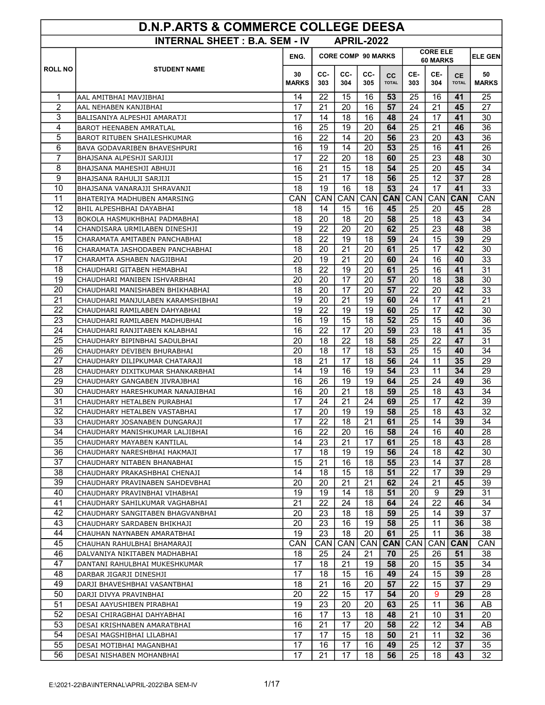| <b>D.N.P.ARTS &amp; COMMERCE COLLEGE DEESA</b> |                                                              |                                                                         |            |            |                   |                    |            |            |                           |                    |  |
|------------------------------------------------|--------------------------------------------------------------|-------------------------------------------------------------------------|------------|------------|-------------------|--------------------|------------|------------|---------------------------|--------------------|--|
|                                                | <b>INTERNAL SHEET: B.A. SEM - IV</b>                         |                                                                         |            |            | <b>APRIL-2022</b> |                    |            |            |                           |                    |  |
|                                                |                                                              | <b>CORE ELE</b><br><b>CORE COMP 90 MARKS</b><br>ENG.<br><b>60 MARKS</b> |            |            |                   |                    |            |            |                           | <b>ELE GEN</b>     |  |
| <b>ROLL NO</b>                                 | <b>STUDENT NAME</b>                                          | 30<br><b>MARKS</b>                                                      | CC-<br>303 | CC-<br>304 | CC-<br>305        | cc<br><b>TOTAL</b> | CE-<br>303 | CE-<br>304 | <b>CE</b><br><b>TOTAL</b> | 50<br><b>MARKS</b> |  |
| 1                                              | AAL AMITBHAI MAVJIBHAI                                       | 14                                                                      | 22         | 15         | 16                | 53                 | 25         | 16         | 41                        | 25                 |  |
| 2                                              | AAL NEHABEN KANJIBHAI                                        | 17                                                                      | 21         | 20         | 16                | 57                 | 24         | 21         | 45                        | 27                 |  |
| 3                                              | BALISANIYA ALPESHJI AMARATJI                                 | 17                                                                      | 14         | 18         | 16                | 48                 | 24         | 17         | 41                        | 30                 |  |
| $\overline{4}$                                 | <b>BAROT HEENABEN AMRATLAL</b>                               | 16                                                                      | 25         | 19         | 20                | 64                 | 25         | 21         | 46                        | 36                 |  |
| 5                                              | <b>BAROT RITUBEN SHAILESHKUMAR</b>                           | 16                                                                      | 22         | 14         | 20                | 56                 | 23         | 20         | 43                        | 36                 |  |
| 6                                              | BAVA GODAVARIBEN BHAVESHPURI                                 | 16                                                                      | 19         | 14         | 20                | 53                 | 25         | 16         | 41                        | 26                 |  |
| $\overline{7}$                                 | BHAJSANA ALPESHJI SARJIJI                                    | 17                                                                      | 22         | 20         | 18                | 60                 | 25         | 23         | 48                        | 30                 |  |
| 8                                              | BHAJSANA MAHESHJI ABHUJI                                     | 16                                                                      | 21         | 15         | 18                | 54                 | 25         | 20         | 45                        | 34                 |  |
| 9                                              | BHAJSANA RAHULJI SARJIJI                                     | 15                                                                      | 21         | 17         | 18                | 56                 | 25         | 12         | 37                        | 28                 |  |
| 10                                             | BHAJSANA VANARAJJI SHRAVANJI                                 | 18                                                                      | 19         | 16         | 18                | 53                 | 24         | 17         | 41                        | 33                 |  |
| 11                                             | BHATERIYA MADHUBEN AMARSING                                  | <b>CAN</b>                                                              | <b>CAN</b> | CAN        | CAN <sup> </sup>  | <b>CAN</b>         | CAN        | CAN        | <b>CAN</b>                | <b>CAN</b>         |  |
| 12                                             | BHIL ALPESHBHAI DAYABHAI                                     | 18                                                                      | 14         | 15         | 16                | 45                 | 25         | 20         | 45                        | 28                 |  |
| 13                                             | BOKOLA HASMUKHBHAI PADMABHAI                                 | 18                                                                      | 20         | 18         | 20                | 58                 | 25         | 18         | 43                        | 34                 |  |
| 14                                             | CHANDISARA URMILABEN DINESHJI                                | 19                                                                      | 22         | 20         | 20                | 62                 | 25         | 23         | 48                        | 38                 |  |
| 15                                             | CHARAMATA AMITABEN PANCHABHAI                                | 18                                                                      | 22         | 19         | 18                | 59                 | 24         | 15         | 39                        | 29                 |  |
| 16                                             | CHARAMATA JASHODABEN PANCHABHAI                              | 18                                                                      | 20         | 21         | 20                | 61                 | 25         | 17         | 42                        | 30                 |  |
| 17                                             | CHARAMTA ASHABEN NAGJIBHAI                                   | 20                                                                      | 19         | 21         | 20                | 60                 | 24         | 16         | 40                        | 33                 |  |
| 18                                             | CHAUDHARI GITABEN HEMABHAI                                   | 18                                                                      | 22         | 19         | 20                | 61                 | 25         | 16         | 41                        | 31                 |  |
| 19                                             | CHAUDHARI MANIBEN ISHVARBHAI                                 | 20                                                                      | 20         | 17         | 20                | 57                 | 20         | 18         | 38                        | 30                 |  |
| 20                                             | CHAUDHARI MANISHABEN BHIKHABHAI                              | 18                                                                      | 20         | 17         | 20                | 57                 | 22         | 20         | 42                        | 33                 |  |
| 21                                             | CHAUDHARI MANJULABEN KARAMSHIBHAI                            | 19                                                                      | 20         | 21         | 19                | 60                 | 24         | 17         | 41                        | 21                 |  |
| 22                                             | CHAUDHARI RAMILABEN DAHYABHAI                                | 19                                                                      | 22         | 19         | 19                | 60                 | 25         | 17         | 42                        | 30                 |  |
| 23<br>$\overline{24}$                          | CHAUDHARI RAMILABEN MADHUBHAI                                | 16                                                                      | 19         | 15         | 18                | 52                 | 25         | 15         | 40                        | 36                 |  |
| 25                                             | CHAUDHARI RANJITABEN KALABHAI                                | 16<br>20                                                                | 22<br>18   | 17<br>22   | 20<br>18          | 59<br>58           | 23<br>25   | 18<br>22   | 41<br>47                  | 35<br>31           |  |
| 26                                             | CHAUDHARY BIPINBHAI SADULBHAI<br>CHAUDHARY DEVIBEN BHURABHAI | 20                                                                      | 18         | 17         | 18                | 53                 | 25         | 15         | 40                        | 34                 |  |
| 27                                             | CHAUDHARY DILIPKUMAR CHATARAJI                               | 18                                                                      | 21         | 17         | 18                | 56                 | 24         | 11         | 35                        | 29                 |  |
| 28                                             | CHAUDHARY DIXITKUMAR SHANKARBHAI                             | 14                                                                      | 19         | 16         | 19                | 54                 | 23         | 11         | 34                        | 29                 |  |
| 29                                             | CHAUDHARY GANGABEN JIVRAJBHAI                                | 16                                                                      | 26         | 19         | 19                | 64                 | 25         | 24         | 49                        | 36                 |  |
| 30                                             | CHAUDHARY HARESHKUMAR NANAJIBHAI                             | 16                                                                      | 20         | 21         | 18                | 59                 | 25         | 18         | 43                        | 34                 |  |
| 31                                             | CHAUDHARY HETALBEN PURABHAI                                  | 17                                                                      | 24         | 21         | 24                | 69                 | 25         | 17         | 42                        | 39                 |  |
| 32                                             | CHAUDHARY HETALBEN VASTABHAI                                 | 17                                                                      | 20         | 19         | 19                | 58                 | 25         | 18         | 43                        | 32                 |  |
| 33                                             | CHAUDHARY JOSANABEN DUNGARAJI                                | 17                                                                      | 22         | 18         | 21                | 61                 | 25         | 14         | 39                        | 34                 |  |
| 34                                             | CHAUDHARY MANISHKUMAR LALJIBHAI                              | 16                                                                      | 22         | 20         | 16                | 58                 | 24         | 16         | 40                        | 28                 |  |
| 35                                             | CHAUDHARY MAYABEN KANTILAL                                   | 14                                                                      | 23         | 21         | 17                | 61                 | 25         | 18         | 43                        | 28                 |  |
| 36                                             | CHAUDHARY NARESHBHAI HAKMAJI                                 | 17                                                                      | 18         | 19         | 19                | 56                 | 24         | 18         | 42                        | 30                 |  |
| 37                                             | CHAUDHARY NITABEN BHANABHAI                                  | 15                                                                      | 21         | 16         | 18                | 55                 | 23         | 14         | 37                        | 28                 |  |
| 38                                             | CHAUDHARY PRAKASHBHAI CHENAJI                                | 14                                                                      | 18         | 15         | 18                | 51                 | 22         | 17         | 39                        | 29                 |  |
| 39                                             | CHAUDHARY PRAVINABEN SAHDEVBHAI                              | 20                                                                      | 20         | 21         | 21                | 62                 | 24         | 21         | 45                        | 39                 |  |
| 40                                             | CHAUDHARY PRAVINBHAI VIHABHAI                                | 19                                                                      | 19         | 14         | 18                | 51                 | 20         | 9          | 29                        | 31                 |  |
| 41                                             | CHAUDHARY SAHILKUMAR VAGHABHAI                               | 21                                                                      | 22         | 24         | 18                | 64                 | 24         | 22         | 46                        | 34                 |  |
| 42                                             | CHAUDHARY SANGITABEN BHAGVANBHAI                             | 20                                                                      | 23         | 18         | 18                | 59                 | 25         | 14         | 39                        | 37                 |  |
| 43                                             | CHAUDHARY SARDABEN BHIKHAJI                                  | 20                                                                      | 23         | 16         | 19                | 58                 | 25         | 11         | 36                        | 38                 |  |
| 44                                             | CHAUHAN NAYNABEN AMARATBHAI                                  | 19                                                                      | 23         | 18         | 20                | 61                 | 25         | 11         | 36                        | 38                 |  |
| 45                                             | CHAUHAN RAHULBHAI BHAMARAJI                                  | CAN                                                                     | CAN        | CAN        | CAN <sup> </sup>  | <b>CAN</b>         | CAN        | CAN        | <b>CAN</b>                | CAN                |  |
| 46                                             | DALVANIYA NIKITABEN MADHABHAI                                | 18                                                                      | 25         | 24         | 21                | 70                 | 25         | 26         | 51                        | 38                 |  |
| 47<br>48                                       | DANTANI RAHULBHAI MUKESHKUMAR                                | 17                                                                      | 18         | 21         | 19                | 58                 | 20         | 15         | 35                        | 34                 |  |
| 49                                             | DARBAR JIGARJI DINESHJI                                      | 17<br>18                                                                | 18<br>21   | 15<br>16   | 16<br>20          | 49<br>57           | 24<br>22   | 15<br>15   | 39<br>37                  | 28<br>29           |  |
| 50                                             | DARJI BHAVESHBHAI VASANTBHAI<br>DARJI DIVYA PRAVINBHAI       | 20                                                                      | 22         | 15         | 17                | 54                 | 20         | 9          | 29                        | 28                 |  |
| 51                                             | DESAI AAYUSHIBEN PIRABHAI                                    | 19                                                                      | 23         | 20         | 20                | 63                 | 25         | 11         | 36                        | AB                 |  |
| 52                                             | DESAI CHIRAGBHAI DAHYABHAI                                   | 16                                                                      | 17         | 13         | 18                | 48                 | 21         | 10         | 31                        | 20                 |  |
| 53                                             | DESAI KRISHNABEN AMARATBHAI                                  | 16                                                                      | 21         | 17         | 20                | 58                 | 22         | 12         | 34                        | AB                 |  |
| 54                                             | DESAI MAGSHIBHAI LILABHAI                                    | 17                                                                      | 17         | 15         | 18                | 50                 | 21         | 11         | 32                        | 36                 |  |
| 55                                             | DESAI MOTIBHAI MAGANBHAI                                     | 17                                                                      | 16         | 17         | 16                | 49                 | 25         | 12         | 37                        | 35                 |  |
| 56                                             | DESAI NISHABEN MOHANBHAI                                     | 17                                                                      | 21         | 17         | 18                | 56                 | 25         | 18         | 43                        | 32                 |  |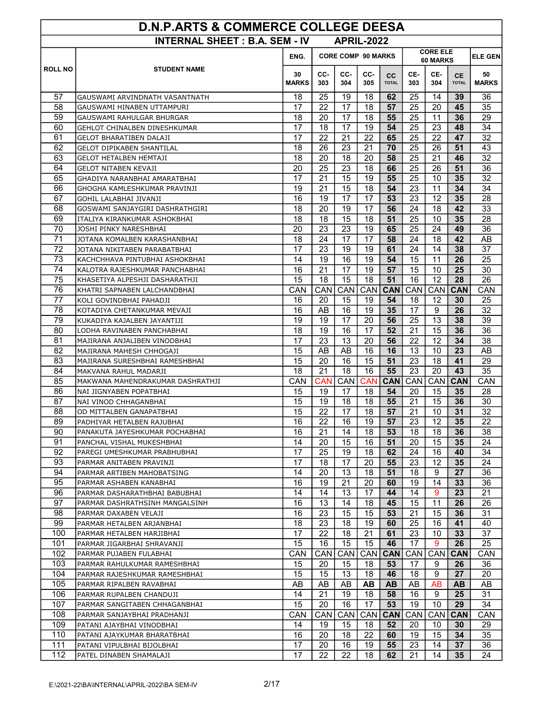| <b>INTERNAL SHEET : B.A. SEM - IV</b><br><b>APRIL-2022</b><br><b>CORE ELE</b><br><b>CORE COMP 90 MARKS</b><br>ENG.<br><b>ELE GEN</b><br>60 MARKS<br><b>ROLL NO</b><br><b>STUDENT NAME</b><br>CC-<br>CC-<br>CC-<br>CE-<br>CE-<br>30<br>50<br>cc<br><b>CE</b><br>303<br><b>MARKS</b><br>303<br>304<br>305<br><b>TOTAL</b><br>304<br><b>TOTAL</b><br><b>MARKS</b><br>57<br>25<br>62<br>25<br>18<br>19<br>18<br>14<br>39<br>36<br>GAUSWAMI ARVINDNATH VASANTNATH<br>22<br>17<br>25<br>20<br>35<br>58<br>17<br>18<br>57<br>45<br>GAUSWAMI HINABEN UTTAMPURI<br>59<br>20<br>25<br>29<br>18<br>17<br>18<br>55<br>11<br>36<br>GAUSWAMI RAHULGAR BHURGAR<br>60<br>17<br>25<br>23<br>34<br>18<br>17<br>19<br>54<br>48<br>GEHLOT CHINALBEN DINESHKUMAR<br>17<br>22<br>22<br>47<br>32<br>61<br>22<br>21<br>65<br>25<br>GELOT BHARATIBEN DALAJI<br>62<br>70<br>26<br>23<br>21<br>25<br>26<br>51<br>43<br>18<br><b>GELOT DIPIKABEN SHANTILAL</b><br>$\overline{32}$<br>63<br>18<br>20<br>18<br>20<br>58<br>25<br>21<br>46<br>GELOT HETALBEN HEMTAJI<br>64<br>25<br>20<br>23<br>18<br>66<br>25<br>26<br>51<br>36<br>GELOT NITABEN KEVAJI<br>32<br>65<br>17<br>21<br>15<br>19<br>55<br>25<br>35<br>10<br>GHADIYA NARANBHAI AMARATBHAI<br>$\overline{21}$<br>34<br>19<br>15<br>18<br>54<br>23<br>11<br>34<br>66<br>GHOGHA KAMLESHKUMAR PRAVINJI<br>67<br>17<br>23<br>12<br>16<br>19<br>17<br>53<br>35<br>28<br>GOHIL LALABHAI JIVANJI<br>20<br>24<br>33<br>18<br>19<br>17<br>56<br>18<br>42<br>68<br>GOSWAMI SANJAYGIRI DASHRATHGIRI<br>69<br>18<br>18<br>15<br>18<br>25<br>10<br>35<br>28<br>51<br>ITALIYA KIRANKUMAR ASHOKBHAI<br>70<br>20<br>23<br>23<br>25<br>24<br>19<br>65<br>49<br>36<br>JOSHI PINKY NARESHBHAI<br>71<br>24<br>42<br>18<br>24<br>17<br>17<br>58<br>18<br>AB<br>JOTANA KOMALBEN KARASHANBHAI<br>72<br>17<br>23<br>61<br>24<br>14<br>38<br>37<br>19<br>19<br>JOTANA NIKITABEN PARABATBHAI<br>73<br>19<br>16<br>19<br>15<br>11<br>26<br>25<br>14<br>54<br>KACHCHHAVA PINTUBHAI ASHOKBHAI<br>74<br>21<br>17<br>19<br>57<br>15<br>25<br>30<br>16<br>10<br>KALOTRA RAJESHKUMAR PANCHABHAI<br>75<br>15<br>18<br>15<br>18<br>51<br>16<br>12<br>28<br>26<br>KHASETIYA ALPESHJI DASHARATHJI<br>CAN<br>76<br>CAN<br>CAN<br>CAN CAN<br>CAN<br>CAN<br><b>CAN</b><br>CAN<br>KHATRI SAPNABEN LALCHANDBHAI<br>77<br>20<br>15<br>19<br>54<br>18<br>12<br>30<br>25<br>16<br>KOLI GOVINDBHAI PAHADJI<br>16<br>17<br>26<br>32<br>78<br>16<br>AB<br>19<br>35<br>9<br>KOTADIYA CHETANKUMAR MEVAJI<br>79<br>19<br>19<br>17<br>20<br>56<br>25<br>13<br>39<br>38<br>KUKADIYA KAJALBEN JAYANTIJI<br>80<br>19<br>52<br>15<br>36<br>18<br>16<br>17<br>21<br>36<br>LODHA RAVINABEN PANCHABHAI<br>81<br>17<br>34<br>38<br>23<br>13<br>20<br>56<br>22<br>12<br>MAJIRANA ANJALIBEN VINODBHAI<br>82<br>16<br>13<br>10<br>23<br>15<br>AB<br>AB<br>16<br>AB<br>MAJIRANA MAHESH CHHOGAJI<br>$\overline{23}$<br>83<br>15<br>20<br>16<br>15<br>51<br>18<br>41<br>29<br>MAJIRANA SURESHBHAI RAMESHBHAI<br>84<br>18<br>21<br>18<br>16<br>55<br>23<br>20<br>43<br>35<br>MAKVANA RAHUL MADARJI<br>85<br>CAN<br><b>CAN</b><br>CAN<br><b>CAN</b><br>CAN<br><b>CAN</b><br><b>CAN</b><br><b>CAN</b><br><b>CAN</b><br>MAKWANA MAHENDRAKUMAR DASHRATHJI<br>86<br>19<br>17<br>18<br>54<br>20<br>35<br>28<br>15<br>15<br>NAI JIGNYABEN POPATBHAI<br>87<br>19<br>18<br>55<br>21<br>15<br>30<br>15<br>18<br>36<br>NAI VINOD CHHAGANBHAI<br>$\overline{32}$<br>15<br>22<br>17<br>18<br>57<br>21<br>10<br>31<br>88<br>OD MITTALBEN GANAPATBHAI<br>89<br>PADHIYAR HETALBEN RAJUBHAI<br>22<br>23<br>12<br>22<br>19<br>35<br>16<br>16<br>57<br>90<br>16<br>21<br>53<br>36<br>38<br>14<br>18<br>18<br>18<br>PANAKUTA JAYESHKUMAR POCHABHAI<br>91<br>14<br>20<br>51<br>20<br>15<br>35<br>24<br>15<br>16<br>PANCHAL VISHAL MUKESHBHAI<br>92<br>17<br>62<br>16<br>34<br>25<br>19<br>18<br>24<br>40<br>PAREGI UMESHKUMAR PRABHUBHAI<br>93<br>17<br>18<br>17<br>20<br>23<br>12<br>24<br>55<br>35<br>PARMAR ANITABEN PRAVINJI<br>94<br>20<br>36<br>14<br>13<br>18<br>51<br>18<br>9<br>27<br>PARMAR ARTIBEN MAHOBATSING<br>95<br>21<br>14<br>16<br>19<br>20<br>60<br>19<br>33<br>36<br>PARMAR ASHABEN KANABHAI<br>96<br>14<br>14<br>13<br>17<br>14<br>23<br>21<br>44<br>9<br>PARMAR DASHARATHBHAI BABUBHAI<br>97<br>13<br>14<br>45<br>15<br>11<br>26<br>26<br>16<br>18<br>PARMAR DASHRATHSINH MANGALSINH<br>98<br>23<br>15<br>15<br>53<br>21<br>15<br>31<br>16<br>36<br>PARMAR DAXABEN VELAJI<br>99<br>23<br>25<br>18<br>18<br>19<br>60<br>16<br>41<br>40<br>PARMAR HETALBEN ARJANBHAI<br>100<br>17<br>22<br>21<br>61<br>23<br>33<br>37<br>18<br>10<br>PARMAR HETALBEN HARJIBHAI<br>26<br>101<br>15<br>16<br>15<br>15<br>46<br>17<br>9<br>25<br>PARMAR JIGARBHAI SHRAVANJI<br>102<br>CAN<br><b>CAN</b><br>CAN<br>CAN <sup> </sup><br><b>CAN</b><br>CAN<br>CAN<br><b>CAN</b><br>CAN<br>PARMAR PUJABEN FULABHAI<br>103<br>15<br>20<br>15<br>18<br>53<br>17<br>26<br>36<br>9<br>PARMAR RAHULKUMAR RAMESHBHAI<br>104<br>15<br>15<br>13<br>18<br>46<br>18<br>9<br>27<br>20<br>PARMAR RAJESHKUMAR RAMESHBHAI<br>105<br>AB<br><b>AB</b><br>AB<br>AB<br><b>AB</b><br><b>AB</b><br>AB<br>AB<br>AB<br>PARMAR RIPALBEN RAVABHAI<br>106<br>14<br>21<br>19<br>18<br>16<br>9<br>25<br>31<br>58<br>PARMAR RUPALBEN CHANDUJI<br>107<br>15<br>20<br>16<br>17<br>53<br>19<br>10<br>29<br>34<br>PARMAR SANGITABEN CHHAGANBHAI<br>108<br>CAN<br>CAN<br>CAN<br>CAN CAN<br>CAN<br><b>CAN</b><br>CAN<br>CAN<br>PARMAR SANJAYBHAI PRADHANJI<br>109<br>14<br>19<br>15<br>18<br>52<br>20<br>10<br>30<br>29<br>PATANI AJAYBHAI VINODBHAI<br>110<br>20<br>22<br>60<br>15<br>34<br>35<br>16<br>18<br>19<br>PATANI AJAYKUMAR BHARATBHAI<br>111<br>17<br>20<br>19<br>55<br>23<br>14<br>37<br>36<br>16<br>PATANI VIPULBHAI BIJOLBHAI<br>112<br>17<br>22<br>22<br>18<br>62<br>21<br>14<br>35<br>24<br>PATEL DINABEN SHAMALAJI | <b>D.N.P.ARTS &amp; COMMERCE COLLEGE DEESA</b> |  |  |  |  |  |  |  |  |  |  |  |
|-----------------------------------------------------------------------------------------------------------------------------------------------------------------------------------------------------------------------------------------------------------------------------------------------------------------------------------------------------------------------------------------------------------------------------------------------------------------------------------------------------------------------------------------------------------------------------------------------------------------------------------------------------------------------------------------------------------------------------------------------------------------------------------------------------------------------------------------------------------------------------------------------------------------------------------------------------------------------------------------------------------------------------------------------------------------------------------------------------------------------------------------------------------------------------------------------------------------------------------------------------------------------------------------------------------------------------------------------------------------------------------------------------------------------------------------------------------------------------------------------------------------------------------------------------------------------------------------------------------------------------------------------------------------------------------------------------------------------------------------------------------------------------------------------------------------------------------------------------------------------------------------------------------------------------------------------------------------------------------------------------------------------------------------------------------------------------------------------------------------------------------------------------------------------------------------------------------------------------------------------------------------------------------------------------------------------------------------------------------------------------------------------------------------------------------------------------------------------------------------------------------------------------------------------------------------------------------------------------------------------------------------------------------------------------------------------------------------------------------------------------------------------------------------------------------------------------------------------------------------------------------------------------------------------------------------------------------------------------------------------------------------------------------------------------------------------------------------------------------------------------------------------------------------------------------------------------------------------------------------------------------------------------------------------------------------------------------------------------------------------------------------------------------------------------------------------------------------------------------------------------------------------------------------------------------------------------------------------------------------------------------------------------------------------------------------------------------------------------------------------------------------------------------------------------------------------------------------------------------------------------------------------------------------------------------------------------------------------------------------------------------------------------------------------------------------------------------------------------------------------------------------------------------------------------------------------------------------------------------------------------------------------------------------------------------------------------------------------------------------------------------------------------------------------------------------------------------------------------------------------------------------------------------------------------------------------------------------------------------------------------------------------------------------------------------------------------------------------------------------------------------------------------------------------------------------------------------------------------------------------------------------------------------------------------------------------------------------------------------------------------------------------------------------------------------------------------------------------------------------------------------------------------------------------------------------------------------------------------------------------------------------------------------------------------------------------------------------------------------------------------------------------------------------------------------------------------------------------------------------------------------------------------------------------------------------------------------------------------------------------------------------------------------------------------------------------------------------------------------------------------------------------------------------------------------------------------------|------------------------------------------------|--|--|--|--|--|--|--|--|--|--|--|
|                                                                                                                                                                                                                                                                                                                                                                                                                                                                                                                                                                                                                                                                                                                                                                                                                                                                                                                                                                                                                                                                                                                                                                                                                                                                                                                                                                                                                                                                                                                                                                                                                                                                                                                                                                                                                                                                                                                                                                                                                                                                                                                                                                                                                                                                                                                                                                                                                                                                                                                                                                                                                                                                                                                                                                                                                                                                                                                                                                                                                                                                                                                                                                                                                                                                                                                                                                                                                                                                                                                                                                                                                                                                                                                                                                                                                                                                                                                                                                                                                                                                                                                                                                                                                                                                                                                                                                                                                                                                                                                                                                                                                                                                                                                                                                                                                                                                                                                                                                                                                                                                                                                                                                                                                                                                                                                                                                                                                                                                                                                                                                                                                                                                                                                                                                                                                                   |                                                |  |  |  |  |  |  |  |  |  |  |  |
|                                                                                                                                                                                                                                                                                                                                                                                                                                                                                                                                                                                                                                                                                                                                                                                                                                                                                                                                                                                                                                                                                                                                                                                                                                                                                                                                                                                                                                                                                                                                                                                                                                                                                                                                                                                                                                                                                                                                                                                                                                                                                                                                                                                                                                                                                                                                                                                                                                                                                                                                                                                                                                                                                                                                                                                                                                                                                                                                                                                                                                                                                                                                                                                                                                                                                                                                                                                                                                                                                                                                                                                                                                                                                                                                                                                                                                                                                                                                                                                                                                                                                                                                                                                                                                                                                                                                                                                                                                                                                                                                                                                                                                                                                                                                                                                                                                                                                                                                                                                                                                                                                                                                                                                                                                                                                                                                                                                                                                                                                                                                                                                                                                                                                                                                                                                                                                   |                                                |  |  |  |  |  |  |  |  |  |  |  |
|                                                                                                                                                                                                                                                                                                                                                                                                                                                                                                                                                                                                                                                                                                                                                                                                                                                                                                                                                                                                                                                                                                                                                                                                                                                                                                                                                                                                                                                                                                                                                                                                                                                                                                                                                                                                                                                                                                                                                                                                                                                                                                                                                                                                                                                                                                                                                                                                                                                                                                                                                                                                                                                                                                                                                                                                                                                                                                                                                                                                                                                                                                                                                                                                                                                                                                                                                                                                                                                                                                                                                                                                                                                                                                                                                                                                                                                                                                                                                                                                                                                                                                                                                                                                                                                                                                                                                                                                                                                                                                                                                                                                                                                                                                                                                                                                                                                                                                                                                                                                                                                                                                                                                                                                                                                                                                                                                                                                                                                                                                                                                                                                                                                                                                                                                                                                                                   |                                                |  |  |  |  |  |  |  |  |  |  |  |
|                                                                                                                                                                                                                                                                                                                                                                                                                                                                                                                                                                                                                                                                                                                                                                                                                                                                                                                                                                                                                                                                                                                                                                                                                                                                                                                                                                                                                                                                                                                                                                                                                                                                                                                                                                                                                                                                                                                                                                                                                                                                                                                                                                                                                                                                                                                                                                                                                                                                                                                                                                                                                                                                                                                                                                                                                                                                                                                                                                                                                                                                                                                                                                                                                                                                                                                                                                                                                                                                                                                                                                                                                                                                                                                                                                                                                                                                                                                                                                                                                                                                                                                                                                                                                                                                                                                                                                                                                                                                                                                                                                                                                                                                                                                                                                                                                                                                                                                                                                                                                                                                                                                                                                                                                                                                                                                                                                                                                                                                                                                                                                                                                                                                                                                                                                                                                                   |                                                |  |  |  |  |  |  |  |  |  |  |  |
|                                                                                                                                                                                                                                                                                                                                                                                                                                                                                                                                                                                                                                                                                                                                                                                                                                                                                                                                                                                                                                                                                                                                                                                                                                                                                                                                                                                                                                                                                                                                                                                                                                                                                                                                                                                                                                                                                                                                                                                                                                                                                                                                                                                                                                                                                                                                                                                                                                                                                                                                                                                                                                                                                                                                                                                                                                                                                                                                                                                                                                                                                                                                                                                                                                                                                                                                                                                                                                                                                                                                                                                                                                                                                                                                                                                                                                                                                                                                                                                                                                                                                                                                                                                                                                                                                                                                                                                                                                                                                                                                                                                                                                                                                                                                                                                                                                                                                                                                                                                                                                                                                                                                                                                                                                                                                                                                                                                                                                                                                                                                                                                                                                                                                                                                                                                                                                   |                                                |  |  |  |  |  |  |  |  |  |  |  |
|                                                                                                                                                                                                                                                                                                                                                                                                                                                                                                                                                                                                                                                                                                                                                                                                                                                                                                                                                                                                                                                                                                                                                                                                                                                                                                                                                                                                                                                                                                                                                                                                                                                                                                                                                                                                                                                                                                                                                                                                                                                                                                                                                                                                                                                                                                                                                                                                                                                                                                                                                                                                                                                                                                                                                                                                                                                                                                                                                                                                                                                                                                                                                                                                                                                                                                                                                                                                                                                                                                                                                                                                                                                                                                                                                                                                                                                                                                                                                                                                                                                                                                                                                                                                                                                                                                                                                                                                                                                                                                                                                                                                                                                                                                                                                                                                                                                                                                                                                                                                                                                                                                                                                                                                                                                                                                                                                                                                                                                                                                                                                                                                                                                                                                                                                                                                                                   |                                                |  |  |  |  |  |  |  |  |  |  |  |
|                                                                                                                                                                                                                                                                                                                                                                                                                                                                                                                                                                                                                                                                                                                                                                                                                                                                                                                                                                                                                                                                                                                                                                                                                                                                                                                                                                                                                                                                                                                                                                                                                                                                                                                                                                                                                                                                                                                                                                                                                                                                                                                                                                                                                                                                                                                                                                                                                                                                                                                                                                                                                                                                                                                                                                                                                                                                                                                                                                                                                                                                                                                                                                                                                                                                                                                                                                                                                                                                                                                                                                                                                                                                                                                                                                                                                                                                                                                                                                                                                                                                                                                                                                                                                                                                                                                                                                                                                                                                                                                                                                                                                                                                                                                                                                                                                                                                                                                                                                                                                                                                                                                                                                                                                                                                                                                                                                                                                                                                                                                                                                                                                                                                                                                                                                                                                                   |                                                |  |  |  |  |  |  |  |  |  |  |  |
|                                                                                                                                                                                                                                                                                                                                                                                                                                                                                                                                                                                                                                                                                                                                                                                                                                                                                                                                                                                                                                                                                                                                                                                                                                                                                                                                                                                                                                                                                                                                                                                                                                                                                                                                                                                                                                                                                                                                                                                                                                                                                                                                                                                                                                                                                                                                                                                                                                                                                                                                                                                                                                                                                                                                                                                                                                                                                                                                                                                                                                                                                                                                                                                                                                                                                                                                                                                                                                                                                                                                                                                                                                                                                                                                                                                                                                                                                                                                                                                                                                                                                                                                                                                                                                                                                                                                                                                                                                                                                                                                                                                                                                                                                                                                                                                                                                                                                                                                                                                                                                                                                                                                                                                                                                                                                                                                                                                                                                                                                                                                                                                                                                                                                                                                                                                                                                   |                                                |  |  |  |  |  |  |  |  |  |  |  |
|                                                                                                                                                                                                                                                                                                                                                                                                                                                                                                                                                                                                                                                                                                                                                                                                                                                                                                                                                                                                                                                                                                                                                                                                                                                                                                                                                                                                                                                                                                                                                                                                                                                                                                                                                                                                                                                                                                                                                                                                                                                                                                                                                                                                                                                                                                                                                                                                                                                                                                                                                                                                                                                                                                                                                                                                                                                                                                                                                                                                                                                                                                                                                                                                                                                                                                                                                                                                                                                                                                                                                                                                                                                                                                                                                                                                                                                                                                                                                                                                                                                                                                                                                                                                                                                                                                                                                                                                                                                                                                                                                                                                                                                                                                                                                                                                                                                                                                                                                                                                                                                                                                                                                                                                                                                                                                                                                                                                                                                                                                                                                                                                                                                                                                                                                                                                                                   |                                                |  |  |  |  |  |  |  |  |  |  |  |
|                                                                                                                                                                                                                                                                                                                                                                                                                                                                                                                                                                                                                                                                                                                                                                                                                                                                                                                                                                                                                                                                                                                                                                                                                                                                                                                                                                                                                                                                                                                                                                                                                                                                                                                                                                                                                                                                                                                                                                                                                                                                                                                                                                                                                                                                                                                                                                                                                                                                                                                                                                                                                                                                                                                                                                                                                                                                                                                                                                                                                                                                                                                                                                                                                                                                                                                                                                                                                                                                                                                                                                                                                                                                                                                                                                                                                                                                                                                                                                                                                                                                                                                                                                                                                                                                                                                                                                                                                                                                                                                                                                                                                                                                                                                                                                                                                                                                                                                                                                                                                                                                                                                                                                                                                                                                                                                                                                                                                                                                                                                                                                                                                                                                                                                                                                                                                                   |                                                |  |  |  |  |  |  |  |  |  |  |  |
|                                                                                                                                                                                                                                                                                                                                                                                                                                                                                                                                                                                                                                                                                                                                                                                                                                                                                                                                                                                                                                                                                                                                                                                                                                                                                                                                                                                                                                                                                                                                                                                                                                                                                                                                                                                                                                                                                                                                                                                                                                                                                                                                                                                                                                                                                                                                                                                                                                                                                                                                                                                                                                                                                                                                                                                                                                                                                                                                                                                                                                                                                                                                                                                                                                                                                                                                                                                                                                                                                                                                                                                                                                                                                                                                                                                                                                                                                                                                                                                                                                                                                                                                                                                                                                                                                                                                                                                                                                                                                                                                                                                                                                                                                                                                                                                                                                                                                                                                                                                                                                                                                                                                                                                                                                                                                                                                                                                                                                                                                                                                                                                                                                                                                                                                                                                                                                   |                                                |  |  |  |  |  |  |  |  |  |  |  |
|                                                                                                                                                                                                                                                                                                                                                                                                                                                                                                                                                                                                                                                                                                                                                                                                                                                                                                                                                                                                                                                                                                                                                                                                                                                                                                                                                                                                                                                                                                                                                                                                                                                                                                                                                                                                                                                                                                                                                                                                                                                                                                                                                                                                                                                                                                                                                                                                                                                                                                                                                                                                                                                                                                                                                                                                                                                                                                                                                                                                                                                                                                                                                                                                                                                                                                                                                                                                                                                                                                                                                                                                                                                                                                                                                                                                                                                                                                                                                                                                                                                                                                                                                                                                                                                                                                                                                                                                                                                                                                                                                                                                                                                                                                                                                                                                                                                                                                                                                                                                                                                                                                                                                                                                                                                                                                                                                                                                                                                                                                                                                                                                                                                                                                                                                                                                                                   |                                                |  |  |  |  |  |  |  |  |  |  |  |
|                                                                                                                                                                                                                                                                                                                                                                                                                                                                                                                                                                                                                                                                                                                                                                                                                                                                                                                                                                                                                                                                                                                                                                                                                                                                                                                                                                                                                                                                                                                                                                                                                                                                                                                                                                                                                                                                                                                                                                                                                                                                                                                                                                                                                                                                                                                                                                                                                                                                                                                                                                                                                                                                                                                                                                                                                                                                                                                                                                                                                                                                                                                                                                                                                                                                                                                                                                                                                                                                                                                                                                                                                                                                                                                                                                                                                                                                                                                                                                                                                                                                                                                                                                                                                                                                                                                                                                                                                                                                                                                                                                                                                                                                                                                                                                                                                                                                                                                                                                                                                                                                                                                                                                                                                                                                                                                                                                                                                                                                                                                                                                                                                                                                                                                                                                                                                                   |                                                |  |  |  |  |  |  |  |  |  |  |  |
|                                                                                                                                                                                                                                                                                                                                                                                                                                                                                                                                                                                                                                                                                                                                                                                                                                                                                                                                                                                                                                                                                                                                                                                                                                                                                                                                                                                                                                                                                                                                                                                                                                                                                                                                                                                                                                                                                                                                                                                                                                                                                                                                                                                                                                                                                                                                                                                                                                                                                                                                                                                                                                                                                                                                                                                                                                                                                                                                                                                                                                                                                                                                                                                                                                                                                                                                                                                                                                                                                                                                                                                                                                                                                                                                                                                                                                                                                                                                                                                                                                                                                                                                                                                                                                                                                                                                                                                                                                                                                                                                                                                                                                                                                                                                                                                                                                                                                                                                                                                                                                                                                                                                                                                                                                                                                                                                                                                                                                                                                                                                                                                                                                                                                                                                                                                                                                   |                                                |  |  |  |  |  |  |  |  |  |  |  |
|                                                                                                                                                                                                                                                                                                                                                                                                                                                                                                                                                                                                                                                                                                                                                                                                                                                                                                                                                                                                                                                                                                                                                                                                                                                                                                                                                                                                                                                                                                                                                                                                                                                                                                                                                                                                                                                                                                                                                                                                                                                                                                                                                                                                                                                                                                                                                                                                                                                                                                                                                                                                                                                                                                                                                                                                                                                                                                                                                                                                                                                                                                                                                                                                                                                                                                                                                                                                                                                                                                                                                                                                                                                                                                                                                                                                                                                                                                                                                                                                                                                                                                                                                                                                                                                                                                                                                                                                                                                                                                                                                                                                                                                                                                                                                                                                                                                                                                                                                                                                                                                                                                                                                                                                                                                                                                                                                                                                                                                                                                                                                                                                                                                                                                                                                                                                                                   |                                                |  |  |  |  |  |  |  |  |  |  |  |
|                                                                                                                                                                                                                                                                                                                                                                                                                                                                                                                                                                                                                                                                                                                                                                                                                                                                                                                                                                                                                                                                                                                                                                                                                                                                                                                                                                                                                                                                                                                                                                                                                                                                                                                                                                                                                                                                                                                                                                                                                                                                                                                                                                                                                                                                                                                                                                                                                                                                                                                                                                                                                                                                                                                                                                                                                                                                                                                                                                                                                                                                                                                                                                                                                                                                                                                                                                                                                                                                                                                                                                                                                                                                                                                                                                                                                                                                                                                                                                                                                                                                                                                                                                                                                                                                                                                                                                                                                                                                                                                                                                                                                                                                                                                                                                                                                                                                                                                                                                                                                                                                                                                                                                                                                                                                                                                                                                                                                                                                                                                                                                                                                                                                                                                                                                                                                                   |                                                |  |  |  |  |  |  |  |  |  |  |  |
|                                                                                                                                                                                                                                                                                                                                                                                                                                                                                                                                                                                                                                                                                                                                                                                                                                                                                                                                                                                                                                                                                                                                                                                                                                                                                                                                                                                                                                                                                                                                                                                                                                                                                                                                                                                                                                                                                                                                                                                                                                                                                                                                                                                                                                                                                                                                                                                                                                                                                                                                                                                                                                                                                                                                                                                                                                                                                                                                                                                                                                                                                                                                                                                                                                                                                                                                                                                                                                                                                                                                                                                                                                                                                                                                                                                                                                                                                                                                                                                                                                                                                                                                                                                                                                                                                                                                                                                                                                                                                                                                                                                                                                                                                                                                                                                                                                                                                                                                                                                                                                                                                                                                                                                                                                                                                                                                                                                                                                                                                                                                                                                                                                                                                                                                                                                                                                   |                                                |  |  |  |  |  |  |  |  |  |  |  |
|                                                                                                                                                                                                                                                                                                                                                                                                                                                                                                                                                                                                                                                                                                                                                                                                                                                                                                                                                                                                                                                                                                                                                                                                                                                                                                                                                                                                                                                                                                                                                                                                                                                                                                                                                                                                                                                                                                                                                                                                                                                                                                                                                                                                                                                                                                                                                                                                                                                                                                                                                                                                                                                                                                                                                                                                                                                                                                                                                                                                                                                                                                                                                                                                                                                                                                                                                                                                                                                                                                                                                                                                                                                                                                                                                                                                                                                                                                                                                                                                                                                                                                                                                                                                                                                                                                                                                                                                                                                                                                                                                                                                                                                                                                                                                                                                                                                                                                                                                                                                                                                                                                                                                                                                                                                                                                                                                                                                                                                                                                                                                                                                                                                                                                                                                                                                                                   |                                                |  |  |  |  |  |  |  |  |  |  |  |
|                                                                                                                                                                                                                                                                                                                                                                                                                                                                                                                                                                                                                                                                                                                                                                                                                                                                                                                                                                                                                                                                                                                                                                                                                                                                                                                                                                                                                                                                                                                                                                                                                                                                                                                                                                                                                                                                                                                                                                                                                                                                                                                                                                                                                                                                                                                                                                                                                                                                                                                                                                                                                                                                                                                                                                                                                                                                                                                                                                                                                                                                                                                                                                                                                                                                                                                                                                                                                                                                                                                                                                                                                                                                                                                                                                                                                                                                                                                                                                                                                                                                                                                                                                                                                                                                                                                                                                                                                                                                                                                                                                                                                                                                                                                                                                                                                                                                                                                                                                                                                                                                                                                                                                                                                                                                                                                                                                                                                                                                                                                                                                                                                                                                                                                                                                                                                                   |                                                |  |  |  |  |  |  |  |  |  |  |  |
|                                                                                                                                                                                                                                                                                                                                                                                                                                                                                                                                                                                                                                                                                                                                                                                                                                                                                                                                                                                                                                                                                                                                                                                                                                                                                                                                                                                                                                                                                                                                                                                                                                                                                                                                                                                                                                                                                                                                                                                                                                                                                                                                                                                                                                                                                                                                                                                                                                                                                                                                                                                                                                                                                                                                                                                                                                                                                                                                                                                                                                                                                                                                                                                                                                                                                                                                                                                                                                                                                                                                                                                                                                                                                                                                                                                                                                                                                                                                                                                                                                                                                                                                                                                                                                                                                                                                                                                                                                                                                                                                                                                                                                                                                                                                                                                                                                                                                                                                                                                                                                                                                                                                                                                                                                                                                                                                                                                                                                                                                                                                                                                                                                                                                                                                                                                                                                   |                                                |  |  |  |  |  |  |  |  |  |  |  |
|                                                                                                                                                                                                                                                                                                                                                                                                                                                                                                                                                                                                                                                                                                                                                                                                                                                                                                                                                                                                                                                                                                                                                                                                                                                                                                                                                                                                                                                                                                                                                                                                                                                                                                                                                                                                                                                                                                                                                                                                                                                                                                                                                                                                                                                                                                                                                                                                                                                                                                                                                                                                                                                                                                                                                                                                                                                                                                                                                                                                                                                                                                                                                                                                                                                                                                                                                                                                                                                                                                                                                                                                                                                                                                                                                                                                                                                                                                                                                                                                                                                                                                                                                                                                                                                                                                                                                                                                                                                                                                                                                                                                                                                                                                                                                                                                                                                                                                                                                                                                                                                                                                                                                                                                                                                                                                                                                                                                                                                                                                                                                                                                                                                                                                                                                                                                                                   |                                                |  |  |  |  |  |  |  |  |  |  |  |
|                                                                                                                                                                                                                                                                                                                                                                                                                                                                                                                                                                                                                                                                                                                                                                                                                                                                                                                                                                                                                                                                                                                                                                                                                                                                                                                                                                                                                                                                                                                                                                                                                                                                                                                                                                                                                                                                                                                                                                                                                                                                                                                                                                                                                                                                                                                                                                                                                                                                                                                                                                                                                                                                                                                                                                                                                                                                                                                                                                                                                                                                                                                                                                                                                                                                                                                                                                                                                                                                                                                                                                                                                                                                                                                                                                                                                                                                                                                                                                                                                                                                                                                                                                                                                                                                                                                                                                                                                                                                                                                                                                                                                                                                                                                                                                                                                                                                                                                                                                                                                                                                                                                                                                                                                                                                                                                                                                                                                                                                                                                                                                                                                                                                                                                                                                                                                                   |                                                |  |  |  |  |  |  |  |  |  |  |  |
|                                                                                                                                                                                                                                                                                                                                                                                                                                                                                                                                                                                                                                                                                                                                                                                                                                                                                                                                                                                                                                                                                                                                                                                                                                                                                                                                                                                                                                                                                                                                                                                                                                                                                                                                                                                                                                                                                                                                                                                                                                                                                                                                                                                                                                                                                                                                                                                                                                                                                                                                                                                                                                                                                                                                                                                                                                                                                                                                                                                                                                                                                                                                                                                                                                                                                                                                                                                                                                                                                                                                                                                                                                                                                                                                                                                                                                                                                                                                                                                                                                                                                                                                                                                                                                                                                                                                                                                                                                                                                                                                                                                                                                                                                                                                                                                                                                                                                                                                                                                                                                                                                                                                                                                                                                                                                                                                                                                                                                                                                                                                                                                                                                                                                                                                                                                                                                   |                                                |  |  |  |  |  |  |  |  |  |  |  |
|                                                                                                                                                                                                                                                                                                                                                                                                                                                                                                                                                                                                                                                                                                                                                                                                                                                                                                                                                                                                                                                                                                                                                                                                                                                                                                                                                                                                                                                                                                                                                                                                                                                                                                                                                                                                                                                                                                                                                                                                                                                                                                                                                                                                                                                                                                                                                                                                                                                                                                                                                                                                                                                                                                                                                                                                                                                                                                                                                                                                                                                                                                                                                                                                                                                                                                                                                                                                                                                                                                                                                                                                                                                                                                                                                                                                                                                                                                                                                                                                                                                                                                                                                                                                                                                                                                                                                                                                                                                                                                                                                                                                                                                                                                                                                                                                                                                                                                                                                                                                                                                                                                                                                                                                                                                                                                                                                                                                                                                                                                                                                                                                                                                                                                                                                                                                                                   |                                                |  |  |  |  |  |  |  |  |  |  |  |
|                                                                                                                                                                                                                                                                                                                                                                                                                                                                                                                                                                                                                                                                                                                                                                                                                                                                                                                                                                                                                                                                                                                                                                                                                                                                                                                                                                                                                                                                                                                                                                                                                                                                                                                                                                                                                                                                                                                                                                                                                                                                                                                                                                                                                                                                                                                                                                                                                                                                                                                                                                                                                                                                                                                                                                                                                                                                                                                                                                                                                                                                                                                                                                                                                                                                                                                                                                                                                                                                                                                                                                                                                                                                                                                                                                                                                                                                                                                                                                                                                                                                                                                                                                                                                                                                                                                                                                                                                                                                                                                                                                                                                                                                                                                                                                                                                                                                                                                                                                                                                                                                                                                                                                                                                                                                                                                                                                                                                                                                                                                                                                                                                                                                                                                                                                                                                                   |                                                |  |  |  |  |  |  |  |  |  |  |  |
|                                                                                                                                                                                                                                                                                                                                                                                                                                                                                                                                                                                                                                                                                                                                                                                                                                                                                                                                                                                                                                                                                                                                                                                                                                                                                                                                                                                                                                                                                                                                                                                                                                                                                                                                                                                                                                                                                                                                                                                                                                                                                                                                                                                                                                                                                                                                                                                                                                                                                                                                                                                                                                                                                                                                                                                                                                                                                                                                                                                                                                                                                                                                                                                                                                                                                                                                                                                                                                                                                                                                                                                                                                                                                                                                                                                                                                                                                                                                                                                                                                                                                                                                                                                                                                                                                                                                                                                                                                                                                                                                                                                                                                                                                                                                                                                                                                                                                                                                                                                                                                                                                                                                                                                                                                                                                                                                                                                                                                                                                                                                                                                                                                                                                                                                                                                                                                   |                                                |  |  |  |  |  |  |  |  |  |  |  |
|                                                                                                                                                                                                                                                                                                                                                                                                                                                                                                                                                                                                                                                                                                                                                                                                                                                                                                                                                                                                                                                                                                                                                                                                                                                                                                                                                                                                                                                                                                                                                                                                                                                                                                                                                                                                                                                                                                                                                                                                                                                                                                                                                                                                                                                                                                                                                                                                                                                                                                                                                                                                                                                                                                                                                                                                                                                                                                                                                                                                                                                                                                                                                                                                                                                                                                                                                                                                                                                                                                                                                                                                                                                                                                                                                                                                                                                                                                                                                                                                                                                                                                                                                                                                                                                                                                                                                                                                                                                                                                                                                                                                                                                                                                                                                                                                                                                                                                                                                                                                                                                                                                                                                                                                                                                                                                                                                                                                                                                                                                                                                                                                                                                                                                                                                                                                                                   |                                                |  |  |  |  |  |  |  |  |  |  |  |
|                                                                                                                                                                                                                                                                                                                                                                                                                                                                                                                                                                                                                                                                                                                                                                                                                                                                                                                                                                                                                                                                                                                                                                                                                                                                                                                                                                                                                                                                                                                                                                                                                                                                                                                                                                                                                                                                                                                                                                                                                                                                                                                                                                                                                                                                                                                                                                                                                                                                                                                                                                                                                                                                                                                                                                                                                                                                                                                                                                                                                                                                                                                                                                                                                                                                                                                                                                                                                                                                                                                                                                                                                                                                                                                                                                                                                                                                                                                                                                                                                                                                                                                                                                                                                                                                                                                                                                                                                                                                                                                                                                                                                                                                                                                                                                                                                                                                                                                                                                                                                                                                                                                                                                                                                                                                                                                                                                                                                                                                                                                                                                                                                                                                                                                                                                                                                                   |                                                |  |  |  |  |  |  |  |  |  |  |  |
|                                                                                                                                                                                                                                                                                                                                                                                                                                                                                                                                                                                                                                                                                                                                                                                                                                                                                                                                                                                                                                                                                                                                                                                                                                                                                                                                                                                                                                                                                                                                                                                                                                                                                                                                                                                                                                                                                                                                                                                                                                                                                                                                                                                                                                                                                                                                                                                                                                                                                                                                                                                                                                                                                                                                                                                                                                                                                                                                                                                                                                                                                                                                                                                                                                                                                                                                                                                                                                                                                                                                                                                                                                                                                                                                                                                                                                                                                                                                                                                                                                                                                                                                                                                                                                                                                                                                                                                                                                                                                                                                                                                                                                                                                                                                                                                                                                                                                                                                                                                                                                                                                                                                                                                                                                                                                                                                                                                                                                                                                                                                                                                                                                                                                                                                                                                                                                   |                                                |  |  |  |  |  |  |  |  |  |  |  |
|                                                                                                                                                                                                                                                                                                                                                                                                                                                                                                                                                                                                                                                                                                                                                                                                                                                                                                                                                                                                                                                                                                                                                                                                                                                                                                                                                                                                                                                                                                                                                                                                                                                                                                                                                                                                                                                                                                                                                                                                                                                                                                                                                                                                                                                                                                                                                                                                                                                                                                                                                                                                                                                                                                                                                                                                                                                                                                                                                                                                                                                                                                                                                                                                                                                                                                                                                                                                                                                                                                                                                                                                                                                                                                                                                                                                                                                                                                                                                                                                                                                                                                                                                                                                                                                                                                                                                                                                                                                                                                                                                                                                                                                                                                                                                                                                                                                                                                                                                                                                                                                                                                                                                                                                                                                                                                                                                                                                                                                                                                                                                                                                                                                                                                                                                                                                                                   |                                                |  |  |  |  |  |  |  |  |  |  |  |
|                                                                                                                                                                                                                                                                                                                                                                                                                                                                                                                                                                                                                                                                                                                                                                                                                                                                                                                                                                                                                                                                                                                                                                                                                                                                                                                                                                                                                                                                                                                                                                                                                                                                                                                                                                                                                                                                                                                                                                                                                                                                                                                                                                                                                                                                                                                                                                                                                                                                                                                                                                                                                                                                                                                                                                                                                                                                                                                                                                                                                                                                                                                                                                                                                                                                                                                                                                                                                                                                                                                                                                                                                                                                                                                                                                                                                                                                                                                                                                                                                                                                                                                                                                                                                                                                                                                                                                                                                                                                                                                                                                                                                                                                                                                                                                                                                                                                                                                                                                                                                                                                                                                                                                                                                                                                                                                                                                                                                                                                                                                                                                                                                                                                                                                                                                                                                                   |                                                |  |  |  |  |  |  |  |  |  |  |  |
|                                                                                                                                                                                                                                                                                                                                                                                                                                                                                                                                                                                                                                                                                                                                                                                                                                                                                                                                                                                                                                                                                                                                                                                                                                                                                                                                                                                                                                                                                                                                                                                                                                                                                                                                                                                                                                                                                                                                                                                                                                                                                                                                                                                                                                                                                                                                                                                                                                                                                                                                                                                                                                                                                                                                                                                                                                                                                                                                                                                                                                                                                                                                                                                                                                                                                                                                                                                                                                                                                                                                                                                                                                                                                                                                                                                                                                                                                                                                                                                                                                                                                                                                                                                                                                                                                                                                                                                                                                                                                                                                                                                                                                                                                                                                                                                                                                                                                                                                                                                                                                                                                                                                                                                                                                                                                                                                                                                                                                                                                                                                                                                                                                                                                                                                                                                                                                   |                                                |  |  |  |  |  |  |  |  |  |  |  |
|                                                                                                                                                                                                                                                                                                                                                                                                                                                                                                                                                                                                                                                                                                                                                                                                                                                                                                                                                                                                                                                                                                                                                                                                                                                                                                                                                                                                                                                                                                                                                                                                                                                                                                                                                                                                                                                                                                                                                                                                                                                                                                                                                                                                                                                                                                                                                                                                                                                                                                                                                                                                                                                                                                                                                                                                                                                                                                                                                                                                                                                                                                                                                                                                                                                                                                                                                                                                                                                                                                                                                                                                                                                                                                                                                                                                                                                                                                                                                                                                                                                                                                                                                                                                                                                                                                                                                                                                                                                                                                                                                                                                                                                                                                                                                                                                                                                                                                                                                                                                                                                                                                                                                                                                                                                                                                                                                                                                                                                                                                                                                                                                                                                                                                                                                                                                                                   |                                                |  |  |  |  |  |  |  |  |  |  |  |
|                                                                                                                                                                                                                                                                                                                                                                                                                                                                                                                                                                                                                                                                                                                                                                                                                                                                                                                                                                                                                                                                                                                                                                                                                                                                                                                                                                                                                                                                                                                                                                                                                                                                                                                                                                                                                                                                                                                                                                                                                                                                                                                                                                                                                                                                                                                                                                                                                                                                                                                                                                                                                                                                                                                                                                                                                                                                                                                                                                                                                                                                                                                                                                                                                                                                                                                                                                                                                                                                                                                                                                                                                                                                                                                                                                                                                                                                                                                                                                                                                                                                                                                                                                                                                                                                                                                                                                                                                                                                                                                                                                                                                                                                                                                                                                                                                                                                                                                                                                                                                                                                                                                                                                                                                                                                                                                                                                                                                                                                                                                                                                                                                                                                                                                                                                                                                                   |                                                |  |  |  |  |  |  |  |  |  |  |  |
|                                                                                                                                                                                                                                                                                                                                                                                                                                                                                                                                                                                                                                                                                                                                                                                                                                                                                                                                                                                                                                                                                                                                                                                                                                                                                                                                                                                                                                                                                                                                                                                                                                                                                                                                                                                                                                                                                                                                                                                                                                                                                                                                                                                                                                                                                                                                                                                                                                                                                                                                                                                                                                                                                                                                                                                                                                                                                                                                                                                                                                                                                                                                                                                                                                                                                                                                                                                                                                                                                                                                                                                                                                                                                                                                                                                                                                                                                                                                                                                                                                                                                                                                                                                                                                                                                                                                                                                                                                                                                                                                                                                                                                                                                                                                                                                                                                                                                                                                                                                                                                                                                                                                                                                                                                                                                                                                                                                                                                                                                                                                                                                                                                                                                                                                                                                                                                   |                                                |  |  |  |  |  |  |  |  |  |  |  |
|                                                                                                                                                                                                                                                                                                                                                                                                                                                                                                                                                                                                                                                                                                                                                                                                                                                                                                                                                                                                                                                                                                                                                                                                                                                                                                                                                                                                                                                                                                                                                                                                                                                                                                                                                                                                                                                                                                                                                                                                                                                                                                                                                                                                                                                                                                                                                                                                                                                                                                                                                                                                                                                                                                                                                                                                                                                                                                                                                                                                                                                                                                                                                                                                                                                                                                                                                                                                                                                                                                                                                                                                                                                                                                                                                                                                                                                                                                                                                                                                                                                                                                                                                                                                                                                                                                                                                                                                                                                                                                                                                                                                                                                                                                                                                                                                                                                                                                                                                                                                                                                                                                                                                                                                                                                                                                                                                                                                                                                                                                                                                                                                                                                                                                                                                                                                                                   |                                                |  |  |  |  |  |  |  |  |  |  |  |
|                                                                                                                                                                                                                                                                                                                                                                                                                                                                                                                                                                                                                                                                                                                                                                                                                                                                                                                                                                                                                                                                                                                                                                                                                                                                                                                                                                                                                                                                                                                                                                                                                                                                                                                                                                                                                                                                                                                                                                                                                                                                                                                                                                                                                                                                                                                                                                                                                                                                                                                                                                                                                                                                                                                                                                                                                                                                                                                                                                                                                                                                                                                                                                                                                                                                                                                                                                                                                                                                                                                                                                                                                                                                                                                                                                                                                                                                                                                                                                                                                                                                                                                                                                                                                                                                                                                                                                                                                                                                                                                                                                                                                                                                                                                                                                                                                                                                                                                                                                                                                                                                                                                                                                                                                                                                                                                                                                                                                                                                                                                                                                                                                                                                                                                                                                                                                                   |                                                |  |  |  |  |  |  |  |  |  |  |  |
|                                                                                                                                                                                                                                                                                                                                                                                                                                                                                                                                                                                                                                                                                                                                                                                                                                                                                                                                                                                                                                                                                                                                                                                                                                                                                                                                                                                                                                                                                                                                                                                                                                                                                                                                                                                                                                                                                                                                                                                                                                                                                                                                                                                                                                                                                                                                                                                                                                                                                                                                                                                                                                                                                                                                                                                                                                                                                                                                                                                                                                                                                                                                                                                                                                                                                                                                                                                                                                                                                                                                                                                                                                                                                                                                                                                                                                                                                                                                                                                                                                                                                                                                                                                                                                                                                                                                                                                                                                                                                                                                                                                                                                                                                                                                                                                                                                                                                                                                                                                                                                                                                                                                                                                                                                                                                                                                                                                                                                                                                                                                                                                                                                                                                                                                                                                                                                   |                                                |  |  |  |  |  |  |  |  |  |  |  |
|                                                                                                                                                                                                                                                                                                                                                                                                                                                                                                                                                                                                                                                                                                                                                                                                                                                                                                                                                                                                                                                                                                                                                                                                                                                                                                                                                                                                                                                                                                                                                                                                                                                                                                                                                                                                                                                                                                                                                                                                                                                                                                                                                                                                                                                                                                                                                                                                                                                                                                                                                                                                                                                                                                                                                                                                                                                                                                                                                                                                                                                                                                                                                                                                                                                                                                                                                                                                                                                                                                                                                                                                                                                                                                                                                                                                                                                                                                                                                                                                                                                                                                                                                                                                                                                                                                                                                                                                                                                                                                                                                                                                                                                                                                                                                                                                                                                                                                                                                                                                                                                                                                                                                                                                                                                                                                                                                                                                                                                                                                                                                                                                                                                                                                                                                                                                                                   |                                                |  |  |  |  |  |  |  |  |  |  |  |
|                                                                                                                                                                                                                                                                                                                                                                                                                                                                                                                                                                                                                                                                                                                                                                                                                                                                                                                                                                                                                                                                                                                                                                                                                                                                                                                                                                                                                                                                                                                                                                                                                                                                                                                                                                                                                                                                                                                                                                                                                                                                                                                                                                                                                                                                                                                                                                                                                                                                                                                                                                                                                                                                                                                                                                                                                                                                                                                                                                                                                                                                                                                                                                                                                                                                                                                                                                                                                                                                                                                                                                                                                                                                                                                                                                                                                                                                                                                                                                                                                                                                                                                                                                                                                                                                                                                                                                                                                                                                                                                                                                                                                                                                                                                                                                                                                                                                                                                                                                                                                                                                                                                                                                                                                                                                                                                                                                                                                                                                                                                                                                                                                                                                                                                                                                                                                                   |                                                |  |  |  |  |  |  |  |  |  |  |  |
|                                                                                                                                                                                                                                                                                                                                                                                                                                                                                                                                                                                                                                                                                                                                                                                                                                                                                                                                                                                                                                                                                                                                                                                                                                                                                                                                                                                                                                                                                                                                                                                                                                                                                                                                                                                                                                                                                                                                                                                                                                                                                                                                                                                                                                                                                                                                                                                                                                                                                                                                                                                                                                                                                                                                                                                                                                                                                                                                                                                                                                                                                                                                                                                                                                                                                                                                                                                                                                                                                                                                                                                                                                                                                                                                                                                                                                                                                                                                                                                                                                                                                                                                                                                                                                                                                                                                                                                                                                                                                                                                                                                                                                                                                                                                                                                                                                                                                                                                                                                                                                                                                                                                                                                                                                                                                                                                                                                                                                                                                                                                                                                                                                                                                                                                                                                                                                   |                                                |  |  |  |  |  |  |  |  |  |  |  |
|                                                                                                                                                                                                                                                                                                                                                                                                                                                                                                                                                                                                                                                                                                                                                                                                                                                                                                                                                                                                                                                                                                                                                                                                                                                                                                                                                                                                                                                                                                                                                                                                                                                                                                                                                                                                                                                                                                                                                                                                                                                                                                                                                                                                                                                                                                                                                                                                                                                                                                                                                                                                                                                                                                                                                                                                                                                                                                                                                                                                                                                                                                                                                                                                                                                                                                                                                                                                                                                                                                                                                                                                                                                                                                                                                                                                                                                                                                                                                                                                                                                                                                                                                                                                                                                                                                                                                                                                                                                                                                                                                                                                                                                                                                                                                                                                                                                                                                                                                                                                                                                                                                                                                                                                                                                                                                                                                                                                                                                                                                                                                                                                                                                                                                                                                                                                                                   |                                                |  |  |  |  |  |  |  |  |  |  |  |
|                                                                                                                                                                                                                                                                                                                                                                                                                                                                                                                                                                                                                                                                                                                                                                                                                                                                                                                                                                                                                                                                                                                                                                                                                                                                                                                                                                                                                                                                                                                                                                                                                                                                                                                                                                                                                                                                                                                                                                                                                                                                                                                                                                                                                                                                                                                                                                                                                                                                                                                                                                                                                                                                                                                                                                                                                                                                                                                                                                                                                                                                                                                                                                                                                                                                                                                                                                                                                                                                                                                                                                                                                                                                                                                                                                                                                                                                                                                                                                                                                                                                                                                                                                                                                                                                                                                                                                                                                                                                                                                                                                                                                                                                                                                                                                                                                                                                                                                                                                                                                                                                                                                                                                                                                                                                                                                                                                                                                                                                                                                                                                                                                                                                                                                                                                                                                                   |                                                |  |  |  |  |  |  |  |  |  |  |  |
|                                                                                                                                                                                                                                                                                                                                                                                                                                                                                                                                                                                                                                                                                                                                                                                                                                                                                                                                                                                                                                                                                                                                                                                                                                                                                                                                                                                                                                                                                                                                                                                                                                                                                                                                                                                                                                                                                                                                                                                                                                                                                                                                                                                                                                                                                                                                                                                                                                                                                                                                                                                                                                                                                                                                                                                                                                                                                                                                                                                                                                                                                                                                                                                                                                                                                                                                                                                                                                                                                                                                                                                                                                                                                                                                                                                                                                                                                                                                                                                                                                                                                                                                                                                                                                                                                                                                                                                                                                                                                                                                                                                                                                                                                                                                                                                                                                                                                                                                                                                                                                                                                                                                                                                                                                                                                                                                                                                                                                                                                                                                                                                                                                                                                                                                                                                                                                   |                                                |  |  |  |  |  |  |  |  |  |  |  |
|                                                                                                                                                                                                                                                                                                                                                                                                                                                                                                                                                                                                                                                                                                                                                                                                                                                                                                                                                                                                                                                                                                                                                                                                                                                                                                                                                                                                                                                                                                                                                                                                                                                                                                                                                                                                                                                                                                                                                                                                                                                                                                                                                                                                                                                                                                                                                                                                                                                                                                                                                                                                                                                                                                                                                                                                                                                                                                                                                                                                                                                                                                                                                                                                                                                                                                                                                                                                                                                                                                                                                                                                                                                                                                                                                                                                                                                                                                                                                                                                                                                                                                                                                                                                                                                                                                                                                                                                                                                                                                                                                                                                                                                                                                                                                                                                                                                                                                                                                                                                                                                                                                                                                                                                                                                                                                                                                                                                                                                                                                                                                                                                                                                                                                                                                                                                                                   |                                                |  |  |  |  |  |  |  |  |  |  |  |
|                                                                                                                                                                                                                                                                                                                                                                                                                                                                                                                                                                                                                                                                                                                                                                                                                                                                                                                                                                                                                                                                                                                                                                                                                                                                                                                                                                                                                                                                                                                                                                                                                                                                                                                                                                                                                                                                                                                                                                                                                                                                                                                                                                                                                                                                                                                                                                                                                                                                                                                                                                                                                                                                                                                                                                                                                                                                                                                                                                                                                                                                                                                                                                                                                                                                                                                                                                                                                                                                                                                                                                                                                                                                                                                                                                                                                                                                                                                                                                                                                                                                                                                                                                                                                                                                                                                                                                                                                                                                                                                                                                                                                                                                                                                                                                                                                                                                                                                                                                                                                                                                                                                                                                                                                                                                                                                                                                                                                                                                                                                                                                                                                                                                                                                                                                                                                                   |                                                |  |  |  |  |  |  |  |  |  |  |  |
|                                                                                                                                                                                                                                                                                                                                                                                                                                                                                                                                                                                                                                                                                                                                                                                                                                                                                                                                                                                                                                                                                                                                                                                                                                                                                                                                                                                                                                                                                                                                                                                                                                                                                                                                                                                                                                                                                                                                                                                                                                                                                                                                                                                                                                                                                                                                                                                                                                                                                                                                                                                                                                                                                                                                                                                                                                                                                                                                                                                                                                                                                                                                                                                                                                                                                                                                                                                                                                                                                                                                                                                                                                                                                                                                                                                                                                                                                                                                                                                                                                                                                                                                                                                                                                                                                                                                                                                                                                                                                                                                                                                                                                                                                                                                                                                                                                                                                                                                                                                                                                                                                                                                                                                                                                                                                                                                                                                                                                                                                                                                                                                                                                                                                                                                                                                                                                   |                                                |  |  |  |  |  |  |  |  |  |  |  |
|                                                                                                                                                                                                                                                                                                                                                                                                                                                                                                                                                                                                                                                                                                                                                                                                                                                                                                                                                                                                                                                                                                                                                                                                                                                                                                                                                                                                                                                                                                                                                                                                                                                                                                                                                                                                                                                                                                                                                                                                                                                                                                                                                                                                                                                                                                                                                                                                                                                                                                                                                                                                                                                                                                                                                                                                                                                                                                                                                                                                                                                                                                                                                                                                                                                                                                                                                                                                                                                                                                                                                                                                                                                                                                                                                                                                                                                                                                                                                                                                                                                                                                                                                                                                                                                                                                                                                                                                                                                                                                                                                                                                                                                                                                                                                                                                                                                                                                                                                                                                                                                                                                                                                                                                                                                                                                                                                                                                                                                                                                                                                                                                                                                                                                                                                                                                                                   |                                                |  |  |  |  |  |  |  |  |  |  |  |
|                                                                                                                                                                                                                                                                                                                                                                                                                                                                                                                                                                                                                                                                                                                                                                                                                                                                                                                                                                                                                                                                                                                                                                                                                                                                                                                                                                                                                                                                                                                                                                                                                                                                                                                                                                                                                                                                                                                                                                                                                                                                                                                                                                                                                                                                                                                                                                                                                                                                                                                                                                                                                                                                                                                                                                                                                                                                                                                                                                                                                                                                                                                                                                                                                                                                                                                                                                                                                                                                                                                                                                                                                                                                                                                                                                                                                                                                                                                                                                                                                                                                                                                                                                                                                                                                                                                                                                                                                                                                                                                                                                                                                                                                                                                                                                                                                                                                                                                                                                                                                                                                                                                                                                                                                                                                                                                                                                                                                                                                                                                                                                                                                                                                                                                                                                                                                                   |                                                |  |  |  |  |  |  |  |  |  |  |  |
|                                                                                                                                                                                                                                                                                                                                                                                                                                                                                                                                                                                                                                                                                                                                                                                                                                                                                                                                                                                                                                                                                                                                                                                                                                                                                                                                                                                                                                                                                                                                                                                                                                                                                                                                                                                                                                                                                                                                                                                                                                                                                                                                                                                                                                                                                                                                                                                                                                                                                                                                                                                                                                                                                                                                                                                                                                                                                                                                                                                                                                                                                                                                                                                                                                                                                                                                                                                                                                                                                                                                                                                                                                                                                                                                                                                                                                                                                                                                                                                                                                                                                                                                                                                                                                                                                                                                                                                                                                                                                                                                                                                                                                                                                                                                                                                                                                                                                                                                                                                                                                                                                                                                                                                                                                                                                                                                                                                                                                                                                                                                                                                                                                                                                                                                                                                                                                   |                                                |  |  |  |  |  |  |  |  |  |  |  |
|                                                                                                                                                                                                                                                                                                                                                                                                                                                                                                                                                                                                                                                                                                                                                                                                                                                                                                                                                                                                                                                                                                                                                                                                                                                                                                                                                                                                                                                                                                                                                                                                                                                                                                                                                                                                                                                                                                                                                                                                                                                                                                                                                                                                                                                                                                                                                                                                                                                                                                                                                                                                                                                                                                                                                                                                                                                                                                                                                                                                                                                                                                                                                                                                                                                                                                                                                                                                                                                                                                                                                                                                                                                                                                                                                                                                                                                                                                                                                                                                                                                                                                                                                                                                                                                                                                                                                                                                                                                                                                                                                                                                                                                                                                                                                                                                                                                                                                                                                                                                                                                                                                                                                                                                                                                                                                                                                                                                                                                                                                                                                                                                                                                                                                                                                                                                                                   |                                                |  |  |  |  |  |  |  |  |  |  |  |
|                                                                                                                                                                                                                                                                                                                                                                                                                                                                                                                                                                                                                                                                                                                                                                                                                                                                                                                                                                                                                                                                                                                                                                                                                                                                                                                                                                                                                                                                                                                                                                                                                                                                                                                                                                                                                                                                                                                                                                                                                                                                                                                                                                                                                                                                                                                                                                                                                                                                                                                                                                                                                                                                                                                                                                                                                                                                                                                                                                                                                                                                                                                                                                                                                                                                                                                                                                                                                                                                                                                                                                                                                                                                                                                                                                                                                                                                                                                                                                                                                                                                                                                                                                                                                                                                                                                                                                                                                                                                                                                                                                                                                                                                                                                                                                                                                                                                                                                                                                                                                                                                                                                                                                                                                                                                                                                                                                                                                                                                                                                                                                                                                                                                                                                                                                                                                                   |                                                |  |  |  |  |  |  |  |  |  |  |  |
|                                                                                                                                                                                                                                                                                                                                                                                                                                                                                                                                                                                                                                                                                                                                                                                                                                                                                                                                                                                                                                                                                                                                                                                                                                                                                                                                                                                                                                                                                                                                                                                                                                                                                                                                                                                                                                                                                                                                                                                                                                                                                                                                                                                                                                                                                                                                                                                                                                                                                                                                                                                                                                                                                                                                                                                                                                                                                                                                                                                                                                                                                                                                                                                                                                                                                                                                                                                                                                                                                                                                                                                                                                                                                                                                                                                                                                                                                                                                                                                                                                                                                                                                                                                                                                                                                                                                                                                                                                                                                                                                                                                                                                                                                                                                                                                                                                                                                                                                                                                                                                                                                                                                                                                                                                                                                                                                                                                                                                                                                                                                                                                                                                                                                                                                                                                                                                   |                                                |  |  |  |  |  |  |  |  |  |  |  |
|                                                                                                                                                                                                                                                                                                                                                                                                                                                                                                                                                                                                                                                                                                                                                                                                                                                                                                                                                                                                                                                                                                                                                                                                                                                                                                                                                                                                                                                                                                                                                                                                                                                                                                                                                                                                                                                                                                                                                                                                                                                                                                                                                                                                                                                                                                                                                                                                                                                                                                                                                                                                                                                                                                                                                                                                                                                                                                                                                                                                                                                                                                                                                                                                                                                                                                                                                                                                                                                                                                                                                                                                                                                                                                                                                                                                                                                                                                                                                                                                                                                                                                                                                                                                                                                                                                                                                                                                                                                                                                                                                                                                                                                                                                                                                                                                                                                                                                                                                                                                                                                                                                                                                                                                                                                                                                                                                                                                                                                                                                                                                                                                                                                                                                                                                                                                                                   |                                                |  |  |  |  |  |  |  |  |  |  |  |
|                                                                                                                                                                                                                                                                                                                                                                                                                                                                                                                                                                                                                                                                                                                                                                                                                                                                                                                                                                                                                                                                                                                                                                                                                                                                                                                                                                                                                                                                                                                                                                                                                                                                                                                                                                                                                                                                                                                                                                                                                                                                                                                                                                                                                                                                                                                                                                                                                                                                                                                                                                                                                                                                                                                                                                                                                                                                                                                                                                                                                                                                                                                                                                                                                                                                                                                                                                                                                                                                                                                                                                                                                                                                                                                                                                                                                                                                                                                                                                                                                                                                                                                                                                                                                                                                                                                                                                                                                                                                                                                                                                                                                                                                                                                                                                                                                                                                                                                                                                                                                                                                                                                                                                                                                                                                                                                                                                                                                                                                                                                                                                                                                                                                                                                                                                                                                                   |                                                |  |  |  |  |  |  |  |  |  |  |  |
|                                                                                                                                                                                                                                                                                                                                                                                                                                                                                                                                                                                                                                                                                                                                                                                                                                                                                                                                                                                                                                                                                                                                                                                                                                                                                                                                                                                                                                                                                                                                                                                                                                                                                                                                                                                                                                                                                                                                                                                                                                                                                                                                                                                                                                                                                                                                                                                                                                                                                                                                                                                                                                                                                                                                                                                                                                                                                                                                                                                                                                                                                                                                                                                                                                                                                                                                                                                                                                                                                                                                                                                                                                                                                                                                                                                                                                                                                                                                                                                                                                                                                                                                                                                                                                                                                                                                                                                                                                                                                                                                                                                                                                                                                                                                                                                                                                                                                                                                                                                                                                                                                                                                                                                                                                                                                                                                                                                                                                                                                                                                                                                                                                                                                                                                                                                                                                   |                                                |  |  |  |  |  |  |  |  |  |  |  |
|                                                                                                                                                                                                                                                                                                                                                                                                                                                                                                                                                                                                                                                                                                                                                                                                                                                                                                                                                                                                                                                                                                                                                                                                                                                                                                                                                                                                                                                                                                                                                                                                                                                                                                                                                                                                                                                                                                                                                                                                                                                                                                                                                                                                                                                                                                                                                                                                                                                                                                                                                                                                                                                                                                                                                                                                                                                                                                                                                                                                                                                                                                                                                                                                                                                                                                                                                                                                                                                                                                                                                                                                                                                                                                                                                                                                                                                                                                                                                                                                                                                                                                                                                                                                                                                                                                                                                                                                                                                                                                                                                                                                                                                                                                                                                                                                                                                                                                                                                                                                                                                                                                                                                                                                                                                                                                                                                                                                                                                                                                                                                                                                                                                                                                                                                                                                                                   |                                                |  |  |  |  |  |  |  |  |  |  |  |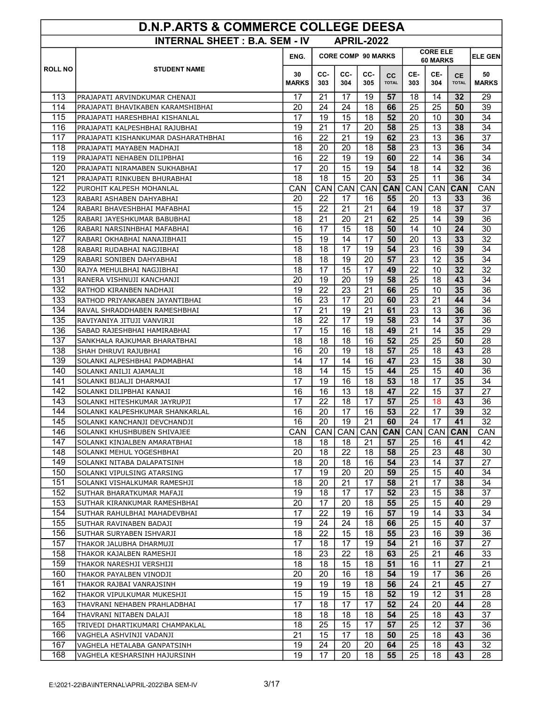| D.N.P.ARTS & COMMERCE COLLEGE DEESA |                                                      |                                                                  |            |            |                   |                           |            |            |                           |                    |
|-------------------------------------|------------------------------------------------------|------------------------------------------------------------------|------------|------------|-------------------|---------------------------|------------|------------|---------------------------|--------------------|
|                                     | <b>INTERNAL SHEET: B.A. SEM - IV</b>                 |                                                                  |            |            | <b>APRIL-2022</b> |                           |            |            |                           |                    |
|                                     |                                                      | <b>CORE ELE</b><br><b>CORE COMP 90 MARKS</b><br>ENG.<br>60 MARKS |            |            |                   |                           |            |            |                           | <b>ELE GEN</b>     |
| <b>ROLL NO</b>                      | <b>STUDENT NAME</b>                                  | 30<br><b>MARKS</b>                                               | CC-<br>303 | CC-<br>304 | CC-<br>305        | <b>CC</b><br><b>TOTAL</b> | CE-<br>303 | CE-<br>304 | <b>CE</b><br><b>TOTAL</b> | 50<br><b>MARKS</b> |
| 113                                 | PRAJAPATI ARVINDKUMAR CHENAJI                        | 17                                                               | 21         | 17         | 19                | 57                        | 18         | 14         | 32                        | 29                 |
| 114                                 | PRAJAPATI BHAVIKABEN KARAMSHIBHAI                    | 20                                                               | 24         | 24         | 18                | 66                        | 25         | 25         | 50                        | 39                 |
| 115                                 | PRAJAPATI HARESHBHAI KISHANLAL                       | 17                                                               | 19         | 15         | 18                | 52                        | 20         | 10         | 30                        | 34                 |
| 116                                 | PRAJAPATI KALPESHBHAI RAJUBHAI                       | 19                                                               | 21         | 17         | 20                | 58                        | 25         | 13         | 38                        | 34                 |
| 117                                 | PRAJAPATI KISHANKUMAR DASHARATHBHAI                  | 16                                                               | 22         | 21         | 19                | 62                        | 23         | 13         | 36                        | 37                 |
| 118                                 | PRAJAPATI MAYABEN MADHAJI                            | 18                                                               | 20         | 20         | 18                | 58                        | 23         | 13         | 36                        | 34                 |
| 119                                 | PRAJAPATI NEHABEN DILIPBHAI                          | 16                                                               | 22         | 19         | 19                | 60                        | 22         | 14         | 36                        | 34                 |
| 120                                 | PRAJAPATI NIRAMABEN SUKHABHAI                        | 17                                                               | 20         | 15         | 19                | 54                        | 18         | 14         | 32                        | 36                 |
| 121                                 | PRAJAPATI RINKUBEN BHURABHAI                         | 18                                                               | 18         | 15         | 20                | 53                        | 25         | 11         | 36                        | 34                 |
| 122                                 | PUROHIT KALPESH MOHANLAL                             | CAN                                                              | CAN        | CAN        | <b>CAN</b>        | <b>CAN</b>                | CAN        | CAN        | <b>CAN</b>                | CAN                |
| $\overline{123}$                    | RABARI ASHABEN DAHYABHAI                             | 20                                                               | 22         | 17         | 16                | 55                        | 20         | 13         | 33                        | 36                 |
| 124                                 | RABARI BHAVESHBHAI MAFABHAI                          | 15                                                               | 22         | 21         | 21                | 64                        | 19         | 18         | 37                        | 37                 |
| 125                                 | RABARI JAYESHKUMAR BABUBHAI                          | 18                                                               | 21         | 20         | 21                | 62                        | 25         | 14         | 39                        | 36                 |
| 126                                 | RABARI NARSINHBHAI MAFABHAI                          | 16                                                               | 17         | 15         | 18                | 50                        | 14         | 10         | 24                        | 30                 |
| 127                                 | RABARI OKHABHAI NANAJIBHAII                          | 15                                                               | 19         | 14         | 17                | 50                        | 20         | 13         | 33                        | 32                 |
| 128                                 | RABARI RUDABHAI NAGJIBHAI                            | 18                                                               | 18         | 17         | 19                | 54                        | 23         | 16         | 39                        | 34                 |
| 129                                 | RABARI SONIBEN DAHYABHAI                             | 18                                                               | 18         | 19         | 20                | 57                        | 23         | 12         | 35                        | 34                 |
| 130                                 | RAJYA MEHULBHAI NAGJIBHAI                            | 18                                                               | 17         | 15         | 17                | 49                        | 22         | 10         | 32                        | 32                 |
| 131                                 | RANERA VISHNUJI KANCHANJI                            | 20                                                               | 19         | 20         | 19                | 58                        | 25         | 18         | 43                        | 34                 |
| 132                                 | RATHOD KIRANBEN NADHAJI                              | 19                                                               | 22         | 23         | 21                | 66                        | 25         | 10         | 35                        | 36                 |
| 133                                 | RATHOD PRIYANKABEN JAYANTIBHAI                       | 16                                                               | 23         | 17         | 20                | 60                        | 23         | 21         | 44                        | 34                 |
| 134                                 | RAVAL SHRADDHABEN RAMESHBHAI                         | 17                                                               | 21         | 19         | 21                | 61                        | 23         | 13         | 36                        | 36                 |
| 135<br>136                          | RAVIYANIYA JITUJI VANVIRJI                           | 18                                                               | 22         | 17         | 19                | 58                        | 23         | 14         | 37                        | 36                 |
|                                     | SABAD RAJESHBHAI HAMIRABHAI                          | 17<br>18                                                         | 15<br>18   | 16<br>18   | 18<br>16          | 49<br>52                  | 21<br>25   | 14<br>25   | 35<br>50                  | 29<br>28           |
| 137<br>138                          | SANKHALA RAJKUMAR BHARATBHAI                         | 16                                                               | 20         | 19         | 18                | 57                        | 25         | 18         | 43                        | 28                 |
| 139                                 | SHAH DHRUVI RAJUBHAI<br>SOLANKI ALPESHBHAI PADMABHAI | 14                                                               | 17         | 14         | 16                | 47                        | 23         | 15         | 38                        | 30                 |
| 140                                 | SOLANKI ANILJI AJAMALJI                              | 18                                                               | 14         | 15         | 15                | 44                        | 25         | 15         | 40                        | 36                 |
| 141                                 | SOLANKI BIJALJI DHARMAJI                             | 17                                                               | 19         | 16         | 18                | 53                        | 18         | 17         | 35                        | 34                 |
| 142                                 | SOLANKI DILIPBHAI KANAJI                             | 16                                                               | 16         | 13         | 18                | 47                        | 22         | 15         | 37                        | 27                 |
| 143                                 | SOLANKI HITESHKUMAR JAYRUPJI                         | 17                                                               | 22         | 18         | 17                | 57                        | 25         | 18         | 43                        | 36                 |
| 144                                 | SOLANKI KALPESHKUMAR SHANKARLAL                      | 16                                                               | 20         | 17         | 16                | 53                        | 22         | 17         | 39                        | 32                 |
| 145                                 | SOLANKI KANCHANJI DEVCHANDJI                         | 16                                                               | 20         | 19         | 21                | 60                        | 24         | 17         | 41                        | 32                 |
| 146                                 | SOLANKI KHUSHBUBEN SHIVAJEE                          | CAN                                                              | CAN        | CAN        |                   | CAN   CAN                 | CAN        | CAN        | <b>CAN</b>                | <b>CAN</b>         |
| 147                                 | SOLANKI KINJALBEN AMARATBHAI                         | 18                                                               | 18         | 18         | 21                | 57                        | 25         | 16         | 41                        | 42                 |
| 148                                 | SOLANKI MEHUL YOGESHBHAI                             | 20                                                               | 18         | 22         | 18                | 58                        | 25         | 23         | 48                        | 30                 |
| 149                                 | SOLANKI NITABA DALAPATSINH                           | 18                                                               | 20         | 18         | 16                | 54                        | 23         | 14         | 37                        | 27                 |
| 150                                 | SOLANKI VIPULSING ATARSING                           | 17                                                               | 19         | 20         | 20                | 59                        | 25         | 15         | 40                        | 34                 |
| 151                                 | SOLANKI VISHALKUMAR RAMESHJI                         | 18                                                               | 20         | 21         | 17                | 58                        | 21         | 17         | 38                        | 34                 |
| 152                                 | SUTHAR BHARATKUMAR MAFAJI                            | 19                                                               | 18         | 17         | 17                | 52                        | 23         | 15         | 38                        | 37                 |
| 153                                 | SUTHAR KIRANKUMAR RAMESHBHAI                         | 20                                                               | 17         | 20         | 18                | 55                        | 25         | 15         | 40                        | 29                 |
| 154                                 | SUTHAR RAHULBHAI MAHADEVBHAI                         | 17                                                               | 22         | 19         | 16                | 57                        | 19         | 14         | 33                        | 34                 |
| 155                                 | SUTHAR RAVINABEN BADAJI                              | 19                                                               | 24         | 24         | 18                | 66                        | 25         | 15         | 40                        | 37                 |
| 156                                 | SUTHAR SURYABEN ISHVARJI                             | 18                                                               | 22         | 15         | 18                | 55                        | 23         | 16         | 39                        | 36                 |
| 157                                 | THAKOR JALUBHA DHARMUJI                              | 17                                                               | 18         | 17         | 19                | 54                        | 21         | 16         | 37                        | 27                 |
| 158                                 | THAKOR KAJALBEN RAMESHJI                             | 18                                                               | 23         | 22         | 18                | 63                        | 25         | 21         | 46                        | 33                 |
| 159                                 | THAKOR NARESHJI VERSHIJI                             | 18                                                               | 18         | 15         | 18                | 51                        | 16         | 11         | 27                        | 21                 |
| 160                                 | THAKOR PAYALBEN VINODJI                              | 20                                                               | 20         | 16         | 18                | 54                        | 19         | 17         | 36                        | 26                 |
| 161                                 | THAKOR RAJBAI VANRAJSINH                             | 19                                                               | 19         | 19         | 18                | 56                        | 24         | 21         | 45                        | 27                 |
| 162                                 | THAKOR VIPULKUMAR MUKESHJI                           | 15                                                               | 19         | 15         | 18                | 52                        | 19         | 12         | 31                        | 28                 |
| 163                                 | THAVRANI NEHABEN PRAHLADBHAI                         | 17                                                               | 18         | 17         | 17                | 52                        | 24         | 20         | 44                        | 28                 |
| 164                                 | THAVRANI NITABEN DALAJI                              | 18                                                               | 18         | 18         | 18                | 54                        | 25         | 18         | 43                        | 37                 |
| 165                                 | TRIVEDI DHARTIKUMARI CHAMPAKLAL                      | 18                                                               | 25         | 15         | 17                | 57                        | 25         | 12         | 37                        | 36                 |
| 166                                 | VAGHELA ASHVINJI VADANJI                             | 21                                                               | 15         | 17         | 18                | 50                        | 25         | 18         | 43                        | 36                 |
| 167                                 | VAGHELA HETALABA GANPATSINH                          | 19                                                               | 24         | 20         | 20                | 64                        | 25         | 18         | 43                        | 32                 |
| 168                                 | VAGHELA KESHARSINH HAJURSINH                         | 19                                                               | 17         | 20         | 18                | 55                        | 25         | 18         | 43                        | 28                 |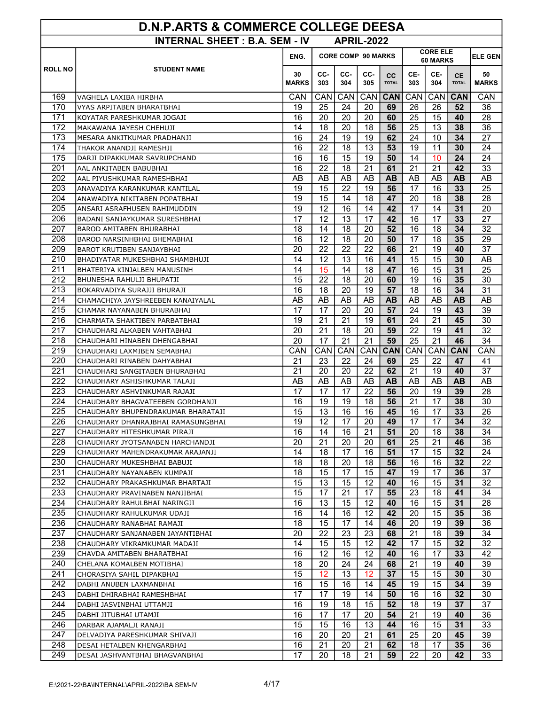| <b>INTERNAL SHEET: B.A. SEM - IV</b><br><b>APRIL-2022</b><br><b>CORE COMP 90 MARKS</b><br>ENG.     |                      |                                   |              |              |  |  |  |  |  |  |  |  |  |
|----------------------------------------------------------------------------------------------------|----------------------|-----------------------------------|--------------|--------------|--|--|--|--|--|--|--|--|--|
|                                                                                                    |                      |                                   |              |              |  |  |  |  |  |  |  |  |  |
|                                                                                                    |                      | <b>CORE ELE</b><br><b>ELE GEN</b> |              |              |  |  |  |  |  |  |  |  |  |
|                                                                                                    |                      | 60 MARKS                          |              |              |  |  |  |  |  |  |  |  |  |
| <b>ROLL NO</b><br><b>STUDENT NAME</b><br>CC-<br>CC-<br>CC-<br>30                                   | CE-<br><b>CC</b>     | CE-                               | CE.          | 50           |  |  |  |  |  |  |  |  |  |
| <b>MARKS</b><br>303<br>304<br>305                                                                  | 303<br><b>TOTAL</b>  | 304                               | <b>TOTAL</b> | <b>MARKS</b> |  |  |  |  |  |  |  |  |  |
| 169<br>CAN<br>CAN<br>CAN<br>CAN<br>VAGHELA LAXIBA HIRBHA                                           | <b>CAN</b><br>CAN    | CAN                               | <b>CAN</b>   | CAN          |  |  |  |  |  |  |  |  |  |
| 170<br>25<br>24<br>20<br>19<br>VYAS ARPITABEN BHARATBHAI                                           | 69<br>26             | 26                                | 52           | 36           |  |  |  |  |  |  |  |  |  |
| 171<br>16<br>20<br>20<br>20<br>KOYATAR PARESHKUMAR JOGAJI                                          | 25<br>60             | 15                                | 40           | 28           |  |  |  |  |  |  |  |  |  |
| 172<br>14<br>18<br>20<br>18<br>MAKAWANA JAYESH CHEHUJI                                             | 56<br>25             | 13                                | 38           | 36           |  |  |  |  |  |  |  |  |  |
| 24<br>173<br>16<br>19<br>19<br>MESARA ANKITKUMAR PRADHANJI                                         | 24<br>62             | 10                                | 34           | 27           |  |  |  |  |  |  |  |  |  |
| 174<br>22<br>16<br>18<br>13<br>THAKOR ANANDJI RAMESHJI                                             | 53<br>19             | 11                                | 30           | 24           |  |  |  |  |  |  |  |  |  |
| 15<br>19<br>175<br>16<br>16<br>DARJI DIPAKKUMAR SAVRUPCHAND                                        | 50<br>14             | 10                                | 24           | 24           |  |  |  |  |  |  |  |  |  |
| 201<br>16<br>22<br>18<br>21<br>AAL ANKITABEN BABUBHAI                                              | 61<br>21             | 21                                | 42           | 33           |  |  |  |  |  |  |  |  |  |
| 202<br>AB<br>AB<br>AB<br>AB<br>AAL PIYUSHKUMAR RAMESHBHAI                                          | <b>AB</b><br>AB      | AB                                | <b>AB</b>    | AB           |  |  |  |  |  |  |  |  |  |
| 19<br>15<br>22<br>19<br>203<br>ANAVADIYA KARANKUMAR KANTILAL                                       | 17<br>56             | 16                                | 33           | 25           |  |  |  |  |  |  |  |  |  |
| 204<br>19<br>15<br>14<br>18<br>ANAWADIYA NIKITABEN POPATBHAI                                       | 47<br>20             | 18                                | 38           | 28           |  |  |  |  |  |  |  |  |  |
| 205<br>19<br>12<br>16<br>14<br>ANSARI ASRAFHUSEN RAHIMUDDIN                                        | 42<br>17             | 14                                | 31           | 20           |  |  |  |  |  |  |  |  |  |
| 17<br>13<br>206<br>12<br>17<br>BADANI SANJAYKUMAR SURESHBHAI<br>207<br>18<br>18<br>14<br>20        | 42<br>16<br>52<br>16 | 17<br>18                          | 33<br>34     | 27<br>32     |  |  |  |  |  |  |  |  |  |
| BAROD AMITABEN BHURABHAI<br>16<br>12<br>208<br>18<br>20                                            | 17<br>50             | 18                                | 35           | 29           |  |  |  |  |  |  |  |  |  |
| BAROD NARSINHBHAI BHEMABHAI<br>209<br>22<br>22<br>20<br>22<br>BAROT KRUTIBEN SANJAYBHAI            | 21<br>66             | 19                                | 40           | 37           |  |  |  |  |  |  |  |  |  |
| 14<br>12<br>13<br>210<br>16<br>BHADIYATAR MUKESHBHAI SHAMBHUJI                                     | 41<br>15             | 15                                | 30           | AB           |  |  |  |  |  |  |  |  |  |
| 211<br>15<br>14<br>14<br>18<br>BHATERIYA KINJALBEN MANUSINH                                        | 16<br>47             | 15                                | 31           | 25           |  |  |  |  |  |  |  |  |  |
| 212<br>15<br>22<br>18<br>20<br>BHUNESHA RAHULJI BHUPATJI                                           | 60<br>19             | 16                                | 35           | 30           |  |  |  |  |  |  |  |  |  |
| 18<br>20<br>213<br>16<br>19<br>BOKARVADIYA SURAJJI BHURAJI                                         | 18<br>57             | 16                                | 34           | 31           |  |  |  |  |  |  |  |  |  |
| 214<br>AB<br>AB<br>AB<br>AB<br>CHAMACHIYA JAYSHREEBEN KANAIYALAL                                   | <b>AB</b><br>AB      | AB                                | <b>AB</b>    | AB           |  |  |  |  |  |  |  |  |  |
| 215<br>17<br>17<br>20<br>20<br>CHAMAR NAYANABEN BHURABHAI                                          | 24<br>57             | 19                                | 43           | 39           |  |  |  |  |  |  |  |  |  |
| 216<br>21<br>19<br>21<br>19<br>CHARMATA SHAKTIBEN PARBATBHAI                                       | 24<br>61             | 21                                | 45           | 30           |  |  |  |  |  |  |  |  |  |
| 217<br>20<br>21<br>18<br>20<br>CHAUDHARI ALKABEN VAHTABHAI                                         | 59<br>22             | 19                                | 41           | 32           |  |  |  |  |  |  |  |  |  |
| 20<br>21<br>21<br>218<br>17<br>CHAUDHARI HINABEN DHENGABHAI                                        | 59<br>25             | 21                                | 46           | 34           |  |  |  |  |  |  |  |  |  |
| 219<br>CAN<br>CAN<br>CAN<br>CAN<br>CHAUDHARI LAXMIBEN SEMABHAI                                     | <b>CAN</b><br>CAN    | CAN                               | <b>CAN</b>   | CAN          |  |  |  |  |  |  |  |  |  |
| 220<br>21<br>23<br>22<br>24<br>CHAUDHARI RINABEN DAHYABHAI                                         | 25<br>69             | 22                                | 47           | 41           |  |  |  |  |  |  |  |  |  |
| 221<br>21<br>20<br>20<br>22<br>CHAUDHARI SANGITABEN BHURABHAI                                      | 62<br>21             | 19                                | 40           | 37           |  |  |  |  |  |  |  |  |  |
| 222<br>AB<br>AB<br>AB<br>AB<br>CHAUDHARY ASHISHKUMAR TALAJI                                        | <b>AB</b><br>AB      | AB                                | <b>AB</b>    | AB           |  |  |  |  |  |  |  |  |  |
| 17<br>17<br>22<br>223<br>17<br>CHAUDHARY ASHVINKUMAR RAJAJI                                        | 20<br>56             | 19                                | 39           | 28           |  |  |  |  |  |  |  |  |  |
| 224<br>16<br>19<br>19<br>18<br>CHAUDHARY BHAGVATEEBEN GORDHANJI                                    | 56<br>21             | 17                                | 38           | 30           |  |  |  |  |  |  |  |  |  |
| 225<br>15<br>13<br>16<br>16<br>CHAUDHARY BHUPENDRAKUMAR BHARATAJI                                  | 45<br>16             | 17                                | 33           | 26           |  |  |  |  |  |  |  |  |  |
| 226<br>12<br>20<br>CHAUDHARY DHANRAJBHAI RAMASUNGBHAI<br>19<br>17                                  | 49<br>17             | 17                                | 34           | 32           |  |  |  |  |  |  |  |  |  |
| 227<br>16<br>14<br>16<br>21<br>CHAUDHARY HITESHKUMAR PIRAJI                                        | 51<br>20             | 18                                | 38           | 34           |  |  |  |  |  |  |  |  |  |
| 20<br>228<br>21<br>20<br>20<br>CHAUDHARY JYOTSANABEN HARCHANDJI                                    | 61<br>25             | 21                                | 46           | 36           |  |  |  |  |  |  |  |  |  |
| 229<br>14<br>18<br>17<br>16<br>CHAUDHARY MAHENDRAKUMAR ARAJANJI                                    | 51<br>17             | 15                                | 32           | 24           |  |  |  |  |  |  |  |  |  |
| 230<br>18<br>18<br>20<br>18<br>CHAUDHARY MUKESHBHAI BABUJI                                         | 56<br>16             | 16                                | 32           | 22           |  |  |  |  |  |  |  |  |  |
| 231<br>18<br>15<br>17<br>15<br>CHAUDHARY NAYANABEN KUMPAJI                                         | 47<br>19             | 17                                | 36           | 37           |  |  |  |  |  |  |  |  |  |
| 232<br>15<br>13<br>15<br>12<br>CHAUDHARY PRAKASHKUMAR BHARTAJI                                     | 40<br>16             | 15                                | 31           | 32           |  |  |  |  |  |  |  |  |  |
| 15<br>21<br>17<br>233<br>17<br>CHAUDHARY PRAVINABEN NANJIBHAI                                      | 55<br>23             | 18                                | 41           | 34           |  |  |  |  |  |  |  |  |  |
| 234<br>16<br>13<br>15<br>12<br>CHAUDHARY RAHULBHAI NARINGJI                                        | 40<br>16             | 15                                | 31           | 28           |  |  |  |  |  |  |  |  |  |
| 235<br>16<br>14<br>16<br>12<br>CHAUDHARY RAHULKUMAR UDAJI                                          | 42<br>20             | 15                                | 35           | 36           |  |  |  |  |  |  |  |  |  |
| 236<br>18<br>15<br>17<br>14<br>CHAUDHARY RANABHAI RAMAJI                                           | 20<br>46             | 19                                | 39           | 36           |  |  |  |  |  |  |  |  |  |
| 237<br>20<br>22<br>23<br>23<br>CHAUDHARY SANJANABEN JAYANTIBHAI                                    | 68<br>21             | 18                                | 39           | 34           |  |  |  |  |  |  |  |  |  |
| 14<br>15<br>238<br>15<br>12<br>CHAUDHARY VIKRAMKUMAR MADAJI                                        | 42<br>17             | 15                                | 32           | 32           |  |  |  |  |  |  |  |  |  |
| 239<br>12<br>16<br>16<br>12<br>CHAVDA AMITABEN BHARATBHAI                                          | 40<br>16             | 17                                | 33           | 42           |  |  |  |  |  |  |  |  |  |
| 240<br>18<br>24<br>24<br>20<br>CHELANA KOMALBEN MOTIBHAI                                           | 68<br>21             | 19                                | 40           | 39           |  |  |  |  |  |  |  |  |  |
| 241<br>15<br>12<br>13<br>12<br>CHORASIYA SAHIL DIPAKBHAI<br>242                                    | 37<br>15             | 15                                | 30           | 30           |  |  |  |  |  |  |  |  |  |
| 16<br>15<br>16<br>DABHI ANUBEN LAXMANBHAI<br>14<br>17<br>17<br>19<br>14                            | 45<br>19<br>50<br>16 | 15                                | 34<br>32     | 39<br>30     |  |  |  |  |  |  |  |  |  |
| 243<br>DABHI DHIRABHAI RAMESHBHAI<br>244<br>15                                                     | 18                   | 16                                | 37           |              |  |  |  |  |  |  |  |  |  |
| 16<br>19<br>18<br>DABHI JASVINBHAI UTTAMJI<br>245<br>16<br>17<br>17<br>20<br>DABHI JITUBHAI UTAMJI | 52<br>54<br>21       | 19<br>19                          | 40           | 37<br>36     |  |  |  |  |  |  |  |  |  |
| 246<br>15<br>13<br>DARBAR AJAMALJI RANAJI<br>15<br>16                                              | 44<br>16             | 15                                | 31           | 33           |  |  |  |  |  |  |  |  |  |
| 247<br>16<br>20<br>DELVADIYA PARESHKUMAR SHIVAJI<br>20<br>21                                       | 61<br>25             | 20                                | 45           | 39           |  |  |  |  |  |  |  |  |  |
| 16<br>248<br>21<br>20<br>21<br>DESAI HETALBEN KHENGARBHAI                                          | 62<br>18             | 17                                | 35           | 36           |  |  |  |  |  |  |  |  |  |
| 249<br>17<br>20<br>18<br>21<br>DESAI JASHVANTBHAI BHAGVANBHAI                                      | 59<br>22             | 20                                | 42           | 33           |  |  |  |  |  |  |  |  |  |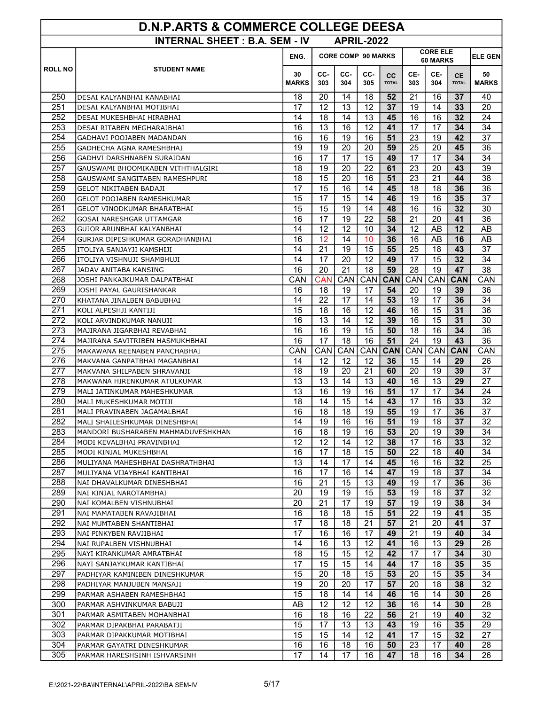| <b>D.N.P.ARTS &amp; COMMERCE COLLEGE DEESA</b>            |                                                             |                    |                                                          |            |            |                    |            |                  |                           |                    |  |
|-----------------------------------------------------------|-------------------------------------------------------------|--------------------|----------------------------------------------------------|------------|------------|--------------------|------------|------------------|---------------------------|--------------------|--|
| <b>INTERNAL SHEET: B.A. SEM - IV</b><br><b>APRIL-2022</b> |                                                             |                    |                                                          |            |            |                    |            |                  |                           |                    |  |
|                                                           |                                                             | ENG.               | <b>CORE ELE</b><br><b>CORE COMP 90 MARKS</b><br>60 MARKS |            |            |                    |            |                  |                           | <b>ELE GEN</b>     |  |
| <b>ROLL NO</b>                                            | <b>STUDENT NAME</b>                                         | 30<br><b>MARKS</b> | CC-<br>303                                               | CC-<br>304 | CC-<br>305 | cc<br><b>TOTAL</b> | CE-<br>303 | CE-<br>304       | <b>CE</b><br><b>TOTAL</b> | 50<br><b>MARKS</b> |  |
| 250                                                       | DESAI KALYANBHAI KANABHAI                                   | 18                 | 20                                                       | 14         | 18         | 52                 | 21         | 16               | 37                        | 40                 |  |
| 251                                                       | DESAI KALYANBHAI MOTIBHAI                                   | 17                 | 12                                                       | 13         | 12         | 37                 | 19         | 14               | 33                        | 20                 |  |
| 252                                                       | DESAI MUKESHBHAI HIRABHAI                                   | 14                 | 18                                                       | 14         | 13         | 45                 | 16         | 16               | 32                        | 24                 |  |
| 253                                                       | DESAI RITABEN MEGHARAJBHAI                                  | 16                 | 13                                                       | 16         | 12         | 41                 | 17         | 17               | 34                        | 34                 |  |
| 254                                                       | GADHAVI POOJABEN MADANDAN                                   | 16                 | 16                                                       | 19         | 16         | 51                 | 23         | 19               | 42                        | 37                 |  |
| 255                                                       | GADHECHA AGNA RAMESHBHAI                                    | 19                 | 19                                                       | 20         | 20         | 59                 | 25         | 20               | 45                        | 36                 |  |
| 256                                                       | GADHVI DARSHNABEN SURAJDAN                                  | 16                 | $\overline{17}$                                          | 17         | 15         | 49                 | 17         | 17               | 34                        | 34                 |  |
| 257                                                       | GAUSWAMI BHOOMIKABEN VITHTHALGIRI                           | 18                 | 19                                                       | 20         | 22         | 61                 | 23         | 20               | 43                        | 39                 |  |
| 258                                                       | GAUSWAMI SANGITABEN RAMESHPURI                              | 18                 | 15                                                       | 20         | 16         | 51                 | 23         | 21               | 44                        | 38                 |  |
| 259                                                       | GELOT NIKITABEN BADAJI                                      | 17                 | 15                                                       | 16         | 14         | 45                 | 18         | 18               | 36                        | 36                 |  |
| 260                                                       | <b>GELOT POOJABEN RAMESHKUMAR</b>                           | 15                 | 17                                                       | 15         | 14         | 46                 | 19         | 16               | 35                        | 37                 |  |
| 261                                                       | <b>GELOT VINODKUMAR BHARATBHAI</b>                          | 15                 | 15                                                       | 19         | 14         | 48                 | 16         | 16               | 32                        | 30                 |  |
| 262                                                       | GOSAI NARESHGAR UTTAMGAR                                    | 16                 | 17                                                       | 19         | 22         | 58                 | 21         | 20               | 41                        | 36                 |  |
| 263                                                       | GUJOR ARUNBHAI KALYANBHAI                                   | 14                 | 12                                                       | 12         | 10         | 34                 | 12         | AB               | 12                        | AB                 |  |
| 264                                                       | GURJAR DIPESHKUMAR GORADHANBHAI                             | 16                 | 12                                                       | 14         | 10         | 36                 | 16         | AB               | 16                        | AB                 |  |
| 265                                                       | ITOLIYA SANJAYJI KAMSHIJI                                   | 14                 | 21                                                       | 19         | 15         | 55                 | 25         | 18               | 43                        | 37                 |  |
| 266                                                       | ITOLIYA VISHNUJI SHAMBHUJI                                  | 14                 | 17                                                       | 20         | 12         | 49                 | 17         | 15               | 32                        | 34                 |  |
| 267                                                       | JADAV ANITABA KANSING                                       | 16                 | 20                                                       | 21         | 18         | 59                 | 28         | 19               | 47                        | 38                 |  |
| 268                                                       | JOSHI PANKAJKUMAR DALPATBHAI                                | CAN                | CAN                                                      | CAN        | CAN        | <b>CAN</b>         | CAN        | CAN              | <b>CAN</b>                | CAN                |  |
| 269                                                       | JOSHI PAYAL GAURISHANKAR                                    | 16                 | 18                                                       | 19         | 17         | 54                 | 20         | 19               | 39                        | 36                 |  |
| 270                                                       | KHATANA JINALBEN BABUBHAI                                   | 14                 | 22                                                       | 17         | 14         | 53                 | 19         | 17               | 36                        | 34                 |  |
| 271                                                       | KOLI ALPESHJI KANTIJI                                       | 15                 | 18                                                       | 16         | 12         | 46                 | 16         | 15               | 31                        | 36                 |  |
| 272                                                       | KOLI ARVINDKUMAR NANUJI                                     | 16                 | 13                                                       | 14         | 12         | 39                 | 16         | 15               | 31                        | 30                 |  |
| 273                                                       | MAJIRANA JIGARBHAI REVABHAI                                 | 16                 | 16                                                       | 19         | 15         | 50                 | 18         | 16               | 34                        | 36                 |  |
| 274<br>275                                                | MAJIRANA SAVITRIBEN HASMUKHBHAI                             | 16                 | 17                                                       | 18         | 16         | 51                 | 24         | 19               | 43                        | 36                 |  |
| 276                                                       | MAKAWANA REENABEN PANCHABHAI                                | CAN<br>14          | CAN<br>12                                                | CAN<br>12  | CAN<br>12  | <b>CAN</b><br>36   | CAN<br>15  | <b>CAN</b><br>14 | <b>CAN</b><br>29          | CAN<br>26          |  |
| 277                                                       | MAKVANA GANPATBHAI MAGANBHAI<br>MAKVANA SHILPABEN SHRAVANJI | 18                 | 19                                                       | 20         | 21         | 60                 | 20         | 19               | 39                        | 37                 |  |
| 278                                                       | MAKWANA HIRENKUMAR ATULKUMAR                                | 13                 | 13                                                       | 14         | 13         | 40                 | 16         | 13               | 29                        | 27                 |  |
| 279                                                       | MALI JATINKUMAR MAHESHKUMAR                                 | 13                 | 16                                                       | 19         | 16         | 51                 | 17         | 17               | 34                        | 24                 |  |
| 280                                                       | MALI MUKESHKUMAR MOTIJI                                     | 18                 | 14                                                       | 15         | 14         | 43                 | 17         | 16               | 33                        | 32                 |  |
| 281                                                       | MALI PRAVINABEN JAGAMALBHAI                                 | 16                 | 18                                                       | 18         | 19         | 55                 | 19         | 17               | 36                        | 37                 |  |
| 282                                                       | MALI SHAILESHKUMAR DINESHBHAI                               | 14                 | 19                                                       | 16         | 16         | 51                 | 19         | 18               | 37                        | 32                 |  |
| 283                                                       | MANDORI BUSHARABEN MAHMADUVESHKHAN                          | 16                 | 18                                                       | 19         | 16         | 53                 | 20         | 19               | 39                        | 34                 |  |
| 284                                                       | MODI KEVALBHAI PRAVINBHAI                                   | 12                 | 12                                                       | 14         | 12         | 38                 | 17         | 16               | 33                        | 32                 |  |
| 285                                                       | MODI KINJAL MUKESHBHAI                                      | 16                 | 17                                                       | 18         | 15         | 50                 | 22         | 18               | 40                        | 34                 |  |
| 286                                                       | MULIYANA MAHESHBHAI DASHRATHBHAI                            | 13                 | 14                                                       | 17         | 14         | 45                 | 16         | 16               | 32                        | 25                 |  |
| 287                                                       | MULIYANA VIJAYBHAI KANTIBHAI                                | 16                 | 17                                                       | 16         | 14         | 47                 | 19         | 18               | 37                        | 34                 |  |
| 288                                                       | NAI DHAVALKUMAR DINESHBHAI                                  | 16                 | 21                                                       | 15         | 13         | 49                 | 19         | 17               | 36                        | 36                 |  |
| 289                                                       | NAI KINJAL NAROTAMBHAI                                      | 20                 | 19                                                       | 19         | 15         | 53                 | 19         | 18               | 37                        | 32                 |  |
| 290                                                       | NAI KOMALBEN VISHNUBHAI                                     | 20                 | 21                                                       | 17         | 19         | 57                 | 19         | 19               | 38                        | 34                 |  |
| 291                                                       | NAI MAMATABEN RAVAJIBHAI                                    | 16                 | 18                                                       | 18         | 15         | 51                 | 22         | 19               | 41                        | 35                 |  |
| 292                                                       | NAI MUMTABEN SHANTIBHAI                                     | 17                 | 18                                                       | 18         | 21         | 57                 | 21         | 20               | 41                        | 37                 |  |
| 293                                                       | NAI PINKYBEN RAVJIBHAI                                      | 17                 | 16                                                       | 16         | 17         | 49                 | 21         | 19               | 40                        | 34                 |  |
| 294                                                       | NAI RUPALBEN VISHNUBHAI                                     | 14                 | 16                                                       | 13         | 12         | 41                 | 16         | 13               | 29                        | 26                 |  |
| 295                                                       | NAYI KIRANKUMAR AMRATBHAI                                   | 18                 | 15                                                       | 15         | 12         | 42                 | 17         | 17               | 34                        | 30                 |  |
| 296                                                       | NAYI SANJAYKUMAR KANTIBHAI                                  | $\overline{17}$    | 15                                                       | 15         | 14         | 44                 | 17         | 18               | 35                        | 35                 |  |
| 297                                                       | PADHIYAR KAMINIBEN DINESHKUMAR                              | 15                 | 20                                                       | 18         | 15         | 53                 | 20         | 15               | 35                        | 34                 |  |
| 298                                                       | PADHIYAR MANJUBEN MANSAJI                                   | 19                 | 20                                                       | 20         | 17         | 57                 | 20         | 18               | 38                        | 32                 |  |
| 299                                                       | PARMAR ASHABEN RAMESHBHAI                                   | 15                 | 18                                                       | 14         | 14         | 46                 | 16         | 14               | 30                        | 26                 |  |
| 300                                                       | PARMAR ASHVINKUMAR BABUJI                                   | AB                 | 12                                                       | 12         | 12         | 36                 | 16         | 14               | 30                        | 28                 |  |
| 301                                                       | PARMAR ASMITABEN MOHANBHAI                                  | 16                 | 18                                                       | 16         | 22         | 56                 | 21         | 19               | 40                        | 32                 |  |
| 302                                                       | PARMAR DIPAKBHAI PARABATJI                                  | 15                 | 17                                                       | 13         | 13         | 43                 | 19         | 16               | 35                        | 29                 |  |
| 303                                                       | PARMAR DIPAKKUMAR MOTIBHAI                                  | 15                 | 15                                                       | 14         | 12         | 41                 | 17         | 15               | 32                        | 27                 |  |
| 304                                                       | PARMAR GAYATRI DINESHKUMAR                                  | 16                 | 16                                                       | 18         | 16         | 50                 | 23         | 17               | 40                        | 28                 |  |
| 305                                                       | PARMAR HARESHSINH ISHVARSINH                                | 17                 | 14                                                       | 17         | 16         | 47                 | 18         | 16               | 34                        | 26                 |  |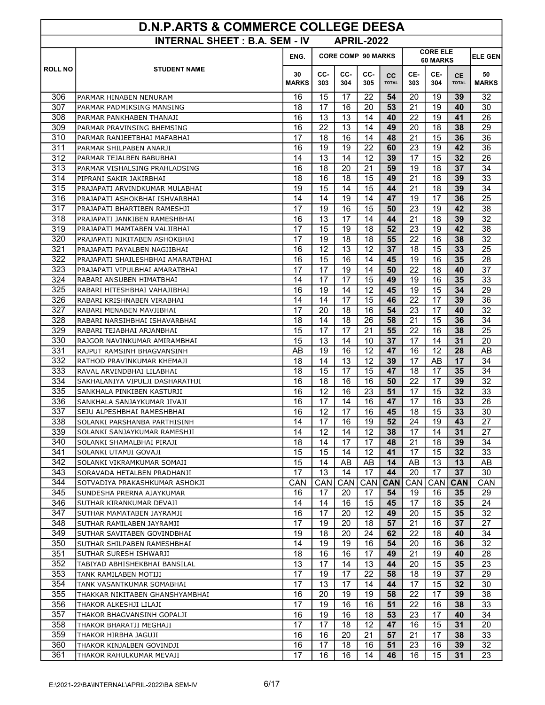| <b>D.N.P.ARTS &amp; COMMERCE COLLEGE DEESA</b>            |                                                             |                    |                 |            |                           |                             |                  |                 |                           |                    |  |
|-----------------------------------------------------------|-------------------------------------------------------------|--------------------|-----------------|------------|---------------------------|-----------------------------|------------------|-----------------|---------------------------|--------------------|--|
| <b>INTERNAL SHEET: B.A. SEM - IV</b><br><b>APRIL-2022</b> |                                                             |                    |                 |            |                           |                             |                  |                 |                           |                    |  |
|                                                           |                                                             | ENG.               |                 |            | <b>CORE COMP 90 MARKS</b> | <b>CORE ELE</b><br>60 MARKS | <b>ELE GEN</b>   |                 |                           |                    |  |
| <b>ROLL NO</b>                                            | <b>STUDENT NAME</b>                                         | 30<br><b>MARKS</b> | CC-<br>303      | CC-<br>304 | CC-<br>305                | cc<br><b>TOTAL</b>          | CE-<br>303       | CE-<br>304      | <b>CE</b><br><b>TOTAL</b> | 50<br><b>MARKS</b> |  |
| 306                                                       | PARMAR HINABEN NENURAM                                      | 16                 | 15              | 17         | 22                        | 54                          | 20               | 19              | 39                        | 32                 |  |
| 307                                                       | PARMAR PADMIKSING MANSING                                   | 18                 | 17              | 16         | 20                        | 53                          | 21               | 19              | 40                        | 30                 |  |
| 308                                                       | PARMAR PANKHABEN THANAJI                                    | 16                 | 13              | 13         | 14                        | 40                          | 22               | 19              | 41                        | 26                 |  |
| 309                                                       | PARMAR PRAVINSING BHEMSING                                  | 16                 | 22              | 13         | 14                        | 49                          | 20               | 18              | 38                        | 29                 |  |
| 310                                                       | PARMAR RANJEETBHAI MAFABHAI                                 | 17                 | 18              | 16         | 14                        | 48                          | 21               | 15              | 36                        | 36                 |  |
| 311                                                       | PARMAR SHILPABEN ANARJI                                     | 16                 | 19              | 19         | 22                        | 60                          | 23               | 19              | 42                        | 36                 |  |
| 312                                                       | PARMAR TEJALBEN BABUBHAI                                    | 14                 | $\overline{13}$ | 14         | 12                        | 39                          | 17               | $\overline{15}$ | 32                        | 26                 |  |
| 313                                                       | PARMAR VISHALSING PRAHLADSING                               | 16                 | 18              | 20         | 21                        | 59                          | 19               | 18              | 37                        | 34                 |  |
| 314                                                       | PIPRANI SAKIR JAKIRBHAI                                     | 18                 | 16              | 18         | 15                        | 49                          | $\overline{21}$  | 18              | 39                        | 33                 |  |
| 315                                                       | PRAJAPATI ARVINDKUMAR MULABHAI                              | 19                 | 15              | 14         | 15                        | 44                          | 21               | 18              | 39                        | 34                 |  |
| 316                                                       | PRAJAPATI ASHOKBHAI ISHVARBHAI                              | 14                 | 14              | 19         | 14                        | 47                          | 19               | 17              | 36                        | 25                 |  |
| 317                                                       | PRAJAPATI BHARTIBEN RAMESHJI                                | 17                 | 19              | 16         | 15                        | 50                          | 23               | 19              | 42                        | 38                 |  |
| 318                                                       | PRAJAPATI JANKIBEN RAMESHBHAI                               | 16                 | 13              | 17         | 14                        | 44                          | 21               | 18              | 39                        | 32                 |  |
| 319                                                       | PRAJAPATI MAMTABEN VALJIBHAI                                | 17                 | 15              | 19         | 18                        | 52                          | 23               | 19              | 42                        | 38                 |  |
| 320                                                       | PRAJAPATI NIKITABEN ASHOKBHAI                               | 17                 | 19              | 18         | 18                        | 55                          | 22               | 16              | 38                        | 32                 |  |
| 321                                                       | PRAJAPATI PAYALBEN NAGJIBHAI                                | 16                 | 12              | 13         | 12                        | 37                          | 18               | 15              | 33                        | 25                 |  |
| 322                                                       | PRAJAPATI SHAILESHBHAI AMARATBHAI                           | 16                 | $\overline{15}$ | 16         | 14                        | 45                          | 19               | 16              | 35                        | 28                 |  |
| 323                                                       | PRAJAPATI VIPULBHAI AMARATBHAI                              | 17                 | 17              | 19         | 14                        | 50                          | 22               | 18              | 40                        | 37                 |  |
| 324                                                       | RABARI ANSUBEN HIMATBHAI                                    | 14                 | 17              | 17         | 15                        | 49                          | 19               | 16              | 35                        | 33                 |  |
| 325                                                       | RABARI HITESHBHAI VAHAJIBHAI                                | 16                 | 19              | 14         | 12                        | 45                          | 19               | 15              | 34                        | 29                 |  |
| 326                                                       | RABARI KRISHNABEN VIRABHAI                                  | 14                 | 14              | 17         | 15                        | 46                          | 22               | 17              | 39                        | 36                 |  |
| 327                                                       | RABARI MENABEN MAVJIBHAI                                    | 17                 | 20              | 18         | 16                        | 54                          | 23               | 17              | 40                        | 32                 |  |
| 328                                                       | RABARI NARSIHBHAI ISHAVARBHAI                               | 18                 | 14              | 18         | 26                        | 58                          | 21               | 15              | 36                        | 34                 |  |
| 329                                                       | RABARI TEJABHAI ARJANBHAI                                   | 15                 | 17              | 17         | 21                        | 55                          | 22               | 16              | 38                        | 25                 |  |
| 330                                                       | RAJGOR NAVINKUMAR AMIRAMBHAI                                | 15                 | 13              | 14         | 10                        | 37                          | 17               | 14              | 31                        | 20                 |  |
| 331                                                       | RAJPUT RAMSINH BHAGVANSINH                                  | AB                 | 19              | 16         | 12                        | 47                          | 16               | 12              | 28                        | AB                 |  |
| 332                                                       | RATHOD PRAVINKUMAR KHEMAJI                                  | 18                 | 14              | 13         | 12                        | 39                          | $\overline{17}$  | AB              | 17                        | 34                 |  |
| 333                                                       | RAVAL ARVINDBHAI LILABHAI                                   | 18                 | 15              | 17         | 15                        | 47                          | 18               | 17              | 35                        | 34                 |  |
| 334                                                       | SAKHALANIYA VIPULJI DASHARATHJI                             | 16                 | 18              | 16         | 16                        | 50                          | 22               | 17              | 39                        | 32                 |  |
| 335                                                       | SANKHALA PINKIBEN KASTURJI                                  | 16                 | 12              | 16         | 23                        | 51                          | 17               | 15              | 32                        | 33                 |  |
| 336                                                       | SANKHALA SANJAYKUMAR JIVAJI                                 | 16                 | 17              | 14         | 16                        | 47                          | 17               | 16              | 33                        | 26                 |  |
| 337                                                       | SEJU ALPESHBHAI RAMESHBHAI                                  | 16                 | 12              | 17         | 16                        | 45                          | 18               | 15              | 33                        | 30                 |  |
| 338                                                       | SOLANKI PARSHANBA PARTHISINH                                | 14                 | 1/              | 16         | 19                        | 52                          | 24               | 19              | 43                        | 27                 |  |
| 339                                                       | SOLANKI SANJAYKUMAR RAMESHJI                                | 14                 | 12              | 14         | 12                        | 38                          | 17               | 14              | 31                        | 27                 |  |
| 340                                                       | SOLANKI SHAMALBHAI PIRAJI                                   | 18                 | 14              | 17         | 17                        | 48                          | 21               | 18              | 39                        | 34                 |  |
| 341                                                       | SOLANKI UTAMJI GOVAJI                                       | 15                 | 15              | 14         | 12                        | 41                          | 17               | 15              | 32                        | 33                 |  |
| 342                                                       | SOLANKI VIKRAMKUMAR SOMAJI                                  | 15                 | 14              | AB         | AB                        | 14                          | AB               | 13              | 13                        | AB                 |  |
| 343<br>344                                                | SORAVADA HETALBEN PRADHANJI                                 | 17                 | 13              | 14<br>CAN  | 17                        | 44                          | 20<br><b>CAN</b> | 17              | 37                        | 30<br><b>CAN</b>   |  |
| 345                                                       | SOTVADIYA PRAKASHKUMAR ASHOKJI<br>SUNDESHA PRERNA AJAYKUMAR | CAN<br>16          | CAN<br>17       | 20         | CAN<br>17                 | <b>CAN</b><br>54            | 19               | CAN<br>16       | <b>CAN</b><br>35          | 29                 |  |
| 346                                                       | SUTHAR KIRANKUMAR DEVAJI                                    | 14                 | 14              | 16         | 15                        | 45                          | 17               | 18              | 35                        | 24                 |  |
| 347                                                       | SUTHAR MAMATABEN JAYRAMJI                                   | 16                 | 17              | 20         | 12                        | 49                          | 20               | 15              | 35                        | 32                 |  |
| 348                                                       | SUTHAR RAMILABEN JAYRAMJI                                   | 17                 | 19              | 20         | 18                        | 57                          | 21               | 16              | 37                        | 27                 |  |
| 349                                                       | SUTHAR SAVITABEN GOVINDBHAI                                 | 19                 | 18              | 20         | 24                        | 62                          | 22               | 18              | 40                        | 34                 |  |
| 350                                                       | SUTHAR SHILPABEN RAMESHBHAI                                 | 14                 | 19              | 19         | 16                        | 54                          | 20               | 16              | 36                        | 32                 |  |
| 351                                                       | SUTHAR SURESH ISHWARJI                                      | 18                 | 16              | 16         | 17                        | 49                          | 21               | 19              | 40                        | 28                 |  |
| 352                                                       | TABIYAD ABHISHEKBHAI BANSILAL                               | 13                 | 17              | 14         | 13                        | 44                          | 20               | 15              | 35                        | 23                 |  |
| 353                                                       | TANK RAMILABEN MOTIJI                                       | 17                 | 19              | 17         | 22                        | 58                          | 18               | 19              | 37                        | 29                 |  |
| 354                                                       | TANK VASANTKUMAR SOMABHAI                                   | 17                 | 13              | 17         | 14                        | 44                          | 17               | 15              | 32                        | 30                 |  |
| 355                                                       | THAKKAR NIKITABEN GHANSHYAMBHAI                             | 16                 | 20              | 19         | 19                        | 58                          | 22               | 17              | 39                        | 38                 |  |
| 356                                                       | THAKOR ALKESHJI LILAJI                                      | 17                 | 19              | 16         | 16                        | 51                          | 22               | 16              | 38                        | 33                 |  |
| 357                                                       | THAKOR BHAGVANSINH GOPALJI                                  | 16                 | 19              | 16         | 18                        | 53                          | 23               | 17              | 40                        | 34                 |  |
| 358                                                       | THAKOR BHARATJI MEGHAJI                                     | 17                 | 17              | 18         | 12                        | 47                          | 16               | 15              | 31                        | 20                 |  |
| 359                                                       | THAKOR HIRBHA JAGUJI                                        | 16                 | 16              | 20         | 21                        | 57                          | 21               | 17              | 38                        | 33                 |  |
| 360                                                       | THAKOR KINJALBEN GOVINDJI                                   | 16                 | 17              | 18         | 16                        | 51                          | 23               | 16              | 39                        | 32                 |  |
| 361                                                       | THAKOR RAHULKUMAR MEVAJI                                    | 17                 | 16              | 16         | 14                        | 46                          | 16               | 15              | 31                        | 23                 |  |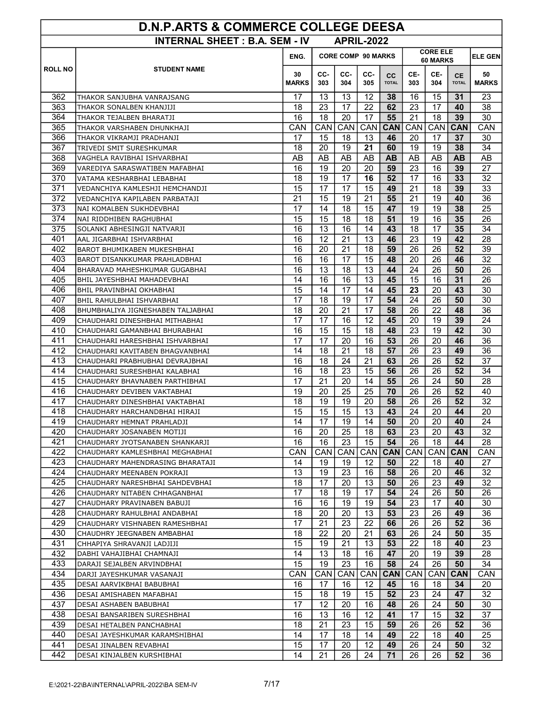| <b>D.N.P.ARTS &amp; COMMERCE COLLEGE DEESA</b> |                                                              |                                                                                    |            |                   |                   |                    |            |            |                           |                    |
|------------------------------------------------|--------------------------------------------------------------|------------------------------------------------------------------------------------|------------|-------------------|-------------------|--------------------|------------|------------|---------------------------|--------------------|
|                                                | <b>INTERNAL SHEET: B.A. SEM - IV</b>                         |                                                                                    |            | <b>APRIL-2022</b> |                   |                    |            |            |                           |                    |
|                                                |                                                              | <b>CORE ELE</b><br><b>CORE COMP 90 MARKS</b><br>ENG.<br><b>ELE GEN</b><br>60 MARKS |            |                   |                   |                    |            |            |                           |                    |
| <b>ROLL NO</b>                                 | <b>STUDENT NAME</b>                                          |                                                                                    |            |                   |                   |                    |            |            |                           |                    |
|                                                |                                                              | 30<br><b>MARKS</b>                                                                 | CC-<br>303 | CC-<br>304        | CC-<br>305        | cc<br><b>TOTAL</b> | CE-<br>303 | CE-<br>304 | <b>CE</b><br><b>TOTAL</b> | 50<br><b>MARKS</b> |
|                                                |                                                              |                                                                                    |            |                   |                   |                    |            |            |                           |                    |
| 362                                            | THAKOR SANJUBHA VANRAJSANG                                   | 17                                                                                 | 13         | 13                | 12                | 38                 | 16         | 15         | 31                        | 23                 |
| 363<br>364                                     | THAKOR SONALBEN KHANJIJI                                     | 18<br>16                                                                           | 23<br>18   | 17<br>20          | 22<br>17          | 62<br>55           | 23<br>21   | 17<br>18   | 40<br>39                  | 38<br>30           |
| 365                                            | THAKOR TEJALBEN BHARATJI<br>THAKOR VARSHABEN DHUNKHAJI       | CAN                                                                                | CAN        | <b>CAN</b>        | <b>CAN</b>        | <b>CAN</b>         | CAN        | CAN.       | <b>CAN</b>                | CAN                |
| 366                                            | THAKOR VIKRAMJI PRADHANJI                                    | 17                                                                                 | 15         | 18                | 13                | 46                 | 20         | 17         | 37                        | 30                 |
| 367                                            | TRIVEDI SMIT SURESHKUMAR                                     | 18                                                                                 | 20         | 19                | 21                | 60                 | 19         | 19         | 38                        | 34                 |
| 368                                            | VAGHELA RAVIBHAI ISHVARBHAI                                  | AB                                                                                 | AB         | AB                | AB                | <b>AB</b>          | AB         | AB         | <b>AB</b>                 | AB                 |
| 369                                            | VAREDIYA SARASWATIBEN MAFABHAI                               | 16                                                                                 | 19         | 20                | 20                | 59                 | 23         | 16         | 39                        | 27                 |
| 370                                            | VATAMA KESHARBHAI LEBABHAI                                   | 18                                                                                 | 19         | 17                | 16                | 52                 | 17         | 16         | 33                        | 32                 |
| 371                                            | VEDANCHIYA KAMLESHJI HEMCHANDJI                              | 15                                                                                 | 17         | 17                | 15                | 49                 | 21         | 18         | 39                        | 33                 |
| 372                                            | VEDANCHIYA KAPILABEN PARBATAJI                               | 21                                                                                 | 15         | 19                | 21                | 55                 | 21         | 19         | 40                        | 36                 |
| 373                                            | NAI KOMALBEN SUKHDEVBHAI                                     | 17                                                                                 | 14         | 18                | 15                | 47                 | 19         | 19         | 38                        | 25                 |
| 374                                            | NAI RIDDHIBEN RAGHUBHAI                                      | 15                                                                                 | 15         | 18                | 18                | 51                 | 19         | 16         | 35                        | 26                 |
| 375                                            | SOLANKI ABHESINGJI NATVARJI                                  | 16                                                                                 | 13         | 16                | 14                | 43                 | 18         | 17         | 35                        | 34                 |
| 401                                            | AAL JIGARBHAI ISHVARBHAI                                     | 16                                                                                 | 12         | 21                | 13                | 46                 | 23         | 19         | 42                        | 28                 |
| 402                                            | BAROT BHUMIKABEN MUKESHBHAI                                  | 16                                                                                 | 20         | 21                | 18                | 59                 | 26         | 26         | 52                        | 39                 |
| 403                                            | BAROT DISANKKUMAR PRAHLADBHAI                                | 16                                                                                 | 16         | 17                | 15                | 48                 | 20         | 26         | 46                        | 32                 |
| 404                                            | BHARAVAD MAHESHKUMAR GUGABHAI                                | 16                                                                                 | 13         | 18                | 13                | 44                 | 24         | 26         | 50                        | 26                 |
| 405                                            | BHIL JAYESHBHAI MAHADEVBHAI                                  | 14                                                                                 | 16         | 16                | 13                | 45                 | 15         | 16         | 31                        | 26                 |
| 406                                            | BHIL PRAVINBHAI OKHABHAI                                     | 15                                                                                 | 14         | 17                | 14                | 45                 | 23         | 20         | 43                        | 30                 |
| 407                                            | BHIL RAHULBHAI ISHVARBHAI                                    | 17                                                                                 | 18         | 19                | 17                | 54                 | 24         | 26         | 50                        | 30                 |
| 408                                            | BHUMBHALIYA JIGNESHABEN TALJABHAI                            | 18                                                                                 | 20         | 21                | 17                | 58                 | 26         | 22         | 48                        | 36                 |
| 409                                            | CHAUDHARI DINESHBHAI MITHABHAI                               | 17                                                                                 | 17         | 16                | 12                | 45                 | 20         | 19         | 39                        | 24                 |
| 410                                            | CHAUDHARI GAMANBHAI BHURABHAI                                | 16                                                                                 | 15         | 15                | 18                | 48                 | 23         | 19         | 42                        | 30                 |
| 411                                            | CHAUDHARI HARESHBHAI ISHVARBHAI                              | 17                                                                                 | 17         | 20                | 16                | 53                 | 26         | 20         | 46                        | 36                 |
| 412                                            | CHAUDHARI KAVITABEN BHAGVANBHAI                              | 14                                                                                 | 18         | 21                | 18                | 57                 | 26         | 23         | 49                        | 36                 |
| 413                                            | CHAUDHARI PRABHUBHAI DEVRAJBHAI                              | 16                                                                                 | 18         | 24                | 21                | 63                 | 26         | 26         | 52                        | 37                 |
| 414                                            | CHAUDHARI SURESHBHAI KALABHAI                                | 16                                                                                 | 18         | 23                | 15                | 56                 | 26         | 26         | 52                        | 34                 |
| 415                                            | CHAUDHARY BHAVNABEN PARTHIBHAI                               | 17                                                                                 | 21         | 20                | 14                | 55                 | 26         | 24         | 50                        | 28                 |
| 416                                            | CHAUDHARY DEVIBEN VAKTABHAI                                  | 19                                                                                 | 20         | 25                | 25                | 70                 | 26         | 26         | 52                        | 40                 |
| 417                                            | CHAUDHARY DINESHBHAI VAKTABHAI                               | 18                                                                                 | 19         | 19                | 20                | 58                 | 26         | 26         | 52                        | 32                 |
| 418                                            | CHAUDHARY HARCHANDBHAI HIRAJI                                | 15                                                                                 | 15         | 15                | 13                | 43                 | 24         | 20         | 44                        | 20                 |
| 419                                            | CHAUDHARY HEMNAT PRAHLADJI                                   | 14                                                                                 | 17         | 19                | 14                | 50                 | 20         | 20         | 40                        | 24                 |
| 420                                            | CHAUDHARY JOSANABEN MOTIJI                                   | 16                                                                                 | 20         | 25                | 18                | 63                 | 23         | 20         | 43                        | 32                 |
| 421                                            | CHAUDHARY JYOTSANABEN SHANKARJI                              | 16                                                                                 | 16         | 23                | 15                | 54                 | 26         | 18         | 44                        | 28                 |
| 422                                            | CHAUDHARY KAMLESHBHAI MEGHABHAI                              | CAN                                                                                | CAN        | CAN               |                   | CAN CAN            | CAN        | CAN        | <b>CAN</b>                | CAN                |
| 423                                            | CHAUDHARY MAHENDRASING BHARATAJI                             | 14                                                                                 | 19         | 19                | 12                | 50                 | 22         | 18         | 40                        | 27                 |
| 424<br>425                                     | CHAUDHARY MEENABEN POKRAJI                                   | 13<br>18                                                                           | 19<br>17   | 23<br>20          | 16                | 58<br>50           | 26         | 20<br>23   | 46                        | 32                 |
| 426                                            | CHAUDHARY NARESHBHAI SAHDEVBHAI                              | 17                                                                                 | 18         | 19                | 13<br>17          | 54                 | 26<br>24   | 26         | 49<br>50                  | 32<br>26           |
| 427                                            | CHAUDHARY NITABEN CHHAGANBHAI<br>CHAUDHARY PRAVINABEN BABUJI | 16                                                                                 | 16         | 19                | 19                | 54                 | 23         | 17         | 40                        | 30                 |
| 428                                            | CHAUDHARY RAHULBHAI ANDABHAI                                 | 18                                                                                 | 20         | 20                | 13                | 53                 | 23         | 26         | 49                        | 36                 |
| 429                                            | CHAUDHARY VISHNABEN RAMESHBHAI                               | 17                                                                                 | 21         | 23                | 22                | 66                 | 26         | 26         | 52                        | 36                 |
| 430                                            | CHAUDHRY JEEGNABEN AMBABHAI                                  | 18                                                                                 | 22         | 20                | 21                | 63                 | 26         | 24         | 50                        | 35                 |
| 431                                            | CHHAPIYA SHRAVANJI LADJIJI                                   | 15                                                                                 | 19         | 21                | 13                | 53                 | 22         | 18         | 40                        | 23                 |
| 432                                            | DABHI VAHAJIBHAI CHAMNAJI                                    | 14                                                                                 | 13         | 18                | 16                | 47                 | 20         | 19         | 39                        | 28                 |
| 433                                            | DARAJI SEJALBEN ARVINDBHAI                                   | 15                                                                                 | 19         | 23                | 16                | 58                 | 24         | 26         | 50                        | 34                 |
| 434                                            | DARJI JAYESHKUMAR VASANAJI                                   | CAN                                                                                | CAN        | CAN               | CAN               | <b>CAN</b>         | CAN        | CAN        | <b>CAN</b>                | CAN                |
| 435                                            | DESAI AARVIKBHAI BABUBHAI                                    | 16                                                                                 | 17         | 16                | $12 \overline{ }$ | 45                 | 16         | 18         | 34                        | 20                 |
| 436                                            | DESAI AMISHABEN MAFABHAI                                     | 15                                                                                 | 18         | 19                | 15                | 52                 | 23         | 24         | 47                        | 32                 |
| 437                                            | DESAI ASHABEN BABUBHAI                                       | 17                                                                                 | 12         | 20                | 16                | 48                 | 26         | 24         | 50                        | 30                 |
| 438                                            | DESAI BANSARIBEN SURESHBHAI                                  | 16                                                                                 | 13         | 16                | 12                | 41                 | 17         | 15         | 32                        | 37                 |
| 439                                            | DESAI HETALBEN PANCHABHAI                                    | 18                                                                                 | 21         | 23                | 15                | 59                 | 26         | 26         | 52                        | 36                 |
| 440                                            | DESAI JAYESHKUMAR KARAMSHIBHAI                               | 14                                                                                 | 17         | 18                | 14                | 49                 | 22         | 18         | 40                        | 25                 |
| 441                                            | DESAI JINALBEN REVABHAI                                      | 15                                                                                 | 17         | 20                | 12                | 49                 | 26         | 24         | 50                        | 32                 |
| 442                                            | DESAI KINJALBEN KURSHIBHAI                                   | 14                                                                                 | 21         | 26                | 24                | 71                 | 26         | 26         | 52                        | 36                 |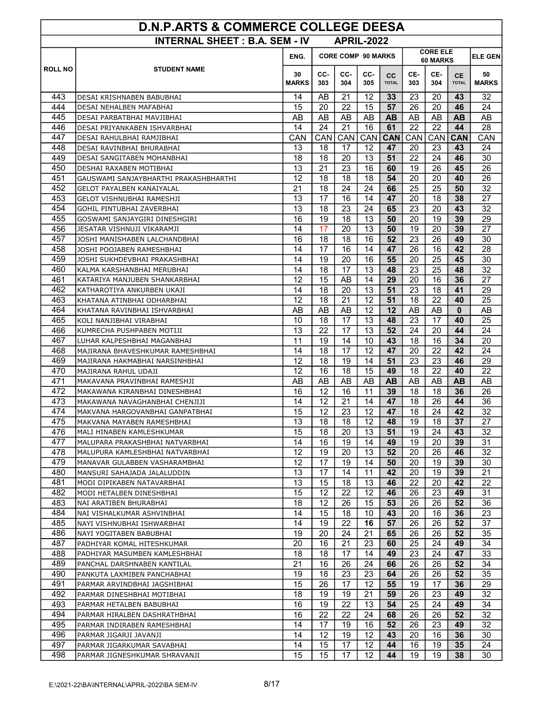| <b>D.N.P.ARTS &amp; COMMERCE COLLEGE DEESA</b> |                                                               |                    |                                                                 |                   |            |                           |            |                 |                           |                    |
|------------------------------------------------|---------------------------------------------------------------|--------------------|-----------------------------------------------------------------|-------------------|------------|---------------------------|------------|-----------------|---------------------------|--------------------|
|                                                | <b>INTERNAL SHEET: B.A. SEM - IV</b>                          |                    |                                                                 | <b>APRIL-2022</b> |            |                           |            |                 |                           |                    |
|                                                |                                                               | ENG.               | <b>CORE ELE</b><br><b>CORE COMP 90 MARKS</b><br><b>60 MARKS</b> |                   |            |                           |            |                 |                           | <b>ELE GEN</b>     |
| <b>ROLL NO</b>                                 | <b>STUDENT NAME</b>                                           | 30<br><b>MARKS</b> | CC-<br>303                                                      | CC-<br>304        | CC-<br>305 | <b>CC</b><br><b>TOTAL</b> | CE-<br>303 | CE-<br>304      | <b>CE</b><br><b>TOTAL</b> | 50<br><b>MARKS</b> |
| 443                                            | DESAI KRISHNABEN BABUBHAI                                     | 14                 | AB                                                              | 21                | 12         | 33                        | 23         | 20              | 43                        | 32                 |
| 444                                            | DESAI NEHALBEN MAFABHAI                                       | 15                 | 20                                                              | 22                | 15         | 57                        | 26         | 20              | 46                        | 24                 |
| 445                                            | DESAI PARBATBHAI MAVJIBHAI                                    | AB                 | AB                                                              | AB                | AB         | AВ                        | AB         | AB              | AВ                        | AB                 |
| 446                                            | DESAI PRIYANKABEN ISHVARBHAI                                  | 14                 | 24                                                              | 21                | 16         | 61                        | 22         | 22              | 44                        | 28                 |
| 447                                            | DESAI RAHULBHAI RAMJIBHAI                                     | CAN                | CAN                                                             | CAN               | CAN        | <b>CAN</b>                | CAN        | CAN             | <b>CAN</b>                | CAN                |
| 448                                            | DESAI RAVINBHAI BHURABHAI                                     | 13                 | 18                                                              | 17                | 12         | 47                        | 20         | 23              | 43                        | 24                 |
| 449                                            | DESAI SANGITABEN MOHANBHAI                                    | 18                 | 18                                                              | 20                | 13         | 51                        | 22         | 24              | 46                        | 30                 |
| 450                                            | DESHAI RAXABEN MOTIBHAI                                       | 13                 | 21                                                              | 23                | 16         | 60                        | 19         | 26              | 45                        | 26                 |
| 451                                            | GAUSWAMI SANJAYBHARTHI PRAKASHBHARTHI                         | 12                 | 18                                                              | 18                | 18         | 54                        | 20         | 20              | 40                        | 26                 |
| 452                                            | GELOT PAYALBEN KANAIYALAL                                     | 21                 | 18                                                              | 24                | 24         | 66                        | 25         | 25              | 50                        | 32                 |
| 453                                            | GELOT VISHNUBHAI RAMESHJI                                     | 13                 | 17                                                              | 16                | 14         | 47                        | 20         | 18              | 38                        | 27                 |
| 454                                            | GOHIL PINTUBHAI ZAVERBHAI                                     | 13                 | 18                                                              | 23                | 24         | 65                        | 23         | 20              | 43                        | 32                 |
| 455                                            | GOSWAMI SANJAYGIRI DINESHGIRI                                 | 16                 | 19                                                              | 18                | 13         | 50                        | 20         | 19              | 39                        | 29                 |
| 456                                            | JESATAR VISHNUJI VIKARAMJI                                    | 14                 | 17                                                              | 20                | 13         | 50                        | 19         | 20              | 39                        | 27                 |
| 457                                            | JOSHI MANISHABEN LALCHANDBHAI                                 | 16                 | 18                                                              | 18                | 16         | 52                        | 23         | 26              | 49                        | 30                 |
| 458                                            | JOSHI POOJABEN RAMESHBHAI                                     | 14                 | 17                                                              | 16                | 14         | 47                        | 26         | 16              | 42                        | 28                 |
| 459                                            | JOSHI SUKHDEVBHAI PRAKASHBHAI                                 | 14                 | 19                                                              | 20                | 16         | 55                        | 20         | $\overline{25}$ | 45                        | 30                 |
| 460                                            | KALMA KARSHANBHAI MERUBHAI                                    | 14                 | 18                                                              | 17                | 13         | 48                        | 23         | 25              | 48                        | 32                 |
| 461                                            | KATARIYA MANJUBEN SHANKARBHAI                                 | 12                 | 15                                                              | AB                | 14         | 29                        | 20         | 16              | 36                        | $\overline{27}$    |
| 462                                            | KATHAROTIYA ANKURBEN UKAJI                                    | 14                 | 18                                                              | 20                | 13         | 51                        | 23         | 18              | 41                        | 29                 |
| 463                                            | KHATANA ATINBHAI ODHARBHAI                                    | 12                 | 18                                                              | 21                | 12         | 51                        | 18         | 22              | 40                        | 25                 |
| 464                                            | KHATANA RAVINBHAI ISHVARBHAI                                  | AB                 | AB                                                              | AB                | 12         | 12                        | AB         | AB              | $\bf{0}$                  | AB                 |
| 465                                            | KOLI NANJIBHAI VIRABHAI                                       | 10                 | 18                                                              | 17                | 13         | 48                        | 23         | 17              | 40                        | 25                 |
| 466                                            | KUMRECHA PUSHPABEN MOTIJI                                     | 13                 | 22                                                              | 17                | 13         | 52                        | 24         | 20              | 44                        | 24                 |
| 467                                            | LUHAR KALPESHBHAI MAGANBHAI                                   | 11                 | 19                                                              | 14                | 10         | 43                        | 18         | 16              | 34                        | 20                 |
| 468                                            | MAJIRANA BHAVESHKUMAR RAMESHBHAI                              | 14                 | 18                                                              | 17                | 12         | 47                        | 20         | 22              | 42<br>46                  | 24                 |
| 469                                            | MAJIRANA HAKMABHAI NARSINHBHAI                                | 12                 | 18<br>16                                                        | 19                | 14         | 51                        | 23         | 23              |                           | 29                 |
| 470<br>471                                     | MAJIRANA RAHUL UDAJI                                          | 12<br>AB           | AB                                                              | 18<br>AB          | 15<br>AB   | 49<br><b>AB</b>           | 18<br>AB   | 22<br>AB        | 40<br><b>AB</b>           | 22<br>AB           |
| 472                                            | MAKAVANA PRAVINBHAI RAMESHJI<br>MAKAWANA KIRANBHAI DINESHBHAI | 16                 | 12                                                              | 16                | 11         | 39                        | 18         | 18              | 36                        | 26                 |
| 473                                            | MAKAWANA NAVAGHANBHAI CHENJIJI                                | 14                 | 12                                                              | 21                | 14         | 47                        | 18         | 26              | 44                        | 36                 |
| 474                                            | MAKVANA HARGOVANBHAI GANPATBHAI                               | 15                 | 12                                                              | 23                | 12         | 47                        | 18         | 24              | 42                        | 32                 |
| 475                                            | MAKVANA MAYABEN RAMESHBHAI                                    | 13                 | 18                                                              | 18                | 12         | 48                        | 19         | 18              | 37                        | 27                 |
| 476                                            | MALI HINABEN KAMLESHKUMAR                                     | 15                 | 18                                                              | 20                | 13         | 51                        | 19         | 24              | 43                        | 32                 |
| 477                                            | MALUPARA PRAKASHBHAI NATVARBHAI                               | 14                 | 16                                                              | 19                | 14         | 49                        | 19         | 20              | 39                        | 31                 |
| 478                                            | MALUPURA KAMLESHBHAI NATVARBHAI                               | 12                 | 19                                                              | 20                | 13         | 52                        | 20         | 26              | 46                        | 32                 |
| 479                                            | MANAVAR GULABBEN VASHARAMBHAI                                 | 12                 | 17                                                              | 19                | 14         | 50                        | 20         | 19              | 39                        | 30                 |
| 480                                            | MANSURI SAHAJADA JALALUDDIN                                   | 13                 | 17                                                              | 14                | 11         | 42                        | 20         | 19              | 39                        | 21                 |
| 481                                            | MODI DIPIKABEN NATAVARBHAI                                    | 13                 | 15                                                              | 18                | 13         | 46                        | 22         | 20              | 42                        | 22                 |
| 482                                            | MODI HETALBEN DINESHBHAI                                      | 15                 | 12                                                              | 22                | 12         | 46                        | 26         | 23              | 49                        | 31                 |
| 483                                            | NAI ARATIBEN BHURABHAI                                        | 18                 | 12 <sup>°</sup>                                                 | 26                | 15         | 53                        | 26         | 26              | 52                        | 36                 |
| 484                                            | NAI VISHALKUMAR ASHVINBHAI                                    | 14                 | 15                                                              | 18                | 10         | 43                        | 20         | 16              | 36                        | 23                 |
| 485                                            | NAYI VISHNUBHAI ISHWARBHAI                                    | 14                 | 19                                                              | 22                | 16         | 57                        | 26         | 26              | 52                        | 37                 |
| 486                                            | NAYI YOGITABEN BABUBHAI                                       | 19                 | 20                                                              | 24                | 21         | 65                        | 26         | 26              | 52                        | 35                 |
| 487                                            | PADHIYAR KOMAL HITESHKUMAR                                    | 20                 | 16                                                              | 21                | 23         | 60                        | 25         | 24              | 49                        | 34                 |
| 488                                            | PADHIYAR MASUMBEN KAMLESHBHAI                                 | 18                 | 18                                                              | 17                | 14         | 49                        | 23         | 24              | 47                        | 33                 |
| 489                                            | PANCHAL DARSHNABEN KANTILAL                                   | 21                 | 16                                                              | 26                | 24         | 66                        | 26         | 26              | 52                        | 34                 |
| 490                                            | PANKUTA LAXMIBEN PANCHABHAI                                   | 19                 | 18                                                              | 23                | 23         | 64                        | 26         | 26              | 52                        | 35                 |
| 491                                            | PARMAR ARVINDBHAI JAGSHIBHAI                                  | 15                 | 26                                                              | 17                | 12         | 55                        | 19         | 17              | 36                        | 29                 |
| 492                                            | PARMAR DINESHBHAI MOTIBHAI                                    | 18                 | 19                                                              | 19                | 21         | 59                        | 26         | 23              | 49                        | 32                 |
| 493                                            | PARMAR HETALBEN BABUBHAI                                      | 16                 | 19                                                              | 22                | 13         | 54                        | 25         | 24              | 49                        | 34                 |
| 494                                            | PARMAR HIRALBEN DASHRATHBHAI                                  | 16                 | 22                                                              | 22                | 24         | 68                        | 26         | 26              | 52                        | 32                 |
| 495                                            | PARMAR INDIRABEN RAMESHBHAI                                   | 14                 | 17                                                              | 19                | 16         | 52                        | 26         | 23              | 49                        | 32                 |
| 496                                            | PARMAR JIGARJI JAVANJI                                        | 14                 | 12                                                              | 19                | 12         | 43                        | 20         | 16              | 36                        | 30                 |
| 497                                            | PARMAR JIGARKUMAR SAVABHAI                                    | 14                 | 15                                                              | 17                | 12         | 44                        | 16         | 19              | 35                        | 24                 |
| 498                                            | PARMAR JIGNESHKUMAR SHRAVANJI                                 | 15                 | 15                                                              | 17                | 12         | 44                        | 19         | 19              | 38                        | 30                 |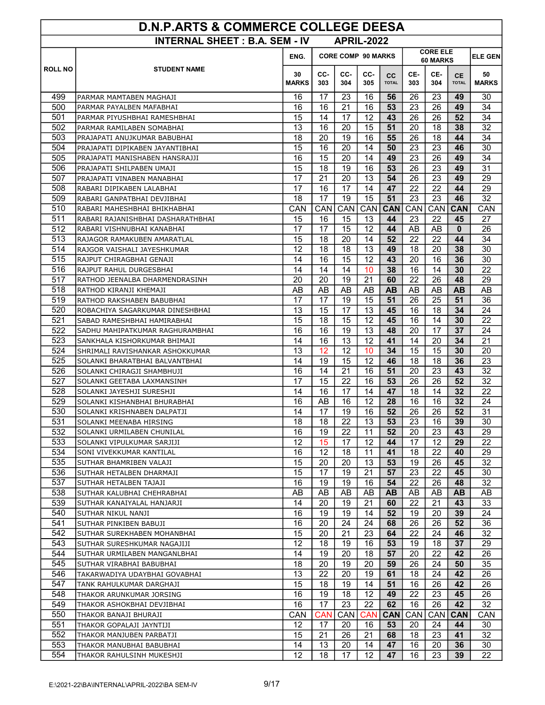| <b>D.N.P.ARTS &amp; COMMERCE COLLEGE DEESA</b>            |                                                           |              |                                                          |          |          |              |                 |                  |                 |              |
|-----------------------------------------------------------|-----------------------------------------------------------|--------------|----------------------------------------------------------|----------|----------|--------------|-----------------|------------------|-----------------|--------------|
| <b>INTERNAL SHEET: B.A. SEM - IV</b><br><b>APRIL-2022</b> |                                                           |              |                                                          |          |          |              |                 |                  |                 |              |
|                                                           |                                                           | ENG.         | <b>CORE ELE</b><br><b>CORE COMP 90 MARKS</b><br>60 MARKS |          |          |              |                 |                  |                 |              |
| <b>ROLL NO</b>                                            | <b>STUDENT NAME</b>                                       | 30           | CC-                                                      | CC-      | CC-      | cc           | CE-             | CE-              | <b>CE</b>       | 50           |
|                                                           |                                                           | <b>MARKS</b> | 303                                                      | 304      | 305      | <b>TOTAL</b> | 303             | 304              | <b>TOTAL</b>    | <b>MARKS</b> |
| 499                                                       | PARMAR MAMTABEN MAGHAJI                                   | 16           | 17                                                       | 23       | 16       | 56           | 26              | 23               | 49              | 30           |
| 500                                                       | PARMAR PAYALBEN MAFABHAI                                  | 16           | 16                                                       | 21       | 16       | 53           | 23              | 26               | 49              | 34           |
| 501                                                       | PARMAR PIYUSHBHAI RAMESHBHAI                              | 15           | 14                                                       | 17       | 12       | 43           | 26              | 26               | 52              | 34           |
| 502                                                       | PARMAR RAMILABEN SOMABHAI                                 | 13           | 16                                                       | 20       | 15       | 51           | 20              | 18               | 38              | 32           |
| 503                                                       | PRAJAPATI ANUJKUMAR BABUBHAI                              | 18           | 20                                                       | 19       | 16       | 55           | 26              | 18               | 44              | 34           |
| 504                                                       | PRAJAPATI DIPIKABEN JAYANTIBHAI                           | 15           | 16                                                       | 20       | 14       | 50           | 23              | 23               | 46              | 30           |
| 505                                                       | PRAJAPATI MANISHABEN HANSRAJJI                            | 16           | 15                                                       | 20       | 14       | 49           | 23              | 26               | 49              | 34           |
| 506                                                       | PRAJAPATI SHILPABEN UMAJI                                 | 15           | 18                                                       | 19       | 16       | 53           | 26              | 23               | 49              | 31           |
| 507                                                       | PRAJAPATI VINABEN MANABHAI                                | 17           | 21                                                       | 20       | 13       | 54           | 26              | 23               | 49              | 29           |
| 508                                                       | RABARI DIPIKABEN LALABHAI                                 | 17           | 16                                                       | 17       | 14       | 47           | 22              | 22               | 44              | 29           |
| 509                                                       | RABARI GANPATBHAI DEVJIBHAI                               | 18           | 17                                                       | 19       | 15       | 51           | 23              | 23               | 46              | 32           |
| 510                                                       | RABARI MAHESHBHAI BHIKHABHAI                              | <b>CAN</b>   | CAN                                                      | CAN      |          | CAN CAN      | CAN             | CAN              | <b>CAN</b>      | CAN          |
| 511<br>512                                                | RABARI RAJANISHBHAI DASHARATHBHAI                         | 15<br>17     | 16<br>17                                                 | 15<br>15 | 13<br>12 | 44<br>44     | 23<br>AB        | 22               | 45<br>$\bf{0}$  | 27<br>26     |
| 513                                                       | RABARI VISHNUBHAI KANABHAI<br>RAJAGOR RAMAKUBEN AMARATLAL | 15           | 18                                                       | 20       | 14       | 52           | 22              | AB<br>22         | 44              | 34           |
| 514                                                       | RAJGOR VAISHALI JAYESHKUMAR                               | 12           | 18                                                       | 18       | 13       | 49           | 18              | 20               | 38              | 30           |
| 515                                                       | RAJPUT CHIRAGBHAI GENAJI                                  | 14           | 16                                                       | 15       | 12       | 43           | 20              | 16               | 36              | 30           |
| 516                                                       | RAJPUT RAHUL DURGESBHAI                                   | 14           | 14                                                       | 14       | 10       | 38           | 16              | 14               | 30              | 22           |
| 517                                                       | RATHOD JEENALBA DHARMENDRASINH                            | 20           | 20                                                       | 19       | 21       | 60           | 22              | 26               | 48              | 29           |
| 518                                                       | RATHOD KIRANJI KHEMAJI                                    | AB           | AB                                                       | AB       | AB       | AB           | AB              | AB               | <b>AB</b>       | AB           |
| 519                                                       | RATHOD RAKSHABEN BABUBHAI                                 | 17           | 17                                                       | 19       | 15       | 51           | 26              | 25               | 51              | 36           |
| 520                                                       | ROBACHIYA SAGARKUMAR DINESHBHAI                           | 13           | 15                                                       | 17       | 13       | 45           | 16              | 18               | 34              | 24           |
| 521                                                       | SABAD RAMESHBHAI HAMIRABHAI                               | 15           | 18                                                       | 15       | 12       | 45           | 16              | 14               | 30              | 22           |
| 522                                                       | SADHU MAHIPATKUMAR RAGHURAMBHAI                           | 16           | 16                                                       | 19       | 13       | 48           | 20              | 17               | 37              | 24           |
| 523                                                       | SANKHALA KISHORKUMAR BHIMAJI                              | 14           | 16                                                       | 13       | 12       | 41           | 14              | 20               | 34              | 21           |
| 524                                                       | SHRIMALI RAVISHANKAR ASHOKKUMAR                           | 13           | 12                                                       | 12       | 10       | 34           | 15              | 15               | 30              | 20           |
| 525                                                       | SOLANKI BHARATBHAI BALVANTBHAI                            | 14           | 19                                                       | 15       | 12       | 46           | 18              | 18               | 36              | 23           |
| 526                                                       | SOLANKI CHIRAGJI SHAMBHUJI                                | 16           | 14                                                       | 21       | 16       | 51           | 20              | 23               | 43              | 32           |
| 527                                                       | SOLANKI GEETABA LAXMANSINH                                | 17           | 15                                                       | 22       | 16       | 53           | 26              | 26               | 52              | 32           |
| 528                                                       | SOLANKI JAYESHJI SURESHJI                                 | 14           | 16                                                       | 17       | 14       | 47           | 18              | 14               | 32              | 22           |
| 529                                                       | SOLANKI KISHANBHAI BHURABHAI                              | 16           | AB                                                       | 16       | 12       | 28           | 16              | 16               | 32 <sub>2</sub> | 24           |
| 530                                                       | SOLANKI KRISHNABEN DALPATJI                               | 14           | 17                                                       | 19       | 16       | 52           | $\overline{26}$ | 26               | 52              | 31           |
| 531                                                       | SOLANKI MEENABA HIRSING                                   | 18           | 18                                                       | 22       | 13       | 53           | 23              | 16               | 39              | 30           |
| 532                                                       | SOLANKI URMILABEN CHUNILAL                                | 16           | 19                                                       | 22       | 11       | 52           | 20              | 23               | 43              | 29           |
| 533                                                       | SOLANKI VIPULKUMAR SARJIJI                                | 12           | 15                                                       | 17       | 12       | 44           | 17              | 12               | 29              | 22           |
| 534                                                       | SONI VIVEKKUMAR KANTILAL                                  | 16           | 12                                                       | 18       | 11       | 41           | 18              | 22               | 40              | 29           |
| 535                                                       | SUTHAR BHAMRIBEN VALAJI                                   | 15           | 20                                                       | 20       | 13       | 53           | 19              | 26               | 45              | 32           |
| 536<br>537                                                | SUTHAR HETALBEN DHARMAJI                                  | 15           | 17                                                       | 19       | 21       | 57           | 23              | 22               | 45              | 30           |
|                                                           | SUTHAR HETALBEN TAJAJI                                    | 16           | 19                                                       | 19       | 16       | 54           | 22              | 26               | 48              | 32           |
| 538<br>539                                                | SUTHAR KALUBHAI CHEHRABHAI                                | AB<br>14     | AB<br>20                                                 | AB<br>19 | AB<br>21 | AB.<br>60    | AB<br>22        | AB<br>21         | AB.<br>43       | AB<br>33     |
| 540                                                       | SUTHAR KANAIYALAL HANJARJI<br>SUTHAR NIKUL NANJI          | 16           | 19                                                       | 19       | 14       | 52           | 19              | 20               | 39              | 24           |
| 541                                                       | SUTHAR PINKIBEN BABUJI                                    | 16           | 20                                                       | 24       | 24       | 68           | 26              | 26               | 52              | 36           |
| 542                                                       | SUTHAR SUREKHABEN MOHANBHAI                               | 15           | 20                                                       | 21       | 23       | 64           | 22              | 24               | 46              | 32           |
| 543                                                       | SUTHAR SURESHKUMAR NAGAJIJI                               | 12           | 18                                                       | 19       | 16       | 53           | 19              | 18               | 37              | 29           |
| 544                                                       | SUTHAR URMILABEN MANGANLBHAI                              | 14           | 19                                                       | 20       | 18       | 57           | 20              | 22               | 42              | 26           |
| 545                                                       | SUTHAR VIRABHAI BABUBHAI                                  | 18           | 20                                                       | 19       | 20       | 59           | 26              | 24               | 50              | 35           |
| 546                                                       | TAKARWADIYA UDAYBHAI GOVABHAI                             | 13           | 22                                                       | 20       | 19       | 61           | 18              | 24               | 42              | 26           |
| 547                                                       | TANK RAHULKUMAR DARGHAJI                                  | 15           | 18                                                       | 19       | 14       | 51           | 16              | 26               | 42              | 26           |
| 548                                                       | THAKOR ARUNKUMAR JORSING                                  | 16           | 19                                                       | 18       | 12       | 49           | 22              | 23               | 45              | 26           |
| 549                                                       | THAKOR ASHOKBHAI DEVJIBHAI                                | 16           | 17                                                       | 23       | 22       | 62           | 16              | 26               | 42              | 32           |
| 550                                                       | THAKOR BANAJI BHURAJI                                     | CAN          | <b>CAN</b>                                               | CAN      | CAN      | <b>CAN</b>   | CAN             | CAN <sup>1</sup> | <b>CAN</b>      | <b>CAN</b>   |
| 551                                                       | THAKOR GOPALAJI JAYNTIJI                                  | 12           | 17                                                       | 20       | 16       | 53           | 20              | 24               | 44              | 30           |
| 552                                                       | THAKOR MANJUBEN PARBATJI                                  | 15           | 21                                                       | 26       | 21       | 68           | 18              | 23               | 41              | 32           |
| 553                                                       | THAKOR MANUBHAI BABUBHAI                                  | 14           | 13                                                       | 20       | 14       | 47           | 16              | 20               | 36              | 30           |
| 554                                                       | THAKOR RAHULSINH MUKESHJI                                 | 12           | 18                                                       | 17       | 12       | 47           | 16              | 23               | 39              | 22           |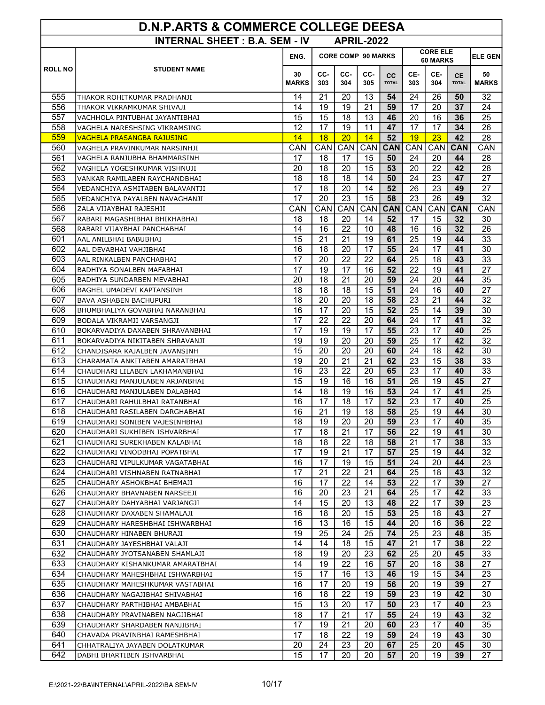| <b>D.N.P.ARTS &amp; COMMERCE COLLEGE DEESA</b> |                                                                 |              |                                                                 |                   |          |              |                 |          |              |                |
|------------------------------------------------|-----------------------------------------------------------------|--------------|-----------------------------------------------------------------|-------------------|----------|--------------|-----------------|----------|--------------|----------------|
|                                                | <b>INTERNAL SHEET: B.A. SEM - IV</b>                            |              |                                                                 | <b>APRIL-2022</b> |          |              |                 |          |              |                |
|                                                |                                                                 | ENG.         | <b>CORE ELE</b><br><b>CORE COMP 90 MARKS</b><br><b>60 MARKS</b> |                   |          |              |                 |          |              | <b>ELE GEN</b> |
| <b>ROLL NO</b>                                 | <b>STUDENT NAME</b>                                             | 30           | CC-                                                             | CC-               | CC-      | <b>CC</b>    | CE-             | CE-      | <b>CE</b>    | 50             |
|                                                |                                                                 | <b>MARKS</b> | 303                                                             | 304               | 305      | <b>TOTAL</b> | 303             | 304      | <b>TOTAL</b> | <b>MARKS</b>   |
| 555                                            | THAKOR ROHITKUMAR PRADHANJI                                     | 14           | 21                                                              | 20                | 13       | 54           | 24              | 26       | 50           | 32             |
| 556                                            | THAKOR VIKRAMKUMAR SHIVAJI                                      | 14           | 19                                                              | 19                | 21       | 59           | 17              | 20       | 37           | 24             |
| 557                                            | VACHHOLA PINTUBHAI JAYANTIBHAI                                  | 15           | 15                                                              | 18                | 13       | 46           | 20              | 16       | 36           | 25             |
| 558                                            | VAGHELA NARESHSING VIKRAMSING                                   | 12           | 17                                                              | 19                | 11       | 47           | 17              | 17       | 34           | 26             |
| 559                                            | VAGHELA PRASANGBA RAJUSING                                      | 14           | 18                                                              | 20                | 14       | 52           | 19              | 23       | 42           | 28             |
| 560                                            | VAGHELA PRAVINKUMAR NARSINHJI                                   | CAN          | CAN                                                             | CAN               | CAN      | <b>CAN</b>   | CAN             | CAN      | <b>CAN</b>   | CAN            |
| 561                                            | VAGHELA RANJUBHA BHAMMARSINH                                    | 17           | 18                                                              | 17                | 15       | 50           | 24              | 20       | 44           | 28             |
| 562                                            | VAGHELA YOGESHKUMAR VISHNUJI                                    | 20           | 18                                                              | 20                | 15       | 53           | 20              | 22       | 42           | 28             |
| 563                                            | VANKAR RAMILABEN RAYCHANDBHAI                                   | 18           | 18                                                              | 18                | 14       | 50           | 24              | 23       | 47           | 27             |
| 564                                            | VEDANCHIYA ASMITABEN BALAVANTJI                                 | 17           | 18                                                              | 20                | 14       | 52           | 26              | 23       | 49           | 27             |
| 565                                            | VEDANCHIYA PAYALBEN NAVAGHANJI                                  | 17           | 20                                                              | 23                | 15       | 58           | 23              | 26       | 49           | 32             |
| 566                                            | ZALA VIJAYBHAI RAJESHJI                                         | CAN          | CAN                                                             | CAN               | CAN      | <b>CAN</b>   | CAN             | CAN      | <b>CAN</b>   | CAN            |
| 567                                            | RABARI MAGASHIBHAI BHIKHABHAI                                   | 18           | 18                                                              | 20                | 14       | 52           | 17              | 15       | 32           | 30             |
| 568                                            | RABARI VIJAYBHAI PANCHABHAI                                     | 14           | 16                                                              | 22                | 10       | 48           | 16              | 16       | 32           | 26             |
| 601                                            | AAL ANILBHAI BABUBHAI                                           | 15           | 21                                                              | 21                | 19       | 61           | 25              | 19       | 44           | 33             |
| 602                                            | AAL DEVABHAI VAHJIBHAI                                          | 16           | 18                                                              | 20                | 17       | 55           | 24              | 17       | 41           | 30             |
| 603                                            | AAL RINKALBEN PANCHABHAI                                        | 17           | 20                                                              | 22                | 22       | 64           | $\overline{25}$ | 18       | 43           | 33             |
| 604                                            | BADHIYA SONALBEN MAFABHAI                                       | 17           | 19                                                              | 17                | 16       | 52           | 22              | 19       | 41           | 27             |
| 605                                            | BADHIYA SUNDARBEN MEVABHAI                                      | 20           | 18                                                              | 21                | 20       | 59           | 24              | 20       | 44           | 35             |
| 606                                            | BAGHEL UMADEVI KAPTANSINH                                       | 18           | 18                                                              | 18                | 15       | 51           | 24              | 16       | 40           | 27             |
| 607                                            | BAVA ASHABEN BACHUPURI                                          | 18           | 20                                                              | 20                | 18       | 58           | 23              | 21       | 44           | 32             |
| 608                                            | BHUMBHALIYA GOVABHAI NARANBHAI                                  | 16           | 17                                                              | 20                | 15       | 52           | 25              | 14       | 39           | 30             |
| 609                                            | BODALA VIKRAMJI VARSANGJI                                       | 17           | 22                                                              | 22                | 20       | 64           | 24              | 17       | 41           | 32             |
| 610                                            | BOKARVADIYA DAXABEN SHRAVANBHAI                                 | 17           | 19                                                              | 19                | 17       | 55           | 23              | 17       | 40           | 25             |
| 611<br>612                                     | BOKARVADIYA NIKITABEN SHRAVANJI                                 | 19<br>15     | 19<br>20                                                        | 20<br>20          | 20<br>20 | 59<br>60     | 25<br>24        | 17<br>18 | 42<br>42     | 32<br>30       |
| 613                                            | CHANDISARA KAJALBEN JAVANSINH<br>CHARAMATA ANKITABEN AMARATBHAI | 19           | 20                                                              | 21                | 21       | 62           | 23              | 15       | 38           | 33             |
| 614                                            | CHAUDHARI LILABEN LAKHAMANBHAI                                  | 16           | 23                                                              | 22                | 20       | 65           | 23              | 17       | 40           | 33             |
| 615                                            | CHAUDHARI MANJULABEN ARJANBHAI                                  | 15           | 19                                                              | 16                | 16       | 51           | 26              | 19       | 45           | 27             |
| 616                                            | CHAUDHARI MANJULABEN DALABHAI                                   | 14           | 18                                                              | 19                | 16       | 53           | 24              | 17       | 41           | 25             |
| 617                                            | CHAUDHARI RAHULBHAI RATANBHAI                                   | 16           | 17                                                              | 18                | 17       | 52           | 23              | 17       | 40           | 25             |
| 618                                            | CHAUDHARI RASILABEN DARGHABHAI                                  | 16           | 21                                                              | 19                | 18       | 58           | $\overline{25}$ | 19       | 44           | 30             |
| 619                                            | CHAUDHARI SONIBEN VAJESINHBHAI                                  | 18           | 19                                                              | 20                | 20       | 59           | 23              | 17       | 40           | 35             |
| 620                                            | CHAUDHARI SUKHIBEN ISHVARBHAI                                   | 17           | 18                                                              | 21                | 17       | 56           | 22              | 19       | 41           | 30             |
| 621                                            | CHAUDHARI SUREKHABEN KALABHAI                                   | 18           | 18                                                              | 22                | 18       | 58           | 21              | 17       | 38           | 33             |
| 622                                            | CHAUDHARI VINODBHAI POPATBHAI                                   | 17           | 19                                                              | 21                | 17       | 57           | 25              | 19       | 44           | 32             |
| 623                                            | CHAUDHARI VIPULKUMAR VAGATABHAI                                 | 16           | 17                                                              | 19                | 15       | 51           | 24              | 20       | 44           | 23             |
| 624                                            | CHAUDHARI VISHNABEN RATNABHAI                                   | 17           | 21                                                              | 22                | 21       | 64           | 25              | 18       | 43           | 32             |
| 625                                            | CHAUDHARY ASHOKBHAI BHEMAJI                                     | 16           | 17                                                              | 22                | 14       | 53           | 22              | 17       | 39           | 27             |
| 626                                            | CHAUDHARY BHAVNABEN NARSEEJI                                    | 16           | 20                                                              | 23                | 21       | 64           | 25              | 17       | 42           | 33             |
| 627                                            | CHAUDHARY DAHYABHAI VARJANGJI                                   | 14           | 15                                                              | 20                | 13       | 48           | 22              | 17       | 39           | 23             |
| 628                                            | CHAUDHARY DAXABEN SHAMALAJI                                     | 16           | 18                                                              | 20                | 15       | 53           | 25              | 18       | 43           | 27             |
| 629                                            | CHAUDHARY HARESHBHAI ISHWARBHAI                                 | 16           | 13                                                              | 16                | 15       | 44           | 20              | 16       | 36           | 22             |
| 630                                            | CHAUDHARY HINABEN BHURAJI                                       | 19           | 25                                                              | 24                | 25       | 74           | 25              | 23       | 48           | 35             |
| 631                                            | CHAUDHARY JAYESHBHAI VALAJI                                     | 14           | 14                                                              | 18                | 15       | 47           | 21              | 17       | 38           | 22             |
| 632                                            | CHAUDHARY JYOTSANABEN SHAMLAJI                                  | 18           | 19                                                              | 20                | 23       | 62           | 25              | 20       | 45           | 33             |
| 633                                            | CHAUDHARY KISHANKUMAR AMARATBHAI                                | 14           | 19                                                              | 22                | 16       | 57           | 20              | 18       | 38           | 27             |
| 634                                            | CHAUDHARY MAHESHBHAI ISHWARBHAI                                 | 15           | 17                                                              | 16                | 13       | 46           | 19              | 15       | 34           | 23             |
| 635                                            | CHAUDHARY MAHESHKUMAR VASTABHAI                                 | 16           | 17                                                              | 20                | 19       | 56           | 20              | 19       | 39           | 27             |
| 636                                            | CHAUDHARY NAGAJIBHAI SHIVABHAI                                  | 16           | 18                                                              | 22                | 19       | 59           | 23              | 19       | 42           | 30             |
| 637                                            | CHAUDHARY PARTHIBHAI AMBABHAI                                   | 15           | 13                                                              | 20                | 17       | 50           | 23              | 17       | 40           | 23             |
| 638                                            | CHAUDHARY PRAVINABEN NAGJIBHAI                                  | 18           | 17                                                              | 21                | 17       | 55           | 24              | 19       | 43           | 32             |
| 639                                            | CHAUDHARY SHARDABEN NANJIBHAI                                   | 17           | 19                                                              | 21                | 20       | 60           | 23              | 17       | 40           | 35             |
| 640                                            | CHAVADA PRAVINBHAI RAMESHBHAI                                   | 17           | 18                                                              | 22                | 19       | 59           | 24              | 19       | 43           | 30             |
| 641                                            | CHHATRALIYA JAYABEN DOLATKUMAR                                  | 20           | 24                                                              | 23                | 20       | 67           | 25              | 20       | 45           | 30             |
| 642                                            | DABHI BHARTIBEN ISHVARBHAI                                      | 15           | 17                                                              | 20                | 20       | 57           | 20              | 19       | 39           | 27             |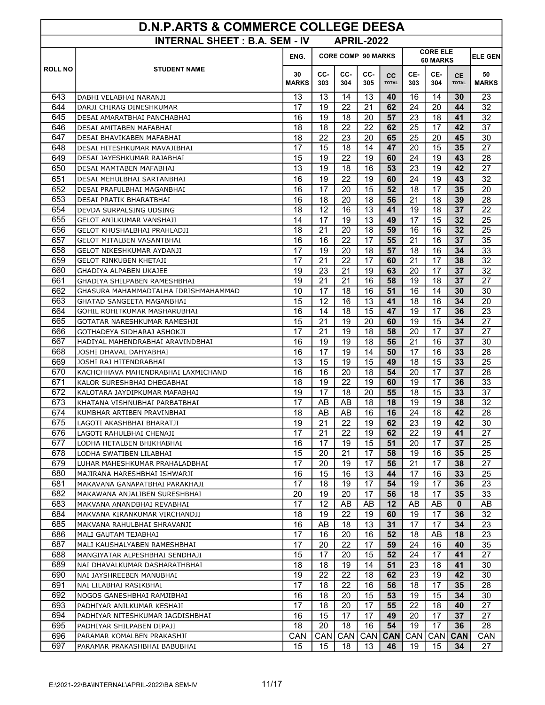| <b>D.N.P.ARTS &amp; COMMERCE COLLEGE DEESA</b>            |                                                                  |                    |            |                           |                  |                    |            |                             |                           |                    |  |
|-----------------------------------------------------------|------------------------------------------------------------------|--------------------|------------|---------------------------|------------------|--------------------|------------|-----------------------------|---------------------------|--------------------|--|
| <b>INTERNAL SHEET: B.A. SEM - IV</b><br><b>APRIL-2022</b> |                                                                  |                    |            |                           |                  |                    |            |                             |                           |                    |  |
|                                                           |                                                                  | ENG.               |            | <b>CORE COMP 90 MARKS</b> |                  |                    |            | <b>CORE ELE</b><br>60 MARKS | <b>ELE GEN</b>            |                    |  |
| <b>ROLL NO</b>                                            | <b>STUDENT NAME</b>                                              | 30<br><b>MARKS</b> | CC-<br>303 | CC-<br>304                | CC-<br>305       | cc<br><b>TOTAL</b> | CE-<br>303 | CE-<br>304                  | <b>CE</b><br><b>TOTAL</b> | 50<br><b>MARKS</b> |  |
| 643                                                       | DABHI VELABHAI NARANJI                                           | 13                 | 13         | 14                        | 13               | 40                 | 16         | 14                          | 30                        | 23                 |  |
| 644                                                       | DARJI CHIRAG DINESHKUMAR                                         | 17                 | 19         | 22                        | 21               | 62                 | 24         | 20                          | 44                        | 32                 |  |
| 645                                                       | DESAI AMARATBHAI PANCHABHAI                                      | 16                 | 19         | 18                        | 20               | 57                 | 23         | 18                          | 41                        | 32                 |  |
| 646                                                       | DESAI AMITABEN MAFABHAI                                          | 18                 | 18         | 22                        | 22               | 62                 | 25         | 17                          | 42                        | 37                 |  |
| 647                                                       | DESAI BHAVIKABEN MAFABHAI                                        | 18                 | 22         | 23                        | 20               | 65                 | 25         | 20                          | 45                        | 30                 |  |
| 648                                                       | DESAI HITESHKUMAR MAVAJIBHAI                                     | 17                 | 15         | 18                        | 14               | 47                 | 20         | 15                          | 35                        | 27                 |  |
| 649                                                       | DESAI JAYESHKUMAR RAJABHAI                                       | 15                 | 19         | 22                        | 19               | 60                 | 24         | 19                          | 43                        | 28                 |  |
| 650                                                       | DESAI MAMTABEN MAFABHAI                                          | 13                 | 19         | 18                        | 16               | 53                 | 23         | 19                          | 42                        | 27                 |  |
| 651                                                       | DESAI MEHULBHAI SARTANBHAI                                       | 16                 | 19         | 22                        | 19               | 60                 | 24         | 19                          | 43                        | 32                 |  |
| 652                                                       | DESAI PRAFULBHAI MAGANBHAI                                       | 16                 | 17         | 20                        | 15               | 52                 | 18         | 17                          | 35                        | 20                 |  |
| 653                                                       | DESAI PRATIK BHARATBHAI                                          | 16                 | 18         | 20                        | 18               | 56                 | 21         | 18                          | 39                        | 28                 |  |
| 654                                                       | DEVDA SURPALSING UDSING                                          | 18                 | 12         | 16                        | 13               | 41                 | 19         | 18                          | 37                        | 22                 |  |
| 655                                                       | <b>GELOT ANILKUMAR VANSHAJI</b>                                  | 14                 | 17         | 19                        | 13               | 49                 | 17         | 15                          | 32                        | 25                 |  |
| 656                                                       | <b>GELOT KHUSHALBHAI PRAHLADJI</b>                               | 18                 | 21         | 20                        | 18               | 59                 | 16         | 16                          | 32                        | 25                 |  |
| 657                                                       | <b>GELOT MITALBEN VASANTBHAI</b>                                 | 16                 | 16         | 22                        | 17               | 55                 | 21         | 16                          | 37                        | 35                 |  |
| 658                                                       | GELOT NIKESHKUMAR AYDANJI                                        | 17                 | 19         | 20                        | 18               | 57                 | 18         | 16                          | 34                        | 33                 |  |
| 659                                                       | GELOT RINKUBEN KHETAJI                                           | 17                 | 21         | 22                        | 17               | 60                 | 21         | 17                          | 38                        | 32                 |  |
| 660                                                       | GHADIYA ALPABEN UKAJEE                                           | 19                 | 23         | 21                        | 19               | 63                 | 20         | 17                          | 37                        | 32                 |  |
| 661                                                       | GHADIYA SHILPABEN RAMESHBHAI                                     | 19                 | 21         | 21                        | 16               | 58                 | 19         | 18                          | 37                        | 27                 |  |
| 662                                                       | GHASURA MAHAMMADTALHA IDRISHMAHAMMAD                             | 10                 | 17         | 18                        | 16               | 51                 | 16         | 14                          | 30                        | 30                 |  |
| 663                                                       | GHATAD SANGEETA MAGANBHAI                                        | 15                 | 12         | 16                        | 13               | 41                 | 18         | 16                          | 34                        | 20                 |  |
| 664                                                       | GOHIL ROHITKUMAR MASHARUBHAI                                     | 16                 | 14         | 18                        | 15               | 47                 | 19         | 17                          | 36                        | 23                 |  |
| 665                                                       | GOTATAR NARESHKUMAR RAMESHJI                                     | 15                 | 21         | 19                        | 20               | 60                 | 19         | 15                          | 34                        | 27                 |  |
| 666                                                       | GOTHADEYA SIDHARAJ ASHOKJI                                       | 17                 | 21         | 19                        | 18               | 58                 | 20         | 17                          | 37                        | 27                 |  |
| 667<br>668                                                | HADIYAL MAHENDRABHAI ARAVINDBHAI                                 | 16                 | 19         | 19                        | 18               | 56<br>50           | 21         | 16                          | 37                        | 30                 |  |
| 669                                                       | JOSHI DHAVAL DAHYABHAI                                           | 16<br>13           | 17<br>15   | 19<br>19                  | 14<br>15         | 49                 | 17<br>18   | 16<br>15                    | 33<br>33                  | 28<br>25           |  |
| 670                                                       | JOSHI RAJ HITENDRABHAI                                           | 16                 | 16         | 20                        | 18               | 54                 | 20         | 17                          | 37                        | 28                 |  |
| 671                                                       | KACHCHHAVA MAHENDRABHAI LAXMICHAND<br>KALOR SURESHBHAI DHEGABHAI | 18                 | 19         | 22                        | 19               | 60                 | 19         | 17                          | 36                        | 33                 |  |
| 672                                                       | KALOTARA JAYDIPKUMAR MAFABHAI                                    | 19                 | 17         | 18                        | 20               | 55                 | 18         | 15                          | 33                        | 37                 |  |
| 673                                                       | KHATANA VISHNUBHAI PARBATBHAI                                    | 17                 | AB         | AB                        | 18               | 18                 | 19         | 19                          | 38                        | 32                 |  |
| 674                                                       | KUMBHAR ARTIBEN PRAVINBHAI                                       | 18                 | AB         | AB                        | 16               | 16                 | 24         | 18                          | 42                        | 28                 |  |
| 675                                                       | LAGOTI AKASHBHAI BHARATJI                                        | 19                 | 21         | 22                        | 19               | 62                 | 23         | 19                          | 42                        | 30                 |  |
| 676                                                       | LAGOTI RAHULBHAI CHENAJI                                         | 17                 | 21         | 22                        | 19               | 62                 | 22         | 19                          | 41                        | 27                 |  |
| 677                                                       | LODHA HETALBEN BHIKHABHAI                                        | 16                 | 17         | 19                        | 15               | 51                 | 20         | 17                          | 37                        | 25                 |  |
| 678                                                       | LODHA SWATIBEN LILABHAI                                          | 15                 | 20         | 21                        | 17               | 58                 | 19         | 16                          | 35                        | 25                 |  |
| 679                                                       | LUHAR MAHESHKUMAR PRAHALADBHAI                                   | 17                 | 20         | 19                        | 17               | 56                 | 21         | 17                          | 38                        | 27                 |  |
| 680                                                       | MAJIRANA HARESHBHAI ISHWARJI                                     | 16                 | 15         | 16                        | 13               | 44                 | 17         | 16                          | 33                        | 25                 |  |
| 681                                                       | MAKAVANA GANAPATBHAI PARAKHAJI                                   | $\overline{17}$    | 18         | 19                        | 17               | 54                 | 19         | 17                          | 36                        | 23                 |  |
| 682                                                       | MAKAWANA ANJALIBEN SURESHBHAI                                    | 20                 | 19         | 20                        | 17               | 56                 | 18         | 17                          | 35                        | 33                 |  |
| 683                                                       | MAKVANA ANANDBHAI REVABHAI                                       | 17                 | 12         | AB                        | AB               | 12                 | AB         | AB                          | $\mathbf{0}$              | AB                 |  |
| 684                                                       | MAKVANA KIRANKUMAR VIRCHANDJI                                    | 18                 | 19         | 22                        | 19               | 60                 | 19         | 17                          | 36                        | 32                 |  |
| 685                                                       | MAKVANA RAHULBHAI SHRAVANJI                                      | 16                 | AB         | 18                        | 13               | 31                 | 17         | 17                          | 34                        | 23                 |  |
| 686                                                       | MALI GAUTAM TEJABHAI                                             | 17                 | 16         | 20                        | 16               | 52                 | 18         | AB                          | 18                        | 23                 |  |
| 687                                                       | MALI KAUSHALYABEN RAMESHBHAI                                     | 17                 | 20         | 22                        | 17               | 59                 | 24         | 16                          | 40                        | 35                 |  |
| 688                                                       | MANGIYATAR ALPESHBHAI SENDHAJI                                   | 15                 | 17         | 20                        | 15               | 52                 | 24         | 17                          | 41                        | 27                 |  |
| 689                                                       | NAI DHAVALKUMAR DASHARATHBHAI                                    | 18                 | 18         | 19                        | 14               | 51                 | 23         | 18                          | 41                        | 30                 |  |
| 690                                                       | NAI JAYSHREEBEN MANUBHAI                                         | 19                 | 22         | 22                        | 18               | 62                 | 23         | 19                          | 42                        | 30                 |  |
| 691                                                       | NAI LILABHAI RASIKBHAI                                           | $\overline{17}$    | 18         | 22                        | 16               | 56                 | 18         | 17                          | 35                        | 28                 |  |
| 692                                                       | NOGOS GANESHBHAI RAMJIBHAI                                       | 16                 | 18         | 20                        | 15               | 53                 | 19         | 15                          | 34                        | 30                 |  |
| 693                                                       | PADHIYAR ANILKUMAR KESHAJI                                       | 17                 | 18         | 20                        | 17               | 55                 | 22         | 18                          | 40                        | 27                 |  |
| 694                                                       | PADHIYAR NITESHKUMAR JAGDISHBHAI                                 | 16                 | 15         | 17                        | 17               | 49                 | 20         | 17                          | 37                        | 27                 |  |
| 695                                                       | PADHIYAR SHILPABEN DIPAJI                                        | 18                 | 20         | 18                        | 16               | 54                 | 19         | 17                          | 36                        | 28                 |  |
| 696                                                       | PARAMAR KOMALBEN PRAKASHJI                                       | CAN                | CAN        | CAN                       | CAN <sup> </sup> | <b>CAN</b>         | CAN        |                             | CAN CAN                   | CAN                |  |
| 697                                                       | PARAMAR PRAKASHBHAI BABUBHAI                                     | 15                 | 15         | 18                        | 13               | 46                 | 19         | 15                          | 34                        | 27                 |  |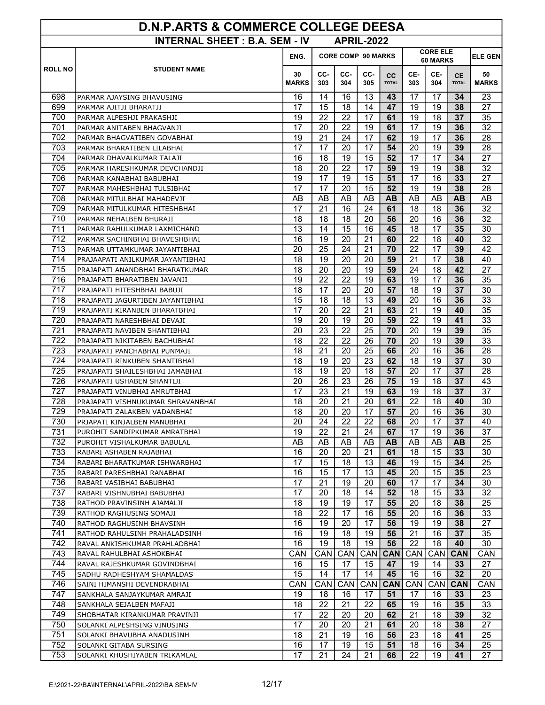| <b>D.N.P.ARTS &amp; COMMERCE COLLEGE DEESA</b>            |                                                               |                    |                                                          |            |                  |                           |                 |                 |                           |                    |  |
|-----------------------------------------------------------|---------------------------------------------------------------|--------------------|----------------------------------------------------------|------------|------------------|---------------------------|-----------------|-----------------|---------------------------|--------------------|--|
| <b>INTERNAL SHEET: B.A. SEM - IV</b><br><b>APRIL-2022</b> |                                                               |                    |                                                          |            |                  |                           |                 |                 |                           |                    |  |
|                                                           |                                                               | ENG.               | <b>CORE ELE</b><br><b>CORE COMP 90 MARKS</b><br>60 MARKS |            |                  |                           |                 |                 |                           |                    |  |
| <b>ROLL NO</b>                                            | <b>STUDENT NAME</b>                                           | 30<br><b>MARKS</b> | CC-<br>303                                               | CC-<br>304 | CC-<br>305       | <b>CC</b><br><b>TOTAL</b> | CE-<br>303      | CE-<br>304      | <b>CE</b><br><b>TOTAL</b> | 50<br><b>MARKS</b> |  |
| 698                                                       | PARMAR AJAYSING BHAVUSING                                     | 16                 | 14                                                       | 16         | 13               | 43                        | 17              | 17              | 34                        | 23                 |  |
| 699                                                       | PARMAR AJITJI BHARATJI                                        | 17                 | 15                                                       | 18         | 14               | 47                        | 19              | 19              | 38                        | 27                 |  |
| 700                                                       | PARMAR ALPESHJI PRAKASHJI                                     | 19                 | 22                                                       | 22         | 17               | 61                        | 19              | 18              | 37                        | 35                 |  |
| 701                                                       | PARMAR ANITABEN BHAGVANJI                                     | 17                 | 20                                                       | 22         | 19               | 61                        | 17              | 19              | 36                        | 32                 |  |
| 702                                                       | PARMAR BHAGVATIBEN GOVABHAI                                   | 19                 | 21                                                       | 24         | 17               | 62                        | 19              | 17              | 36                        | 28                 |  |
| 703                                                       | PARMAR BHARATIBEN LILABHAI                                    | 17                 | 17                                                       | 20         | 17               | 54                        | 20              | 19              | 39                        | 28                 |  |
| 704                                                       | PARMAR DHAVALKUMAR TALAJI                                     | 16                 | 18                                                       | 19         | 15               | 52                        | $\overline{17}$ | $\overline{17}$ | 34                        | 27                 |  |
| 705                                                       | PARMAR HARESHKUMAR DEVCHANDJI                                 | 18                 | 20                                                       | 22         | 17               | 59                        | 19              | 19              | 38                        | 32                 |  |
| 706                                                       | PARMAR KANABHAI BABUBHAI                                      | 19                 | 17                                                       | 19         | 15               | 51                        | 17              | 16              | 33                        | 27                 |  |
| 707                                                       | PARMAR MAHESHBHAI TULSIBHAI                                   | 17                 | 17                                                       | 20         | 15               | 52                        | 19              | 19              | 38                        | 28                 |  |
| 708                                                       | PARMAR MITULBHAI MAHADEVJI                                    | AB                 | AB                                                       | AB         | AB               | <b>AB</b>                 | AB              | AB              | <b>AB</b>                 | AB                 |  |
| 709                                                       | PARMAR MITULKUMAR HITESHBHAI                                  | 17                 | 21                                                       | 16         | 24               | 61                        | 18              | 18              | 36                        | 32                 |  |
| 710                                                       | PARMAR NEHALBEN BHURAJI                                       | 18                 | 18                                                       | 18         | 20               | 56                        | 20              | 16              | 36                        | 32                 |  |
| 711                                                       | PARMAR RAHULKUMAR LAXMICHAND                                  | 13                 | 14                                                       | 15         | 16               | 45                        | 18              | 17              | 35                        | 30                 |  |
| 712                                                       | PARMAR SACHINBHAI BHAVESHBHAI                                 | 16                 | 19                                                       | 20         | 21               | 60                        | 22              | 18              | 40                        | 32                 |  |
| 713                                                       | PARMAR UTTAMKUMAR JAYANTIBHAI                                 | 20                 | 25                                                       | 24         | 21               | 70                        | 22              | 17              | 39                        | 42                 |  |
| 714                                                       | PRAJAAPATI ANILKUMAR JAYANTIBHAI                              | 18                 | 19                                                       | 20         | 20               | 59                        | $\overline{21}$ | 17              | 38                        | 40                 |  |
| 715                                                       | PRAJAPATI ANANDBHAI BHARATKUMAR                               | 18                 | 20                                                       | 20         | 19               | 59                        | 24              | 18              | 42                        | 27                 |  |
| 716                                                       | PRAJAPATI BHARATIBEN JAVANJI                                  | 19                 | 22                                                       | 22         | 19               | 63                        | 19              | 17              | 36                        | 35                 |  |
| 717                                                       | PRAJAPATI HITESHBHAI BABUJI                                   | 18                 | 17                                                       | 20         | 20               | 57                        | 18              | 19              | 37                        | 30                 |  |
| 718                                                       | PRAJAPATI JAGURTIBEN JAYANTIBHAI                              | 15                 | 18                                                       | 18         | 13               | 49                        | 20              | 16              | 36                        | 33                 |  |
| 719                                                       | PRAJAPATI KIRANBEN BHARATBHAI                                 | 17                 | 20                                                       | 22         | 21               | 63                        | 21              | 19              | 40                        | 35                 |  |
| 720                                                       | PRAJAPATI NARESHBHAI DEVAJI                                   | 19                 | 20                                                       | 19         | 20               | 59                        | 22              | 19              | 41                        | 33                 |  |
| 721                                                       | PRAJAPATI NAVIBEN SHANTIBHAI                                  | 20                 | 23                                                       | 22         | 25               | 70                        | 20              | 19              | 39                        | 35                 |  |
| 722<br>723                                                | PRAJAPATI NIKITABEN BACHUBHAI                                 | 18<br>18           | 22<br>21                                                 | 22<br>20   | 26<br>25         | 70<br>66                  | 20<br>20        | 19<br>16        | 39<br>36                  | 33<br>28           |  |
| 724                                                       | PRAJAPATI PANCHABHAI PUNMAJI<br>PRAJAPATI RINKUBEN SHANTIBHAI | 18                 | 19                                                       | 20         | 23               | 62                        | 18              | 19              | 37                        | 30                 |  |
| 725                                                       | PRAJAPATI SHAILESHBHAI JAMABHAI                               | 18                 | 19                                                       | 20         | 18               | 57                        | 20              | 17              | 37                        | 28                 |  |
| 726                                                       | PRAJAPATI USHABEN SHANTIJI                                    | 20                 | 26                                                       | 23         | 26               | 75                        | 19              | 18              | 37                        | 43                 |  |
| 727                                                       | PRAJAPATI VINUBHAI AMRUTBHAI                                  | 17                 | 23                                                       | 21         | 19               | 63                        | 19              | 18              | 37                        | 37                 |  |
| 728                                                       | PRAJAPATI VISHNUKUMAR SHRAVANBHAI                             | 18                 | 20                                                       | 21         | 20               | 61                        | 22              | 18              | 40                        | 30                 |  |
| 729                                                       | PRAJAPATI ZALAKBEN VADANBHAI                                  | 18                 | 20                                                       | 20         | 17               | 57                        | 20              | 16              | 36                        | 30                 |  |
| 730                                                       | PRJAPATI KINJALBEN MANUBHAI                                   | 20                 | 24                                                       | 22         | 22               | 68                        | 20              | 17              | 37                        | 40                 |  |
| 731                                                       | PUROHIT SANDIPKUMAR AMRATBHAI                                 | 19                 | 22                                                       | 21         | 24               | 67                        | 17              | 19              | 36                        | 37                 |  |
| 732                                                       | PUROHIT VISHALKUMAR BABULAL                                   | AB                 | AB                                                       | AB         | AB               | AB                        | AB              | AB              | AB                        | 25                 |  |
| 733                                                       | RABARI ASHABEN RAJABHAI                                       | 16                 | 20                                                       | 20         | 21               | 61                        | 18              | 15              | 33                        | 30                 |  |
| 734                                                       | RABARI BHARATKUMAR ISHWARBHAI                                 | 17                 | 15                                                       | 18         | 13               | 46                        | 19              | 15              | 34                        | 25                 |  |
| 735                                                       | RABARI PARESHBHAI RANABHAI                                    | 16                 | 15                                                       | 17         | 13               | 45                        | 20              | 15              | 35                        | 23                 |  |
| 736                                                       | RABARI VASIBHAI BABUBHAI                                      | 17                 | 21                                                       | 19         | 20               | 60                        | 17              | 17              | 34                        | 30                 |  |
| 737                                                       | RABARI VISHNUBHAI BABUBHAI                                    | 17                 | 20                                                       | 18         | 14               | 52                        | 18              | 15              | 33                        | 32                 |  |
| 738                                                       | RATHOD PRAVINSINH AJAMALJI                                    | 18                 | 19                                                       | 19         | 17               | 55                        | 20              | 18              | 38                        | 25                 |  |
| 739                                                       | RATHOD RAGHUSING SOMAJI                                       | 18                 | 22                                                       | 17         | 16               | 55                        | 20              | 16              | 36                        | 33                 |  |
| 740                                                       | RATHOD RAGHUSINH BHAVSINH                                     | 16                 | 19                                                       | 20         | 17               | 56                        | 19              | 19              | 38                        | 27                 |  |
| 741                                                       | RATHOD RAHULSINH PRAHALADSINH                                 | 16                 | 19                                                       | 18         | 19               | 56                        | 21              | 16              | 37                        | 35                 |  |
| 742                                                       | RAVAL ANKISHKUMAR PRAHLADBHAI                                 | 16                 | 19                                                       | 18         | 19               | 56                        | 22              | 18              | 40                        | 30                 |  |
| 743                                                       | RAVAL RAHULBHAI ASHOKBHAI                                     | CAN                | CAN                                                      | CAN        | CAN              | <b>CAN</b>                | CAN             | CAN             | <b>CAN</b>                | CAN                |  |
| 744                                                       | RAVAL RAJESHKUMAR GOVINDBHAI                                  | 16                 | 15                                                       | 17         | 15               | 47                        | 19              | 14              | 33 <sub>o</sub>           | 27                 |  |
| 745                                                       | SADHU RADHESHYAM SHAMALDAS                                    | 15                 | 14                                                       | 17         | 14               | 45                        | 16              | 16              | 32                        | 20                 |  |
| 746                                                       | SAINI HIMANSHI DEVENDRABHAI                                   | CAN                | CAN                                                      | CAN        | CAN <sup> </sup> | <b>CAN</b>                | CAN             | CAN             | <b>CAN</b>                | CAN                |  |
| 747<br>748                                                | SANKHALA SANJAYKUMAR AMRAJI                                   | 19                 | 18<br>22                                                 | 16<br>21   | 17<br>22         | 51<br>65                  | 17<br>19        | 16              | 33                        | 23                 |  |
| 749                                                       | SANKHALA SEJALBEN MAFAJI                                      | 18<br>17           | 22                                                       | 20         | 20               | 62                        | 21              | 16<br>18        | 35<br>39                  | 33<br>32           |  |
| 750                                                       | SHOBHATAR KIRANKUMAR PRAVINJI<br>SOLANKI ALPESHSING VINUSING  | 17                 | 20                                                       | 20         | 21               | 61                        | 20              | 18              | 38                        | 27                 |  |
| 751                                                       | SOLANKI BHAVUBHA ANADUSINH                                    | 18                 | 21                                                       | 19         | 16               | 56                        | 23              | 18              | 41                        | 25                 |  |
| 752                                                       | SOLANKI GITABA SURSING                                        | 16                 | 17                                                       | 19         | 15               | 51                        | 18              | 16              | 34                        | 25                 |  |
| 753                                                       | SOLANKI KHUSHIYABEN TRIKAMLAL                                 | 17                 | 21                                                       | 24         | 21               | 66                        | 22              | 19              | 41                        | 27                 |  |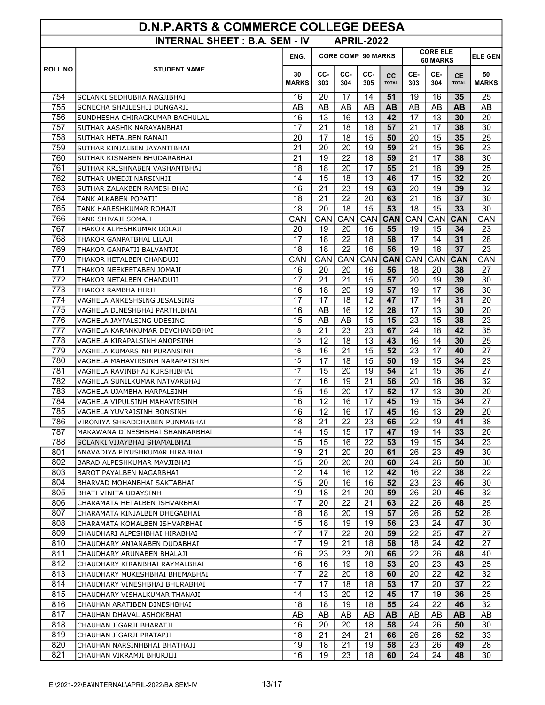| <b>D.N.P.ARTS &amp; COMMERCE COLLEGE DEESA</b> |                                                               |                    |                           |            |                   |                           |                             |            |                           |                    |
|------------------------------------------------|---------------------------------------------------------------|--------------------|---------------------------|------------|-------------------|---------------------------|-----------------------------|------------|---------------------------|--------------------|
|                                                | <b>INTERNAL SHEET: B.A. SEM - IV</b>                          |                    |                           |            | <b>APRIL-2022</b> |                           |                             |            |                           |                    |
|                                                |                                                               | ENG.               | <b>CORE COMP 90 MARKS</b> |            |                   |                           | <b>CORE ELE</b><br>60 MARKS |            |                           | <b>ELE GEN</b>     |
| <b>ROLL NO</b>                                 | <b>STUDENT NAME</b>                                           | 30<br><b>MARKS</b> | CC-<br>303                | CC-<br>304 | CC-<br>305        | <b>CC</b><br><b>TOTAL</b> | CE-<br>303                  | CE-<br>304 | <b>CE</b><br><b>TOTAL</b> | 50<br><b>MARKS</b> |
| 754                                            | SOLANKI SEDHUBHA NAGJIBHAI                                    | 16                 | 20                        | 17         | 14                | 51                        | 19                          | 16         | 35                        | 25                 |
| 755                                            | SONECHA SHAILESHJI DUNGARJI                                   | AB                 | AB                        | AB         | AB                | <b>AB</b>                 | AB                          | AB         | <b>AB</b>                 | AB                 |
| 756                                            | SUNDHESHA CHIRAGKUMAR BACHULAL                                | 16                 | 13                        | 16         | 13                | 42                        | 17                          | 13         | 30                        | 20                 |
| 757                                            | SUTHAR AASHIK NARAYANBHAI                                     | 17                 | 21                        | 18         | 18                | 57                        | 21                          | 17         | 38                        | 30                 |
| 758                                            | SUTHAR HETALBEN RANAJI                                        | 20                 | 17                        | 18         | 15                | 50                        | 20                          | 15         | 35                        | 25                 |
| 759                                            | SUTHAR KINJALBEN JAYANTIBHAI                                  | 21                 | 20                        | 20         | 19                | 59                        | 21                          | 15         | 36                        | 23                 |
| 760                                            | SUTHAR KISNABEN BHUDARABHAI                                   | $\overline{21}$    | 19                        | 22         | 18                | 59                        | 21                          | 17         | 38                        | 30                 |
| 761                                            | SUTHAR KRISHNABEN VASHANTBHAI                                 | 18                 | 18                        | 20         | 17                | 55                        | 21                          | 18         | 39                        | 25                 |
| 762                                            | SUTHAR UMEDJI NARSINHJI                                       | 14                 | 15                        | 18         | 13                | 46                        | 17                          | 15         | 32                        | 20                 |
| 763                                            | SUTHAR ZALAKBEN RAMESHBHAI                                    | 16                 | 21                        | 23         | 19                | 63                        | 20                          | 19         | 39                        | 32                 |
| 764                                            | TANK ALKABEN POPATJI                                          | 18                 | 21                        | 22         | 20                | 63                        | 21                          | 16         | 37                        | 30                 |
| 765                                            | TANK HARESHKUMAR ROMAJI                                       | 18                 | 20                        | 18         | 15                | 53                        | 18                          | 15         | 33                        | 30                 |
| 766                                            | TANK SHIVAJI SOMAJI                                           | CAN                | CAN                       | CAN        | CAN <sup> </sup>  | <b>CAN</b>                | CAN                         | CAN        | <b>CAN</b>                | CAN                |
| 767                                            | THAKOR ALPESHKUMAR DOLAJI                                     | 20                 | 19                        | 20         | 16                | 55                        | 19                          | 15         | 34                        | 23                 |
| 768                                            | THAKOR GANPATBHAI LILAJI                                      | 17                 | 18                        | 22         | 18                | 58                        | 17                          | 14         | 31                        | 28                 |
| 769                                            | THAKOR GANPATJI BALVANTJI                                     | 18                 | 18                        | 22         | 16                | 56                        | 19                          | 18         | 37                        | 23                 |
| 770                                            | THAKOR HETALBEN CHANDUJI                                      | CAN                | CAN                       | CAN        | CAN               | <b>CAN</b>                | CAN                         | CAN        | <b>CAN</b>                | CAN                |
| 771<br>$\overline{772}$                        | THAKOR NEEKEETABEN JOMAJI                                     | 16                 | 20                        | 20         | 16                | 56                        | 18                          | 20         | 38                        | 27                 |
| 773                                            | THAKOR NETALBEN CHANDUJI                                      | 17<br>16           | 21<br>18                  | 21<br>20   | 15<br>19          | 57<br>57                  | 20<br>19                    | 19<br>17   | 39<br>36                  | 30<br>30           |
| 774                                            | THAKOR RAMBHA HIRJI                                           | 17                 | 17                        | 18         | 12                | 47                        | 17                          | 14         | 31                        | 20                 |
| 775                                            | VAGHELA ANKESHSING JESALSING<br>VAGHELA DINESHBHAI PARTHIBHAI | 16                 | AB                        | 16         | 12                | 28                        | 17                          | 13         | 30                        | 20                 |
| 776                                            | VAGHELA JAYPALSING UDESING                                    | 15                 | AB                        | AB         | 15                | 15                        | 23                          | 15         | 38                        | 23                 |
| 777                                            | VAGHELA KARANKUMAR DEVCHANDBHAI                               | 18                 | 21                        | 23         | 23                | 67                        | 24                          | 18         | 42                        | 35                 |
| 778                                            | VAGHELA KIRAPALSINH ANOPSINH                                  | 15                 | 12                        | 18         | 13                | 43                        | 16                          | 14         | 30                        | 25                 |
| 779                                            | VAGHELA KUMARSINH PURANSINH                                   | 16                 | 16                        | 21         | 15                | 52                        | 23                          | 17         | 40                        | 27                 |
| 780                                            | VAGHELA MAHAVIRSINH NARAPATSINH                               | 15                 | 17                        | 18         | 15                | 50                        | 19                          | 15         | 34                        | 23                 |
| 781                                            | VAGHELA RAVINBHAI KURSHIBHAI                                  | 17                 | 15                        | 20         | 19                | 54                        | 21                          | 15         | 36                        | 27                 |
| 782                                            | VAGHELA SUNILKUMAR NATVARBHAI                                 | 17                 | 16                        | 19         | 21                | 56                        | 20                          | 16         | 36                        | 32                 |
| 783                                            | VAGHELA UJAMBHA HARPALSINH                                    | 15                 | 15                        | 20         | 17                | 52                        | 17                          | 13         | 30                        | 20                 |
| 784                                            | VAGHELA VIPULSINH MAHAVIRSINH                                 | 16                 | 12                        | 16         | 17                | 45                        | 19                          | 15         | 34                        | 27                 |
| 785                                            | VAGHELA YUVRAJSINH BONSINH                                    | 16                 | 12                        | 16         | 17                | 45                        | 16                          | 13         | 29                        | 20                 |
| 786                                            | VIRONIYA SHRADDHABEN PUNMABHAI                                | 18                 | 21                        | 22         | 23                | 66                        | 22                          | 19         | 41                        | 38                 |
| 787                                            | MAKAWANA DINESHBHAI SHANKARBHAI                               | 14                 | 15                        | 15         | 17                | 47                        | 19                          | 14         | 33                        | 20                 |
| 788                                            | SOLANKI VIJAYBHAI SHAMALBHAI                                  | 15                 | 15                        | 16         | 22                | 53                        | 19                          | 15         | 34                        | 23                 |
| 801                                            | ANAVADIYA PIYUSHKUMAR HIRABHAI                                | 19                 | 21                        | 20         | 20                | 61                        | 26                          | 23         | 49                        | 30                 |
| 802                                            | BARAD ALPESHKUMAR MAVJIBHAI                                   | 15                 | 20                        | 20         | 20                | 60                        | 24                          | 26         | 50                        | 30                 |
| 803                                            | BAROT PAYALBEN NAGARBHAI                                      | 12                 | 14                        | 16         | 12                | 42                        | 16                          | 22         | 38                        | 22                 |
| 804                                            | BHARVAD MOHANBHAI SAKTABHAI                                   | 15                 | 20                        | 16         | 16                | 52                        | 23                          | 23         | 46                        | 30                 |
| 805                                            | BHATI VINITA UDAYSINH                                         | 19                 | 18                        | 21         | 20                | 59                        | 26                          | 20         | 46                        | 32                 |
| 806                                            | CHARAMATA HETALBEN ISHVARBHAI                                 | 17                 | 20                        | 22         | 21                | 63                        | 22                          | 26         | 48                        | 25                 |
| 807                                            | CHARAMATA KINJALBEN DHEGABHAI                                 | 18                 | 18                        | 20         | 19                | 57                        | 26                          | 26         | 52                        | 28                 |
| 808                                            | CHARAMATA KOMALBEN ISHVARBHAI                                 | 15                 | 18                        | 19         | 19                | 56                        | 23                          | 24         | 47                        | 30                 |
| 809                                            | CHAUDHARI ALPESHBHAI HIRABHAI                                 | 17                 | 17                        | 22         | 20                | 59                        | 22                          | 25         | 47                        | 27                 |
| 810                                            | CHAUDHARY ANJANABEN DUDABHAI                                  | 17                 | 19                        | 21         | 18                | 58                        | 18                          | 24         | 42                        | 27                 |
| 811                                            | CHAUDHARY ARUNABEN BHALAJI                                    | 16                 | 23                        | 23         | 20                | 66                        | 22                          | 26         | 48                        | 40                 |
| 812                                            | CHAUDHARY KIRANBHAI RAYMALBHAI                                | 16                 | 16                        | 19         | 18                | 53                        | 20                          | 23         | 43                        | 25                 |
| 813<br>814                                     | CHAUDHARY MUKESHBHAI BHEMABHAI                                | 17<br>17           | 22<br>17                  | 20<br>18   | 18                | 60<br>53                  | 20<br>17                    | 22         | 42<br>37                  | 32<br>22           |
| 815                                            | CHAUDHARY VINESHBHAI BHURABHAI                                | 14                 | 13                        | 20         | 18<br>12          | 45                        | 17                          | 20<br>19   | 36                        | 25                 |
| 816                                            | CHAUDHARY VISHALKUMAR THANAJI<br>CHAUHAN ARATIBEN DINESHBHAI  | 18                 | 18                        | 19         | 18                | 55                        | 24                          | 22         | 46                        | 32                 |
| 817                                            | CHAUHAN DHAVAL ASHOKBHAI                                      | AB                 | AB                        | AB         | AB                | AB.                       | AB                          | AB         | AB.                       | AB                 |
| 818                                            | CHAUHAN JIGARJI BHARATJI                                      | 16                 | 20                        | 20         | 18                | 58                        | 24                          | 26         | 50                        | 30                 |
| 819                                            | CHAUHAN JIGARJI PRATAPJI                                      | 18                 | 21                        | 24         | 21                | 66                        | 26                          | 26         | 52                        | 33                 |
| 820                                            | CHAUHAN NARSINHBHAI BHATHAJI                                  | 19                 | 18                        | 21         | 19                | 58                        | 23                          | 26         | 49                        | 28                 |
| 821                                            | CHAUHAN VIKRAMJI BHURJIJI                                     | 16                 | 19                        | 23         | 18                | 60                        | 24                          | 24         | 48                        | 30                 |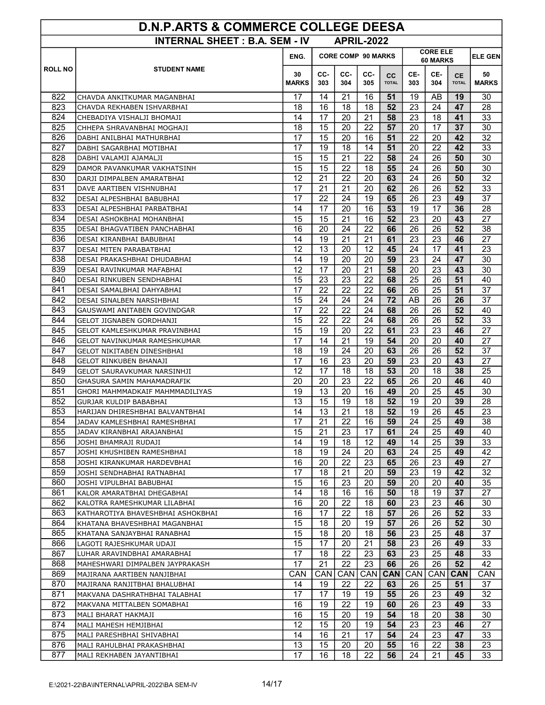| <b>D.N.P.ARTS &amp; COMMERCE COLLEGE DEESA</b>            |                                                      |                    |                           |                 |                 |                    |                             |                  |                           |                    |
|-----------------------------------------------------------|------------------------------------------------------|--------------------|---------------------------|-----------------|-----------------|--------------------|-----------------------------|------------------|---------------------------|--------------------|
| <b>INTERNAL SHEET: B.A. SEM - IV</b><br><b>APRIL-2022</b> |                                                      |                    |                           |                 |                 |                    |                             |                  |                           |                    |
|                                                           |                                                      | ENG.               | <b>CORE COMP 90 MARKS</b> |                 |                 |                    | <b>CORE ELE</b><br>60 MARKS | <b>ELE GEN</b>   |                           |                    |
| <b>ROLL NO</b>                                            | <b>STUDENT NAME</b>                                  | 30<br><b>MARKS</b> | CC-<br>303                | CC-<br>304      | CC-<br>305      | cc<br><b>TOTAL</b> | CE-<br>303                  | CE-<br>304       | <b>CE</b><br><b>TOTAL</b> | 50<br><b>MARKS</b> |
| 822                                                       | CHAVDA ANKITKUMAR MAGANBHAI                          | 17                 | 14                        | 21              | 16              | 51                 | 19                          | AB               | 19                        | 30                 |
| 823                                                       | CHAVDA REKHABEN ISHVARBHAI                           | 18                 | 16                        | 18              | 18              | 52                 | 23                          | 24               | 47                        | 28                 |
| 824                                                       | CHEBADIYA VISHALJI BHOMAJI                           | 14                 | 17                        | 20              | 21              | 58                 | 23                          | 18               | 41                        | 33                 |
| 825                                                       | CHHEPA SHRAVANBHAI MOGHAJI                           | 18                 | 15                        | 20              | 22              | 57                 | 20                          | 17               | 37                        | 30                 |
| 826                                                       | DABHI ANILBHAI MATHURBHAI                            | 17                 | 15                        | 20              | 16              | 51                 | 22                          | 20               | 42                        | 32                 |
| 827                                                       | DABHI SAGARBHAI MOTIBHAI                             | 17                 | 19                        | 18              | 14              | 51                 | 20                          | 22               | 42                        | 33                 |
| 828                                                       | DABHI VALAMJI AJAMALJI                               | 15                 | $\overline{15}$           | 21              | $\overline{22}$ | 58                 | 24                          | 26               | 50                        | 30                 |
| 829                                                       | DAMOR PAVANKUMAR VAKHATSINH                          | 15                 | 15                        | 22              | 18              | 55                 | 24                          | 26               | 50                        | 30                 |
| 830                                                       | DARJI DIMPALBEN AMARATBHAI                           | 12                 | 21                        | 22              | 20              | 63                 | 24                          | 26               | 50                        | 32                 |
| 831                                                       | DAVE AARTIBEN VISHNUBHAI                             | 17                 | 21                        | 21              | 20              | 62                 | 26                          | 26               | 52                        | 33                 |
| 832                                                       | DESAI ALPESHBHAI BABUBHAI                            | 17                 | 22                        | 24              | 19              | 65                 | 26                          | 23               | 49                        | 37                 |
| 833                                                       | DESAI ALPESHBHAI PARBATBHAI                          | 14                 | 17                        | 20              | 16              | 53                 | 19                          | 17               | 36                        | 28                 |
| 834                                                       | DESAI ASHOKBHAI MOHANBHAI                            | 15                 | 15                        | 21              | 16              | 52                 | 23                          | 20               | 43                        | 27                 |
| 835                                                       | DESAI BHAGVATIBEN PANCHABHAI                         | 16                 | 20                        | 24              | 22              | 66                 | 26                          | 26               | 52                        | 38                 |
| 836                                                       | DESAI KIRANBHAI BABUBHAI                             | 14                 | 19                        | 21              | 21              | 61                 | 23                          | 23               | 46                        | 27                 |
| 837                                                       | DESAI MITEN PARABATBHAI                              | 12                 | 13                        | 20              | 12              | 45                 | 24                          | 17               | 41                        | 23                 |
| 838                                                       | DESAI PRAKASHBHAI DHUDABHAI                          | 14                 | 19                        | 20              | 20              | 59                 | 23                          | 24               | 47                        | 30                 |
| 839                                                       | DESAI RAVINKUMAR MAFABHAI                            | 12                 | 17                        | 20              | 21              | 58                 | 20                          | 23               | 43                        | 30                 |
| 840                                                       | DESAI RINKUBEN SENDHABHAI                            | 15                 | 23                        | 23              | 22              | 68                 | 25                          | 26               | 51                        | 40                 |
| 841                                                       | DESAI SAMALBHAI DAHYABHAI                            | 17                 | 22                        | 22              | 22              | 66                 | 26                          | 25               | 51                        | 37                 |
| 842                                                       | DESAI SINALBEN NARSIHBHAI                            | 15                 | 24                        | 24              | 24              | 72                 | AB                          | 26               | 26                        | 37                 |
| 843                                                       | GAUSWAMI ANITABEN GOVINDGAR                          | 17                 | 22                        | 22              | 24              | 68                 | 26                          | 26               | 52                        | 40                 |
| 844                                                       | GELOT JIGNABEN GORDHANJI                             | 15                 | 22                        | 22              | 24              | 68                 | 26                          | 26               | 52                        | 33                 |
| 845                                                       | GELOT KAMLESHKUMAR PRAVINBHAI                        | 15<br>17           | 19                        | 20              | 22              | 61                 | 23                          | 23               | 46                        | 27                 |
| 846<br>847                                                | GELOT NAVINKUMAR RAMESHKUMAR                         | 18                 | 14<br>19                  | 21<br>24        | 19<br>20        | 54<br>63           | 20<br>26                    | 20<br>26         | 40<br>52                  | 27<br>37           |
| 848                                                       | GELOT NIKITABEN DINESHBHAI<br>GELOT RINKUBEN BHANAJI | 17                 | 16                        | 23              | 20              | 59                 | 23                          | 20               | 43                        | 27                 |
| 849                                                       | GELOT SAURAVKUMAR NARSINHJI                          | 12                 | 17                        | 18              | 18              | 53                 | 20                          | 18               | 38                        | 25                 |
| 850                                                       | GHASURA SAMIN MAHAMADRAFIK                           | 20                 | 20                        | 23              | 22              | 65                 | 26                          | 20               | 46                        | 40                 |
| 851                                                       | GHORI MAHMMADKAIF MAHMMADILIYAS                      | 19                 | 13                        | 20              | 16              | 49                 | 20                          | 25               | 45                        | 30                 |
| 852                                                       | GURJAR KULDIP BABABHAI                               | 13                 | 15                        | 19              | 18              | 52                 | 19                          | 20               | 39                        | 28                 |
| 853                                                       | HARIJAN DHIRESHBHAI BALVANTBHAI                      | 14                 | 13                        | $\overline{21}$ | 18              | 52                 | 19                          | 26               | 45                        | 23                 |
| 854                                                       | JADAV KAMLESHBHAI RAMESHBHAI                         | 17                 | 21                        | 22              | 16              | 59                 | 24                          | 25               | 49                        | 38                 |
| 855                                                       | JADAV KIRANBHAI ARAJANBHAI                           | 15                 | 21                        | 23              | 17              | 61                 | 24                          | 25               | 49                        | 40                 |
| 856                                                       | JOSHI BHAMRAJI RUDAJI                                | 14                 | 19                        | 18              | 12              | 49                 | 14                          | 25               | 39                        | 33                 |
| 857                                                       | JOSHI KHUSHIBEN RAMESHBHAI                           | 18                 | 19                        | 24              | 20              | 63                 | 24                          | 25               | 49                        | 42                 |
| 858                                                       | JOSHI KIRANKUMAR HARDEVBHAI                          | 16                 | 20                        | 22              | 23              | 65                 | 26                          | 23               | 49                        | 27                 |
| 859                                                       | JOSHI SENDHABHAI RATNABHAI                           | 17                 | 18                        | 21              | 20              | 59                 | 23                          | 19               | 42                        | 32                 |
| 860                                                       | JOSHI VIPULBHAI BABUBHAI                             | 15                 | 16                        | 23              | 20              | 59                 | 20                          | 20               | 40                        | 35                 |
| 861                                                       | KALOR AMARATBHAI DHEGABHAI                           | 14                 | 18                        | 16              | 16              | 50                 | 18                          | 19               | 37                        | 27                 |
| 862                                                       | KALOTRA RAMESHKUMAR LILABHAI                         | 16                 | 20                        | 22              | 18              | 60                 | 23                          | 23               | 46                        | 30                 |
| 863                                                       | KATHAROTIYA BHAVESHBHAI ASHOKBHAI                    | 16                 | 17                        | 22              | 18              | 57                 | 26                          | 26               | 52                        | 33                 |
| 864                                                       | KHATANA BHAVESHBHAI MAGANBHAI                        | 15                 | 18                        | 20              | 19              | 57                 | 26                          | 26               | 52                        | 30                 |
| 865                                                       | KHATANA SANJAYBHAI RANABHAI                          | 15                 | 18                        | 20              | 18              | 56                 | 23                          | 25               | 48                        | 37                 |
| 866                                                       | LAGOTI RAJESHKUMAR UDAJI                             | 15                 | 17                        | 20              | 21              | 58                 | 23                          | 26               | 49                        | 33                 |
| 867                                                       | LUHAR ARAVINDBHAI AMARABHAI                          | 17                 | 18                        | 22              | 23              | 63                 | 23                          | 25               | 48                        | 33                 |
| 868                                                       | MAHESHWARI DIMPALBEN JAYPRAKASH                      | $\overline{17}$    | 21                        | 22              | 23              | 66                 | 26                          | 26               | 52                        | 42                 |
| 869                                                       | MAJIRANA AARTIBEN NANJIBHAI                          | CAN                | CAN                       | CAN             | CAN             | <b>CAN</b>         | CAN                         | CAN <sup>1</sup> | <b>CAN</b>                | <b>CAN</b>         |
| 870                                                       | MAJIRANA RANJITBHAI BHALUBHAI                        | 14                 | 19                        | 22              | 22              | 63                 | 26                          | 25               | 51                        | 37                 |
| 871                                                       | MAKVANA DASHRATHBHAI TALABHAI                        | 17                 | 17                        | 19              | 19              | 55                 | 26                          | 23               | 49                        | 32                 |
| 872                                                       | MAKVANA MITTALBEN SOMABHAI                           | 16                 | 19                        | 22              | 19              | 60                 | 26                          | 23               | 49                        | 33                 |
| 873                                                       | MALI BHARAT HAKMAJI                                  | 16                 | 15                        | 20              | 19              | 54                 | 18                          | 20               | 38                        | 30                 |
| 874                                                       | MALI MAHESH HEMJIBHAI                                | 12                 | 15                        | 20              | 19              | 54                 | 23                          | 23               | 46                        | 27                 |
| 875                                                       | MALI PARESHBHAI SHIVABHAI                            | 14<br>13           | 16                        | 21              | 17              | 54                 | 24                          | 23               | 47                        | 33                 |
| 876                                                       | MALI RAHULBHAI PRAKASHBHAI                           |                    | 15                        | 20              | 20              | 55                 | 16                          | 22               | 38                        | 23                 |
| 877                                                       | MALI REKHABEN JAYANTIBHAI                            | 17                 | 16                        | 18              | 22              | 56                 | 24                          | 21               | 45                        | 33                 |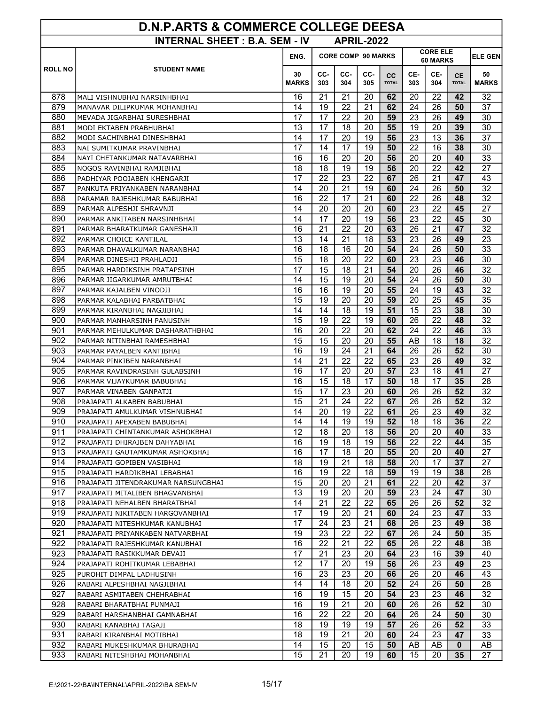| <b>D.N.P.ARTS &amp; COMMERCE COLLEGE DEESA</b> |                                                                        |                    |            |                           |            |                           |            |                             |                           |                    |
|------------------------------------------------|------------------------------------------------------------------------|--------------------|------------|---------------------------|------------|---------------------------|------------|-----------------------------|---------------------------|--------------------|
|                                                | <b>INTERNAL SHEET: B.A. SEM - IV</b>                                   |                    |            | <b>APRIL-2022</b>         |            |                           |            |                             |                           |                    |
|                                                |                                                                        | ENG.               |            | <b>CORE COMP 90 MARKS</b> |            |                           |            | <b>CORE ELE</b><br>60 MARKS | <b>ELE GEN</b>            |                    |
| <b>ROLL NO</b>                                 | <b>STUDENT NAME</b>                                                    | 30<br><b>MARKS</b> | CC-<br>303 | CC-<br>304                | CC-<br>305 | <b>CC</b><br><b>TOTAL</b> | CE-<br>303 | CE-<br>304                  | <b>CE</b><br><b>TOTAL</b> | 50<br><b>MARKS</b> |
| 878                                            | MALI VISHNUBHAI NARSINHBHAI                                            | 16                 | 21         | 21                        | 20         | 62                        | 20         | 22                          | 42                        | 32                 |
| 879                                            | MANAVAR DILIPKUMAR MOHANBHAI                                           | 14                 | 19         | 22                        | 21         | 62                        | 24         | 26                          | 50                        | 37                 |
| 880                                            | MEVADA JIGARBHAI SURESHBHAI                                            | 17                 | 17         | 22                        | 20         | 59                        | 23         | 26                          | 49                        | 30                 |
| 881                                            | MODI EKTABEN PRABHUBHAI                                                | 13                 | 17         | 18                        | 20         | 55                        | 19         | 20                          | 39                        | 30                 |
| 882                                            | MODI SACHINBHAI DINESHBHAI                                             | 14                 | 17         | 20                        | 19         | 56                        | 23         | 13                          | 36                        | 37                 |
| 883                                            | NAI SUMITKUMAR PRAVINBHAI                                              | 17                 | 14         | 17                        | 19         | 50                        | 22         | 16                          | 38                        | 30                 |
| 884                                            | NAYI CHETANKUMAR NATAVARBHAI                                           | 16                 | 16         | 20                        | 20         | 56                        | 20         | 20                          | 40                        | 33                 |
| 885                                            | NOGOS RAVINBHAI RAMJIBHAI                                              | 18                 | 18         | 19                        | 19         | 56                        | 20         | 22                          | 42                        | 27                 |
| 886                                            | PADHIYAR POOJABEN KHENGARJI                                            | 17                 | 22         | 23                        | 22         | 67                        | 26         | 21                          | 47                        | 43                 |
| 887                                            | PANKUTA PRIYANKABEN NARANBHAI                                          | 14                 | 20         | 21                        | 19         | 60                        | 24         | 26                          | 50                        | $\overline{32}$    |
| 888                                            | PARAMAR RAJESHKUMAR BABUBHAI<br>PARMAR ALPESHJI SHRAVNJI               | 16<br>14           | 22<br>20   | 17<br>20                  | 21<br>20   | 60<br>60                  | 22<br>23   | 26<br>22                    | 48<br>45                  | 32<br>27           |
| 889<br>890                                     | PARMAR ANKITABEN NARSINHBHAI                                           | 14                 | 17         | 20                        | 19         | 56                        | 23         | 22                          | 45                        | 30                 |
| 891                                            | PARMAR BHARATKUMAR GANESHAJI                                           | 16                 | 21         | 22                        | 20         | 63                        | 26         | 21                          | 47                        | 32                 |
| 892                                            | PARMAR CHOICE KANTILAL                                                 | 13                 | 14         | 21                        | 18         | 53                        | 23         | 26                          | 49                        | 23                 |
| 893                                            | PARMAR DHAVALKUMAR NARANBHAI                                           | 16                 | 18         | 16                        | 20         | 54                        | 24         | 26                          | 50                        | 33                 |
| 894                                            | PARMAR DINESHJI PRAHLADJI                                              | 15                 | 18         | 20                        | 22         | 60                        | 23         | 23                          | 46                        | 30                 |
| 895                                            | PARMAR HARDIKSINH PRATAPSINH                                           | 17                 | 15         | 18                        | 21         | 54                        | 20         | 26                          | 46                        | 32                 |
| 896                                            | PARMAR JIGARKUMAR AMRUTBHAI                                            | 14                 | 15         | 19                        | 20         | 54                        | 24         | 26                          | 50                        | 30                 |
| 897                                            | PARMAR KAJALBEN VINODJI                                                | 16                 | 16         | 19                        | 20         | 55                        | 24         | 19                          | 43                        | $\overline{32}$    |
| 898                                            | PARMAR KALABHAI PARBATBHAI                                             | 15                 | 19         | 20                        | 20         | 59                        | 20         | 25                          | 45                        | 35                 |
| 899                                            | PARMAR KIRANBHAI NAGJIBHAI                                             | 14                 | 14         | 18                        | 19         | 51                        | 15         | 23                          | 38                        | 30                 |
| 900                                            | PARMAR MANHARSINH PANUSINH                                             | 15                 | 19         | 22                        | 19         | 60                        | 26         | 22                          | 48                        | 32                 |
| 901                                            | PARMAR MEHULKUMAR DASHARATHBHAI                                        | 16                 | 20         | 22                        | 20         | 62                        | 24         | 22                          | 46                        | 33                 |
| 902                                            | PARMAR NITINBHAI RAMESHBHAI                                            | 15                 | 15         | 20                        | 20         | 55                        | AB         | 18                          | 18                        | 32                 |
| 903                                            | PARMAR PAYALBEN KANTIBHAI                                              | 16                 | 19         | 24                        | 21         | 64                        | 26         | 26                          | 52                        | 30                 |
| 904                                            | PARMAR PINKIBEN NARANBHAI                                              | 14                 | 21         | 22                        | 22         | 65                        | 23         | 26                          | 49                        | 32                 |
| 905                                            | PARMAR RAVINDRASINH GULABSINH                                          | 16                 | 17         | 20                        | 20         | 57                        | 23         | 18                          | 41                        | 27                 |
| 906                                            | PARMAR VIJAYKUMAR BABUBHAI                                             | 16                 | 15         | 18                        | 17         | 50                        | 18         | 17                          | 35                        | 28                 |
| 907                                            | PARMAR VINABEN GANPATJI                                                | 15                 | 17         | 23                        | 20         | 60                        | 26         | 26                          | 52                        | $\overline{32}$    |
| 908                                            | PRAJAPATI ALKABEN BABUBHAI                                             | 15                 | 21         | 24                        | 22         | 67                        | 26         | 26                          | 52                        | 32                 |
| 909                                            | PRAJAPATI AMULKUMAR VISHNUBHAI                                         | 14                 | 20         | 19                        | 22         | 61                        | 26         | 23                          | 49                        | 32                 |
| 910                                            | PRAJAPATI APEXABEN BABUBHAI                                            | 14                 | 14         | 19                        | 19         | 52                        | 18         | 18                          | 36                        | 22                 |
| 911                                            | PRAJAPATI CHINTANKUMAR ASHOKBHAI                                       | 12                 | 18         | 20                        | 18         | 56                        | 20         | 20                          | 40                        | 33                 |
| 912                                            | PRAJAPATI DHIRAJBEN DAHYABHAI                                          | 16                 | 19         | 18                        | 19         | 56                        | 22         | 22                          | 44                        | 35                 |
| 913                                            | PRAJAPATI GAUTAMKUMAR ASHOKBHAI                                        | 16                 | 17         | 18                        | 20         | 55                        | 20         | 20                          | 40                        | 27                 |
| 914                                            | PRAJAPATI GOPIBEN VASIBHAI                                             | 18                 | 19         | 21                        | 18         | 58                        | 20         | 17                          | 37                        | 27                 |
| 915                                            | PRAJAPATI HARDIKBHAI LEBABHAI                                          | 16                 | 19         | 22                        | 18         | 59                        | 19         | 19                          | 38                        | 28                 |
| 916<br>917                                     | PRAJAPATI JITENDRAKUMAR NARSUNGBHAI<br>PRAJAPATI MITALIBEN BHAGVANBHAI | 15<br>13           | 20<br>19   | 20<br>20                  | 21<br>20   | 61<br>59                  | 22<br>23   | 20<br>24                    | 42<br>47                  | 37<br>30           |
| 918                                            |                                                                        | 14                 | 21         | 22                        | 22         | 65                        | 26         | 26                          | 52 <sub>2</sub>           | 32                 |
| 919                                            | PRAJAPATI NEHALBEN BHARATBHAI<br>PRAJAPATI NIKITABEN HARGOVANBHAI      | 17                 | 19         | 20                        | 21         | 60                        | 24         | 23                          | 47                        | 33                 |
| 920                                            | PRAJAPATI NITESHKUMAR KANUBHAI                                         | 17                 | 24         | 23                        | 21         | 68                        | 26         | 23                          | 49                        | 38                 |
| 921                                            | PRAJAPATI PRIYANKABEN NATVARBHAI                                       | 19                 | 23         | 22                        | 22         | 67                        | 26         | 24                          | 50                        | 35                 |
| 922                                            | PRAJAPATI RAJESHKUMAR KANUBHAI                                         | 16                 | 22         | 21                        | 22         | 65                        | 26         | 22                          | 48                        | 38                 |
| 923                                            | PRAJAPATI RASIKKUMAR DEVAJI                                            | 17                 | 21         | 23                        | 20         | 64                        | 23         | 16                          | 39                        | 40                 |
| 924                                            | PRAJAPATI ROHITKUMAR LEBABHAI                                          | 12                 | 17         | 20                        | 19         | 56                        | 26         | 23                          | 49                        | 23                 |
| 925                                            | PUROHIT DIMPAL LADHUSINH                                               | 16                 | 23         | 23                        | 20         | 66                        | 26         | 20                          | 46                        | 43                 |
| 926                                            | RABARI ALPESHBHAI NAGJIBHAI                                            | 14                 | 14         | 18                        | 20         | 52                        | 24         | 26                          | 50                        | 28                 |
| 927                                            | RABARI ASMITABEN CHEHRABHAI                                            | 16                 | 19         | 15                        | 20         | 54                        | 23         | 23                          | 46                        | 32                 |
| 928                                            | RABARI BHARATBHAI PUNMAJI                                              | 16                 | 19         | 21                        | 20         | 60                        | 26         | 26                          | 52                        | 30                 |
| 929                                            | RABARI HARSHANBHAI GAMNABHAI                                           | 16                 | 22         | 22                        | 20         | 64                        | 26         | 24                          | 50                        | 30                 |
| 930                                            | RABARI KANABHAI TAGAJI                                                 | 18                 | 19         | 19                        | 19         | 57                        | 26         | 26                          | 52                        | 33                 |
| 931                                            | RABARI KIRANBHAI MOTIBHAI                                              | 18                 | 19         | 21                        | 20         | 60                        | 24         | 23                          | 47                        | 33                 |
| 932                                            | RABARI MUKESHKUMAR BHURABHAI                                           | 14                 | 15         | 20                        | 15         | 50                        | AB         | AB                          | 0                         | AB                 |
| 933                                            | RABARI NITESHBHAI MOHANBHAI                                            | 15                 | 21         | 20                        | 19         | 60                        | 15         | 20                          | 35                        | 27                 |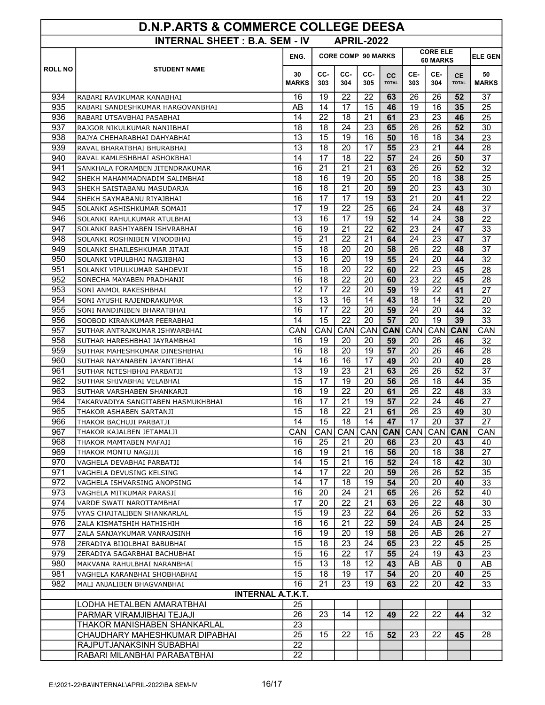| D.N.P.ARTS & COMMERCE COLLEGE DEESA |                                                             |                    |                           |            |                   |                           |                             |                  |                           |                    |
|-------------------------------------|-------------------------------------------------------------|--------------------|---------------------------|------------|-------------------|---------------------------|-----------------------------|------------------|---------------------------|--------------------|
|                                     | <b>INTERNAL SHEET: B.A. SEM - IV</b>                        |                    |                           |            | <b>APRIL-2022</b> |                           |                             |                  |                           |                    |
|                                     |                                                             | ENG.               | <b>CORE COMP 90 MARKS</b> |            |                   |                           | <b>CORE ELE</b><br>60 MARKS | <b>ELE GEN</b>   |                           |                    |
| <b>ROLL NO</b>                      | <b>STUDENT NAME</b>                                         | 30<br><b>MARKS</b> | CC-<br>303                | CC-<br>304 | CC-<br>305        | <b>CC</b><br><b>TOTAL</b> | CE-<br>303                  | CE-<br>304       | <b>CE</b><br><b>TOTAL</b> | 50<br><b>MARKS</b> |
| 934                                 | RABARI RAVIKUMAR KANABHAI                                   | 16                 | 19                        | 22         | 22                | 63                        | 26                          | 26               | 52                        | 37                 |
| 935                                 | RABARI SANDESHKUMAR HARGOVANBHAI                            | AB                 | 14                        | 17         | 15                | 46                        | 19                          | 16               | 35                        | 25                 |
| 936                                 | RABARI UTSAVBHAI PASABHAI                                   | 14                 | 22                        | 18         | 21                | 61                        | 23                          | 23               | 46                        | 25                 |
| 937                                 | RAJGOR NIKULKUMAR NANJIBHAI                                 | 18                 | 18                        | 24         | 23                | 65                        | 26                          | 26               | 52                        | 30                 |
| 938                                 | RAJYA CHEHARABHAI DAHYABHAI                                 | 13                 | 15                        | 19         | 16                | 50                        | 16                          | 18               | 34                        | 23                 |
| 939                                 | RAVAL BHARATBHAI BHURABHAI                                  | 13                 | 18                        | 20         | 17                | 55                        | 23                          | 21               | 44                        | 28                 |
| 940                                 | RAVAL KAMLESHBHAI ASHOKBHAI                                 | 14                 | 17                        | 18         | 22                | 57                        | 24                          | 26               | 50                        | 37                 |
| 941<br>942                          | SANKHALA FORAMBEN JITENDRAKUMAR                             | 16<br>18           | 21<br>16                  | 21<br>19   | 21<br>20          | 63<br>55                  | 26<br>20                    | 26<br>18         | 52                        | 32                 |
| 943                                 | SHEKH MAHAMMADNADIM SALIMBHAI<br>SHEKH SAISTABANU MASUDARJA | 16                 | 18                        | 21         | 20                | 59                        | 20                          | 23               | 38<br>43                  | 25<br>30           |
| 944                                 | SHEKH SAYMABANU RIYAJBHAI                                   | 16                 | 17                        | 17         | 19                | 53                        | 21                          | 20               | 41                        | 22                 |
| 945                                 | SOLANKI ASHISHKUMAR SOMAJI                                  | 17                 | 19                        | 22         | 25                | 66                        | 24                          | 24               | 48                        | 37                 |
| 946                                 | SOLANKI RAHULKUMAR ATULBHAI                                 | 13                 | 16                        | 17         | 19                | 52                        | 14                          | 24               | 38                        | 22                 |
| 947                                 | SOLANKI RASHIYABEN ISHVRABHAI                               | 16                 | 19                        | 21         | 22                | 62                        | 23                          | 24               | 47                        | 33                 |
| 948                                 | SOLANKI ROSHNIBEN VINODBHAI                                 | 15                 | 21                        | 22         | 21                | 64                        | 24                          | 23               | 47                        | 37                 |
| 949                                 | SOLANKI SHAILESHKUMAR JITAJI                                | 15                 | 18                        | 20         | 20                | 58                        | 26                          | 22               | 48                        | 37                 |
| 950                                 | SOLANKI VIPULBHAI NAGJIBHAI                                 | 13                 | 16                        | 20         | 19                | 55                        | 24                          | 20               | 44                        | 32                 |
| 951                                 | SOLANKI VIPULKUMAR SAHDEVJI                                 | $\overline{15}$    | 18                        | 20         | 22                | 60                        | 22                          | 23               | 45                        | 28                 |
| 952                                 | SONECHA MAYABEN PRADHANJI                                   | 16                 | 18                        | 22         | 20                | 60                        | 23                          | 22               | 45                        | 28                 |
| 953                                 | SONI ANMOL RAKESHBHAI                                       | 12                 | 17                        | 22         | 20                | 59                        | 19                          | 22               | 41                        | $\overline{27}$    |
| 954                                 | SONI AYUSHI RAJENDRAKUMAR                                   | 13                 | 13                        | 16         | 14                | 43                        | 18                          | 14               | 32                        | 20                 |
| 955                                 | SONI NANDINIBEN BHARATBHAI                                  | 16                 | 17                        | 22         | 20                | 59                        | 24                          | 20               | 44                        | 32                 |
| 956                                 | SOOBOD KIRANKUMAR PEERABHAI                                 | 14                 | 15                        | 22         | 20                | 57                        | 20                          | 19               | 39                        | 33                 |
| 957                                 | SUTHAR ANTRAJKUMAR ISHWARBHAI                               | CAN                | <b>CAN</b>                | CAN        | CAN               | <b>CAN</b>                | CAN                         | <b>CAN</b>       | <b>CAN</b>                | CAN                |
| 958                                 | SUTHAR HARESHBHAI JAYRAMBHAI                                | 16                 | 19                        | 20         | 20                | 59                        | 20                          | 26               | 46                        | 32                 |
| 959                                 | SUTHAR MAHESHKUMAR DINESHBHAI                               | 16                 | 18                        | 20         | 19                | 57                        | 20                          | 26               | 46                        | 28                 |
| 960                                 | SUTHAR NAYANABEN JAYANTIBHAI                                | 14                 | 16                        | 16         | 17                | 49                        | 20                          | 20               | 40                        | 28                 |
| 961                                 | SUTHAR NITESHBHAI PARBATJI                                  | 13                 | 19                        | 23         | 21                | 63                        | 26                          | 26               | 52                        | 37                 |
| 962                                 | SUTHAR SHIVABHAI VELABHAI                                   | 15                 | 17                        | 19         | 20                | 56                        | 26                          | 18               | 44                        | 35                 |
| 963                                 | SUTHAR VARSHABEN SHANKARJI                                  | 16                 | 19                        | 22         | 20                | 61                        | 26                          | 22               | 48                        | 33                 |
| 964                                 | TAKARVADIYA SANGITABEN HASMUKHBHAI                          | 16                 | 17                        | 21         | 19                | 57                        | 22                          | 24               | 46                        | 27                 |
| 965                                 | THAKOR ASHABEN SARTANJI                                     | 15                 | 18                        | 22         | 21                | 61                        | 26                          | 23               | 49                        | 30                 |
| 966                                 | THAKOR BACHUJI PARBATJI                                     | 14                 | 15                        | 18         | 14                | 47                        | 17                          | 20               | 37                        | 27                 |
| 967                                 | THAKOR KAJALBEN JETAMALJI                                   | <b>CAN</b>         | CAN                       | <b>CAN</b> |                   | CAN CAN                   | CAN                         | CAN <sup>I</sup> | <b>CAN</b>                | CAN.               |
| 968<br>969                          | THAKOR MAMTABEN MAFAJI                                      | 16<br>16           | 25<br>19                  | 21<br>21   | 20<br>16          | 66<br>56                  | 23<br>20                    | 20<br>18         | 43<br>38                  | 40<br>27           |
| 970                                 | THAKOR MONTU NAGJIJI<br>VAGHELA DEVABHAI PARBATJI           | 14                 | 15                        | 21         | 16                | 52                        | 24                          | 18               | 42                        | 30                 |
| 971                                 | VAGHELA DEVUSING KELSING                                    | 14                 | 17                        | 22         | 20                | 59                        | 26                          | 26               | 52                        | 35                 |
| 972                                 | VAGHELA ISHVARSING ANOPSING                                 | 14                 | 17                        | 18         | 19                | 54                        | 20                          | 20               | 40                        | 33                 |
| 973                                 | VAGHELA MITKUMAR PARASJI                                    | 16                 | 20                        | 24         | 21                | 65                        | 26                          | 26               | 52                        | 40                 |
| 974                                 | VARDE SWATI NAROTTAMBHAI                                    | 17                 | 20                        | 22         | 21                | 63                        | 26                          | 22               | 48                        | 30                 |
| 975                                 | VYAS CHAITALIBEN SHANKARLAL                                 | 15                 | 19                        | 23         | 22                | 64                        | 26                          | 26               | 52                        | 33                 |
| 976                                 | ZALA KISMATSHIH HATHISHIH                                   | 16                 | 16                        | 21         | 22                | 59                        | 24                          | AB               | 24                        | 25                 |
| 977                                 | ZALA SANJAYKUMAR VANRAJSINH                                 | 16                 | 19                        | 20         | 19                | 58                        | 26                          | AB               | 26                        | 27                 |
| 978                                 | ZERADIYA BIJOLBHAI BABUBHAI                                 | 15                 | 18                        | 23         | 24                | 65                        | 23                          | 22               | 45                        | 25                 |
| 979                                 | ZERADIYA SAGARBHAI BACHUBHAI                                | 15                 | 16                        | 22         | 17                | 55                        | 24                          | 19               | 43                        | 23                 |
| 980                                 | MAKVANA RAHULBHAI NARANBHAI                                 | 15                 | 13                        | 18         | 12                | 43                        | AB                          | AB               | $\mathbf{0}$              | AB                 |
| 981                                 | VAGHELA KARANBHAI SHOBHABHAI                                | $\overline{15}$    | 18                        | 19         | 17                | 54                        | 20                          | 20               | 40                        | 25                 |
| 982                                 | MALI ANJALIBEN BHAGVANBHAI                                  | 16                 | 21                        | 23         | 19                | 63                        | 22                          | 20               | 42                        | 33                 |
|                                     | <b>INTERNAL A.T.K.T.</b>                                    |                    |                           |            |                   |                           |                             |                  |                           |                    |
|                                     | LODHA HETALBEN AMARATBHAI                                   | 25                 |                           |            |                   |                           |                             |                  |                           |                    |
|                                     | PARMAR VIRAMJIBHAI TEJAJI                                   | 26                 | 23                        | 14         | 12                | 49                        | 22                          | 22               | 44                        | 32                 |
|                                     | THAKOR MANISHABEN SHANKARLAL                                | 23                 |                           |            |                   |                           |                             |                  |                           |                    |
|                                     | CHAUDHARY MAHESHKUMAR DIPABHAI                              | 25                 | 15                        | 22         | 15                | 52                        | 23                          | 22               | 45                        | 28                 |
|                                     | RAJPUTJANAKSINH SUBABHAI                                    | 22                 |                           |            |                   |                           |                             |                  |                           |                    |
|                                     | RABARI MILANBHAI PARABATBHAI                                | 22                 |                           |            |                   |                           |                             |                  |                           |                    |